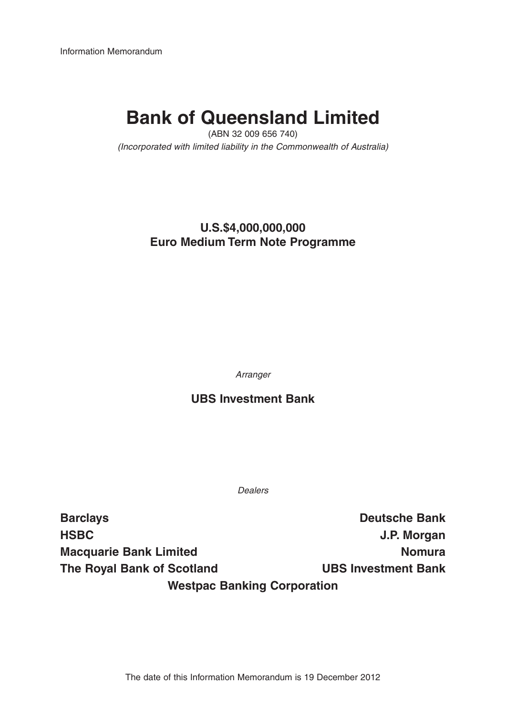Information Memorandum

# **Bank of Queensland Limited**

(ABN 32 009 656 740) (Incorporated with limited liability in the Commonwealth of Australia)

## **U.S.\$4,000,000,000 Euro Medium Term Note Programme**

Arranger

## **UBS Investment Bank**

Dealers

**Barclays Deutsche Bank HSBC J.P. Morgan Macquarie Bank Limited Nomura** Nomura **The Royal Bank of Scotland UBS Investment Bank Westpac Banking Corporation**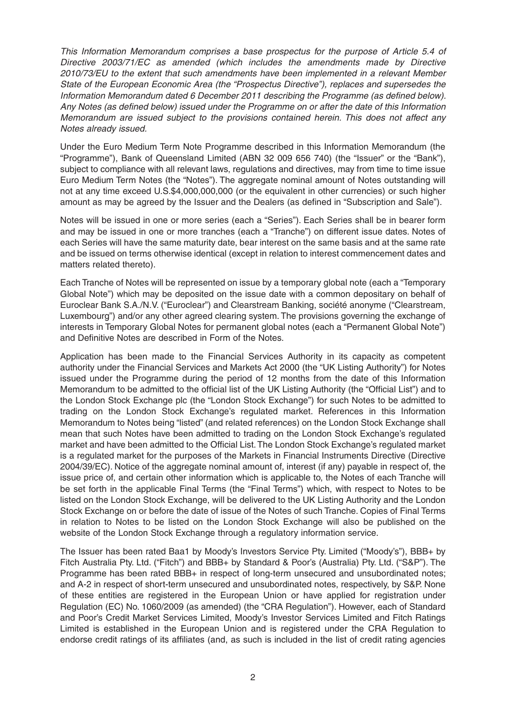This Information Memorandum comprises a base prospectus for the purpose of Article 5.4 of Directive 2003/71/EC as amended (which includes the amendments made by Directive 2010/73/EU to the extent that such amendments have been implemented in a relevant Member State of the European Economic Area (the "Prospectus Directive"), replaces and supersedes the Information Memorandum dated 6 December 2011 describing the Programme (as defined below). Any Notes (as defined below) issued under the Programme on or after the date of this Information Memorandum are issued subject to the provisions contained herein. This does not affect any Notes already issued.

Under the Euro Medium Term Note Programme described in this Information Memorandum (the "Programme"), Bank of Queensland Limited (ABN 32 009 656 740) (the "Issuer" or the "Bank"), subject to compliance with all relevant laws, regulations and directives, may from time to time issue Euro Medium Term Notes (the "Notes"). The aggregate nominal amount of Notes outstanding will not at any time exceed U.S.\$4,000,000,000 (or the equivalent in other currencies) or such higher amount as may be agreed by the Issuer and the Dealers (as defined in "Subscription and Sale").

Notes will be issued in one or more series (each a "Series"). Each Series shall be in bearer form and may be issued in one or more tranches (each a "Tranche") on different issue dates. Notes of each Series will have the same maturity date, bear interest on the same basis and at the same rate and be issued on terms otherwise identical (except in relation to interest commencement dates and matters related thereto).

Each Tranche of Notes will be represented on issue by a temporary global note (each a "Temporary Global Note") which may be deposited on the issue date with a common depositary on behalf of Euroclear Bank S.A./N.V. ("Euroclear") and Clearstream Banking, société anonyme ("Clearstream, Luxembourg") and/or any other agreed clearing system. The provisions governing the exchange of interests in Temporary Global Notes for permanent global notes (each a "Permanent Global Note") and Definitive Notes are described in Form of the Notes.

Application has been made to the Financial Services Authority in its capacity as competent authority under the Financial Services and Markets Act 2000 (the "UK Listing Authority") for Notes issued under the Programme during the period of 12 months from the date of this Information Memorandum to be admitted to the official list of the UK Listing Authority (the "Official List") and to the London Stock Exchange plc (the "London Stock Exchange") for such Notes to be admitted to trading on the London Stock Exchange's regulated market. References in this Information Memorandum to Notes being "listed" (and related references) on the London Stock Exchange shall mean that such Notes have been admitted to trading on the London Stock Exchange's regulated market and have been admitted to the Official List. The London Stock Exchange's regulated market is a regulated market for the purposes of the Markets in Financial Instruments Directive (Directive 2004/39/EC). Notice of the aggregate nominal amount of, interest (if any) payable in respect of, the issue price of, and certain other information which is applicable to, the Notes of each Tranche will be set forth in the applicable Final Terms (the "Final Terms") which, with respect to Notes to be listed on the London Stock Exchange, will be delivered to the UK Listing Authority and the London Stock Exchange on or before the date of issue of the Notes of such Tranche. Copies of Final Terms in relation to Notes to be listed on the London Stock Exchange will also be published on the website of the London Stock Exchange through a regulatory information service.

The Issuer has been rated Baa1 by Moody's Investors Service Pty. Limited ("Moody's"), BBB+ by Fitch Australia Pty. Ltd. ("Fitch") and BBB+ by Standard & Poor's (Australia) Pty. Ltd. ("S&P"). The Programme has been rated BBB+ in respect of long-term unsecured and unsubordinated notes; and A-2 in respect of short-term unsecured and unsubordinated notes, respectively, by S&P. None of these entities are registered in the European Union or have applied for registration under Regulation (EC) No. 1060/2009 (as amended) (the "CRA Regulation"). However, each of Standard and Poor's Credit Market Services Limited, Moody's Investor Services Limited and Fitch Ratings Limited is established in the European Union and is registered under the CRA Regulation to endorse credit ratings of its affiliates (and, as such is included in the list of credit rating agencies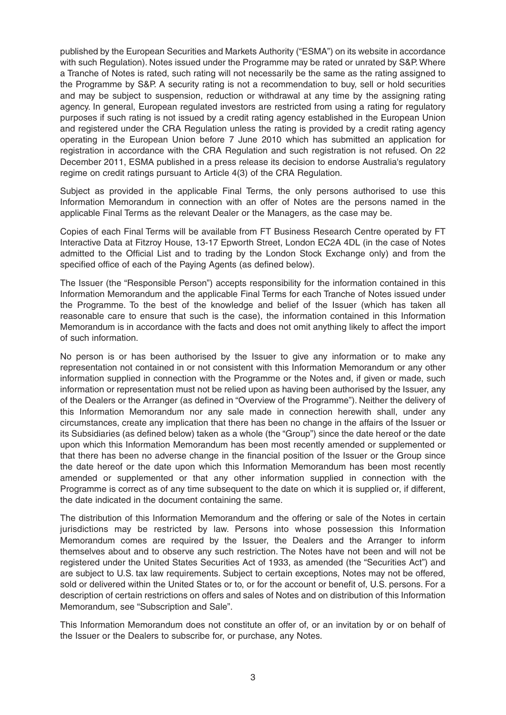published by the European Securities and Markets Authority ("ESMA") on its website in accordance with such Regulation). Notes issued under the Programme may be rated or unrated by S&P. Where a Tranche of Notes is rated, such rating will not necessarily be the same as the rating assigned to the Programme by S&P. A security rating is not a recommendation to buy, sell or hold securities and may be subject to suspension, reduction or withdrawal at any time by the assigning rating agency. In general, European regulated investors are restricted from using a rating for regulatory purposes if such rating is not issued by a credit rating agency established in the European Union and registered under the CRA Regulation unless the rating is provided by a credit rating agency operating in the European Union before 7 June 2010 which has submitted an application for registration in accordance with the CRA Regulation and such registration is not refused. On 22 December 2011, ESMA published in a press release its decision to endorse Australia's regulatory regime on credit ratings pursuant to Article 4(3) of the CRA Regulation.

Subject as provided in the applicable Final Terms, the only persons authorised to use this Information Memorandum in connection with an offer of Notes are the persons named in the applicable Final Terms as the relevant Dealer or the Managers, as the case may be.

Copies of each Final Terms will be available from FT Business Research Centre operated by FT Interactive Data at Fitzroy House, 13-17 Epworth Street, London EC2A 4DL (in the case of Notes admitted to the Official List and to trading by the London Stock Exchange only) and from the specified office of each of the Paying Agents (as defined below).

The Issuer (the "Responsible Person") accepts responsibility for the information contained in this Information Memorandum and the applicable Final Terms for each Tranche of Notes issued under the Programme. To the best of the knowledge and belief of the Issuer (which has taken all reasonable care to ensure that such is the case), the information contained in this Information Memorandum is in accordance with the facts and does not omit anything likely to affect the import of such information.

No person is or has been authorised by the Issuer to give any information or to make any representation not contained in or not consistent with this Information Memorandum or any other information supplied in connection with the Programme or the Notes and, if given or made, such information or representation must not be relied upon as having been authorised by the Issuer, any of the Dealers or the Arranger (as defined in "Overview of the Programme"). Neither the delivery of this Information Memorandum nor any sale made in connection herewith shall, under any circumstances, create any implication that there has been no change in the affairs of the Issuer or its Subsidiaries (as defined below) taken as a whole (the "Group") since the date hereof or the date upon which this Information Memorandum has been most recently amended or supplemented or that there has been no adverse change in the financial position of the Issuer or the Group since the date hereof or the date upon which this Information Memorandum has been most recently amended or supplemented or that any other information supplied in connection with the Programme is correct as of any time subsequent to the date on which it is supplied or, if different, the date indicated in the document containing the same.

The distribution of this Information Memorandum and the offering or sale of the Notes in certain jurisdictions may be restricted by law. Persons into whose possession this Information Memorandum comes are required by the Issuer, the Dealers and the Arranger to inform themselves about and to observe any such restriction. The Notes have not been and will not be registered under the United States Securities Act of 1933, as amended (the "Securities Act") and are subject to U.S. tax law requirements. Subject to certain exceptions, Notes may not be offered, sold or delivered within the United States or to, or for the account or benefit of, U.S. persons. For a description of certain restrictions on offers and sales of Notes and on distribution of this Information Memorandum, see "Subscription and Sale".

This Information Memorandum does not constitute an offer of, or an invitation by or on behalf of the Issuer or the Dealers to subscribe for, or purchase, any Notes.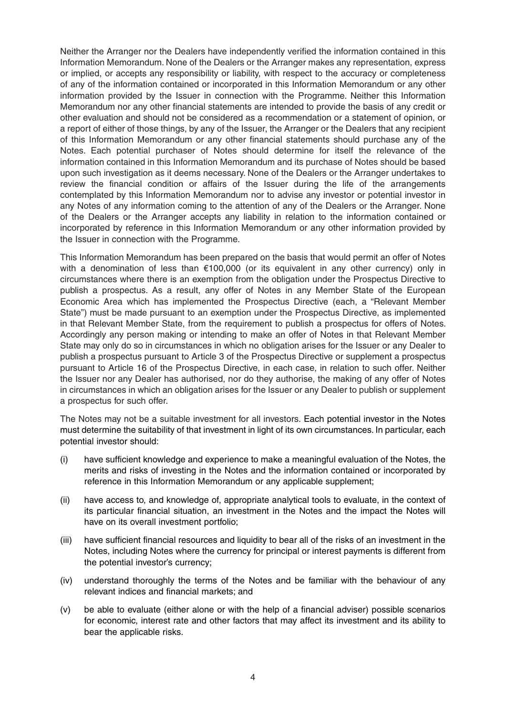Neither the Arranger nor the Dealers have independently verified the information contained in this Information Memorandum. None of the Dealers or the Arranger makes any representation, express or implied, or accepts any responsibility or liability, with respect to the accuracy or completeness of any of the information contained or incorporated in this Information Memorandum or any other information provided by the Issuer in connection with the Programme. Neither this Information Memorandum nor any other financial statements are intended to provide the basis of any credit or other evaluation and should not be considered as a recommendation or a statement of opinion, or a report of either of those things, by any of the Issuer, the Arranger or the Dealers that any recipient of this Information Memorandum or any other financial statements should purchase any of the Notes. Each potential purchaser of Notes should determine for itself the relevance of the information contained in this Information Memorandum and its purchase of Notes should be based upon such investigation as it deems necessary. None of the Dealers or the Arranger undertakes to review the financial condition or affairs of the Issuer during the life of the arrangements contemplated by this Information Memorandum nor to advise any investor or potential investor in any Notes of any information coming to the attention of any of the Dealers or the Arranger. None of the Dealers or the Arranger accepts any liability in relation to the information contained or incorporated by reference in this Information Memorandum or any other information provided by the Issuer in connection with the Programme.

This Information Memorandum has been prepared on the basis that would permit an offer of Notes with a denomination of less than €100,000 (or its equivalent in any other currency) only in circumstances where there is an exemption from the obligation under the Prospectus Directive to publish a prospectus. As a result, any offer of Notes in any Member State of the European Economic Area which has implemented the Prospectus Directive (each, a "Relevant Member State") must be made pursuant to an exemption under the Prospectus Directive, as implemented in that Relevant Member State, from the requirement to publish a prospectus for offers of Notes. Accordingly any person making or intending to make an offer of Notes in that Relevant Member State may only do so in circumstances in which no obligation arises for the Issuer or any Dealer to publish a prospectus pursuant to Article 3 of the Prospectus Directive or supplement a prospectus pursuant to Article 16 of the Prospectus Directive, in each case, in relation to such offer. Neither the Issuer nor any Dealer has authorised, nor do they authorise, the making of any offer of Notes in circumstances in which an obligation arises for the Issuer or any Dealer to publish or supplement a prospectus for such offer.

The Notes may not be a suitable investment for all investors. Each potential investor in the Notes must determine the suitability of that investment in light of its own circumstances. In particular, each potential investor should:

- (i) have sufficient knowledge and experience to make a meaningful evaluation of the Notes, the merits and risks of investing in the Notes and the information contained or incorporated by reference in this Information Memorandum or any applicable supplement;
- (ii) have access to, and knowledge of, appropriate analytical tools to evaluate, in the context of its particular financial situation, an investment in the Notes and the impact the Notes will have on its overall investment portfolio;
- (iii) have sufficient financial resources and liquidity to bear all of the risks of an investment in the Notes, including Notes where the currency for principal or interest payments is different from the potential investor's currency;
- (iv) understand thoroughly the terms of the Notes and be familiar with the behaviour of any relevant indices and financial markets; and
- (v) be able to evaluate (either alone or with the help of a financial adviser) possible scenarios for economic, interest rate and other factors that may affect its investment and its ability to bear the applicable risks.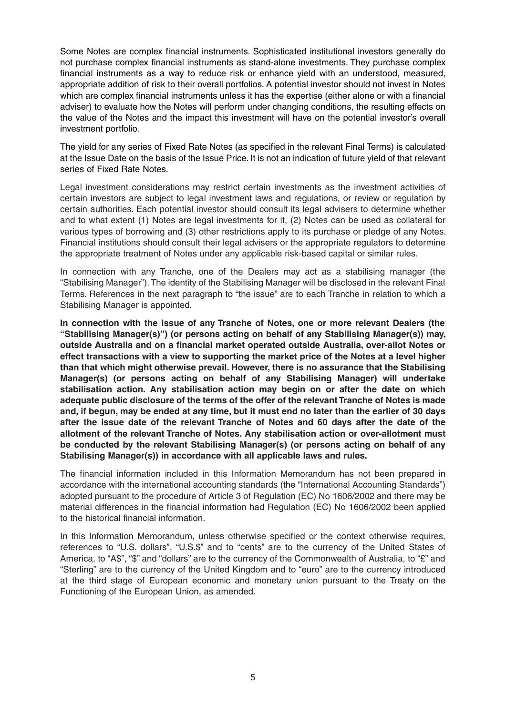Some Notes are complex financial instruments. Sophisticated institutional investors generally do not purchase complex financial instruments as stand-alone investments. They purchase complex financial instruments as a way to reduce risk or enhance yield with an understood, measured, appropriate addition of risk to their overall portfolios. A potential investor should not invest in Notes which are complex financial instruments unless it has the expertise (either alone or with a financial adviser) to evaluate how the Notes will perform under changing conditions, the resulting effects on the value of the Notes and the impact this investment will have on the potential investor's overall investment portfolio.

The yield for any series of Fixed Rate Notes (as specified in the relevant Final Terms) is calculated at the Issue Date on the basis of the Issue Price. It is not an indication of future yield of that relevant series of Fixed Rate Notes.

Legal investment considerations may restrict certain investments as the investment activities of certain investors are subject to legal investment laws and regulations, or review or regulation by certain authorities. Each potential investor should consult its legal advisers to determine whether and to what extent (1) Notes are legal investments for it, (2) Notes can be used as collateral for various types of borrowing and (3) other restrictions apply to its purchase or pledge of any Notes. Financial institutions should consult their legal advisers or the appropriate regulators to determine the appropriate treatment of Notes under any applicable risk-based capital or similar rules.

In connection with any Tranche, one of the Dealers may act as a stabilising manager (the "Stabilising Manager"). The identity of the Stabilising Manager will be disclosed in the relevant Final Terms. References in the next paragraph to "the issue" are to each Tranche in relation to which a Stabilising Manager is appointed.

**In connection with the issue of any Tranche of Notes, one or more relevant Dealers (the "Stabilising Manager(s)") (or persons acting on behalf of any Stabilising Manager(s)) may, outside Australia and on a financial market operated outside Australia, over-allot Notes or effect transactions with a view to supporting the market price of the Notes at a level higher than that which might otherwise prevail. However, there is no assurance that the Stabilising Manager(s) (or persons acting on behalf of any Stabilising Manager) will undertake stabilisation action. Any stabilisation action may begin on or after the date on which adequate public disclosure of the terms of the offer of the relevant Tranche of Notes is made and, if begun, may be ended at any time, but it must end no later than the earlier of 30 days after the issue date of the relevant Tranche of Notes and 60 days after the date of the allotment of the relevant Tranche of Notes. Any stabilisation action or over-allotment must be conducted by the relevant Stabilising Manager(s) (or persons acting on behalf of any Stabilising Manager(s)) in accordance with all applicable laws and rules.** 

The financial information included in this Information Memorandum has not been prepared in accordance with the international accounting standards (the "International Accounting Standards") adopted pursuant to the procedure of Article 3 of Regulation (EC) No 1606/2002 and there may be material differences in the financial information had Regulation (EC) No 1606/2002 been applied to the historical financial information.

In this Information Memorandum, unless otherwise specified or the context otherwise requires, references to "U.S. dollars", "U.S.\$" and to "cents" are to the currency of the United States of America, to "A\$", "\$" and "dollars" are to the currency of the Commonwealth of Australia, to "£" and "Sterling" are to the currency of the United Kingdom and to "euro" are to the currency introduced at the third stage of European economic and monetary union pursuant to the Treaty on the Functioning of the European Union, as amended.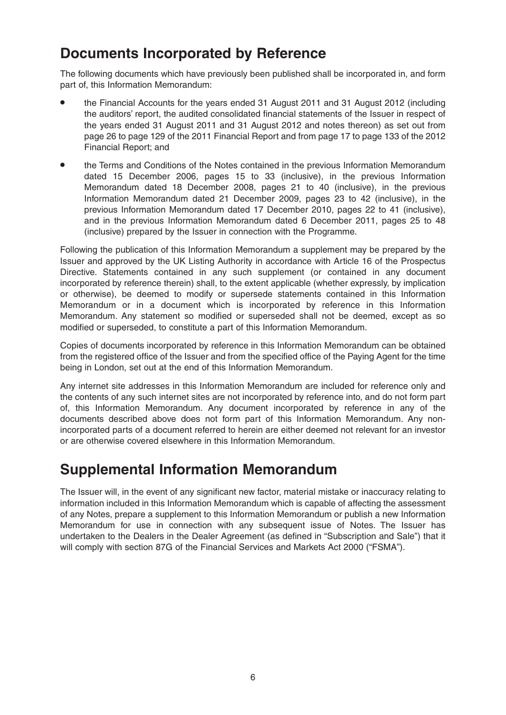## **Documents Incorporated by Reference**

The following documents which have previously been published shall be incorporated in, and form part of, this Information Memorandum:

- the Financial Accounts for the years ended 31 August 2011 and 31 August 2012 (including the auditors' report, the audited consolidated financial statements of the Issuer in respect of the years ended 31 August 2011 and 31 August 2012 and notes thereon) as set out from page 26 to page 129 of the 2011 Financial Report and from page 17 to page 133 of the 2012 Financial Report; and
- the Terms and Conditions of the Notes contained in the previous Information Memorandum dated 15 December 2006, pages 15 to 33 (inclusive), in the previous Information Memorandum dated 18 December 2008, pages 21 to 40 (inclusive), in the previous Information Memorandum dated 21 December 2009, pages 23 to 42 (inclusive), in the previous Information Memorandum dated 17 December 2010, pages 22 to 41 (inclusive), and in the previous Information Memorandum dated 6 December 2011, pages 25 to 48 (inclusive) prepared by the Issuer in connection with the Programme.

Following the publication of this Information Memorandum a supplement may be prepared by the Issuer and approved by the UK Listing Authority in accordance with Article 16 of the Prospectus Directive. Statements contained in any such supplement (or contained in any document incorporated by reference therein) shall, to the extent applicable (whether expressly, by implication or otherwise), be deemed to modify or supersede statements contained in this Information Memorandum or in a document which is incorporated by reference in this Information Memorandum. Any statement so modified or superseded shall not be deemed, except as so modified or superseded, to constitute a part of this Information Memorandum.

Copies of documents incorporated by reference in this Information Memorandum can be obtained from the registered office of the Issuer and from the specified office of the Paying Agent for the time being in London, set out at the end of this Information Memorandum.

Any internet site addresses in this Information Memorandum are included for reference only and the contents of any such internet sites are not incorporated by reference into, and do not form part of, this Information Memorandum. Any document incorporated by reference in any of the documents described above does not form part of this Information Memorandum. Any nonincorporated parts of a document referred to herein are either deemed not relevant for an investor or are otherwise covered elsewhere in this Information Memorandum.

## **Supplemental Information Memorandum**

The Issuer will, in the event of any significant new factor, material mistake or inaccuracy relating to information included in this Information Memorandum which is capable of affecting the assessment of any Notes, prepare a supplement to this Information Memorandum or publish a new Information Memorandum for use in connection with any subsequent issue of Notes. The Issuer has undertaken to the Dealers in the Dealer Agreement (as defined in "Subscription and Sale") that it will comply with section 87G of the Financial Services and Markets Act 2000 ("FSMA").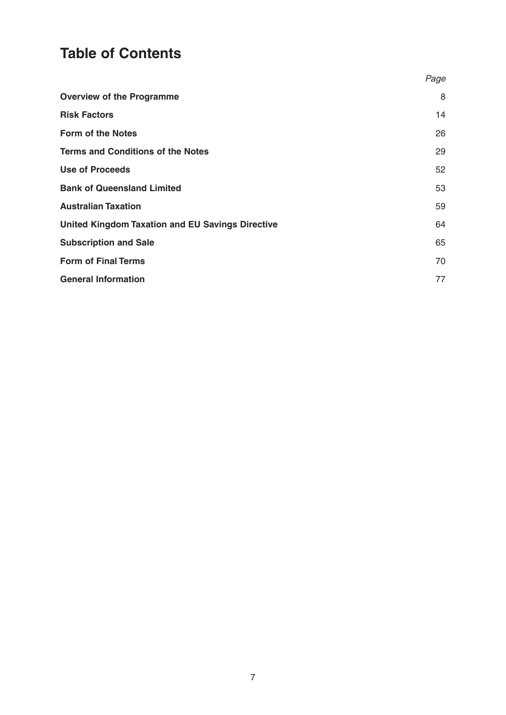# **Table of Contents**

|                                                         | Page |
|---------------------------------------------------------|------|
| <b>Overview of the Programme</b>                        | 8    |
| <b>Risk Factors</b>                                     | 14   |
| <b>Form of the Notes</b>                                | 26   |
| <b>Terms and Conditions of the Notes</b>                | 29   |
| <b>Use of Proceeds</b>                                  | 52   |
| <b>Bank of Queensland Limited</b>                       | 53   |
| <b>Australian Taxation</b>                              | 59   |
| <b>United Kingdom Taxation and EU Savings Directive</b> | 64   |
| <b>Subscription and Sale</b>                            | 65   |
| <b>Form of Final Terms</b>                              | 70   |
| <b>General Information</b>                              | 77   |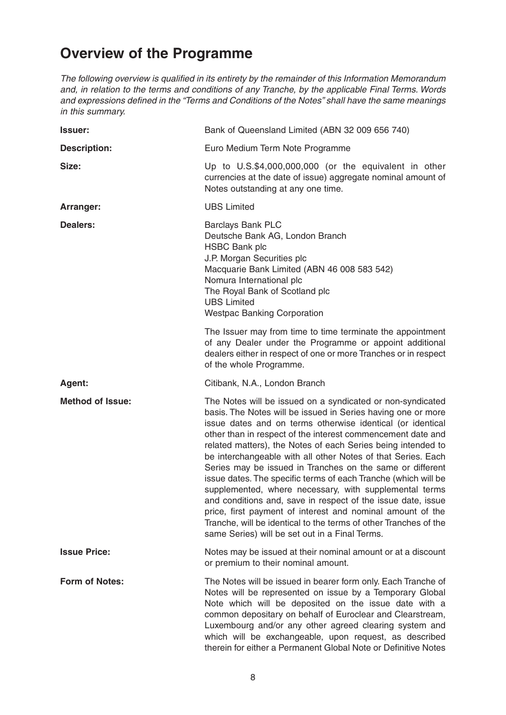## **Overview of the Programme**

The following overview is qualified in its entirety by the remainder of this Information Memorandum and, in relation to the terms and conditions of any Tranche, by the applicable Final Terms. Words and expressions defined in the "Terms and Conditions of the Notes" shall have the same meanings in this summary.

| <b>Issuer:</b>          | Bank of Queensland Limited (ABN 32 009 656 740)                                                                                                                                                                                                                                                                                                                                                                                                                                                                                                                                                                                                                                                                                                                                                                                      |
|-------------------------|--------------------------------------------------------------------------------------------------------------------------------------------------------------------------------------------------------------------------------------------------------------------------------------------------------------------------------------------------------------------------------------------------------------------------------------------------------------------------------------------------------------------------------------------------------------------------------------------------------------------------------------------------------------------------------------------------------------------------------------------------------------------------------------------------------------------------------------|
| <b>Description:</b>     | Euro Medium Term Note Programme                                                                                                                                                                                                                                                                                                                                                                                                                                                                                                                                                                                                                                                                                                                                                                                                      |
| Size:                   | Up to U.S.\$4,000,000,000 (or the equivalent in other<br>currencies at the date of issue) aggregate nominal amount of<br>Notes outstanding at any one time.                                                                                                                                                                                                                                                                                                                                                                                                                                                                                                                                                                                                                                                                          |
| Arranger:               | <b>UBS Limited</b>                                                                                                                                                                                                                                                                                                                                                                                                                                                                                                                                                                                                                                                                                                                                                                                                                   |
| <b>Dealers:</b>         | <b>Barclays Bank PLC</b><br>Deutsche Bank AG, London Branch<br><b>HSBC Bank plc</b><br>J.P. Morgan Securities plc<br>Macquarie Bank Limited (ABN 46 008 583 542)<br>Nomura International plc<br>The Royal Bank of Scotland plc<br><b>UBS Limited</b><br><b>Westpac Banking Corporation</b>                                                                                                                                                                                                                                                                                                                                                                                                                                                                                                                                           |
|                         | The Issuer may from time to time terminate the appointment<br>of any Dealer under the Programme or appoint additional<br>dealers either in respect of one or more Tranches or in respect<br>of the whole Programme.                                                                                                                                                                                                                                                                                                                                                                                                                                                                                                                                                                                                                  |
| Agent:                  | Citibank, N.A., London Branch                                                                                                                                                                                                                                                                                                                                                                                                                                                                                                                                                                                                                                                                                                                                                                                                        |
| <b>Method of Issue:</b> | The Notes will be issued on a syndicated or non-syndicated<br>basis. The Notes will be issued in Series having one or more<br>issue dates and on terms otherwise identical (or identical<br>other than in respect of the interest commencement date and<br>related matters), the Notes of each Series being intended to<br>be interchangeable with all other Notes of that Series. Each<br>Series may be issued in Tranches on the same or different<br>issue dates. The specific terms of each Tranche (which will be<br>supplemented, where necessary, with supplemental terms<br>and conditions and, save in respect of the issue date, issue<br>price, first payment of interest and nominal amount of the<br>Tranche, will be identical to the terms of other Tranches of the<br>same Series) will be set out in a Final Terms. |
| <b>Issue Price:</b>     | Notes may be issued at their nominal amount or at a discount<br>or premium to their nominal amount.                                                                                                                                                                                                                                                                                                                                                                                                                                                                                                                                                                                                                                                                                                                                  |
| <b>Form of Notes:</b>   | The Notes will be issued in bearer form only. Each Tranche of<br>Notes will be represented on issue by a Temporary Global<br>Note which will be deposited on the issue date with a<br>common depositary on behalf of Euroclear and Clearstream,<br>Luxembourg and/or any other agreed clearing system and<br>which will be exchangeable, upon request, as described<br>therein for either a Permanent Global Note or Definitive Notes                                                                                                                                                                                                                                                                                                                                                                                                |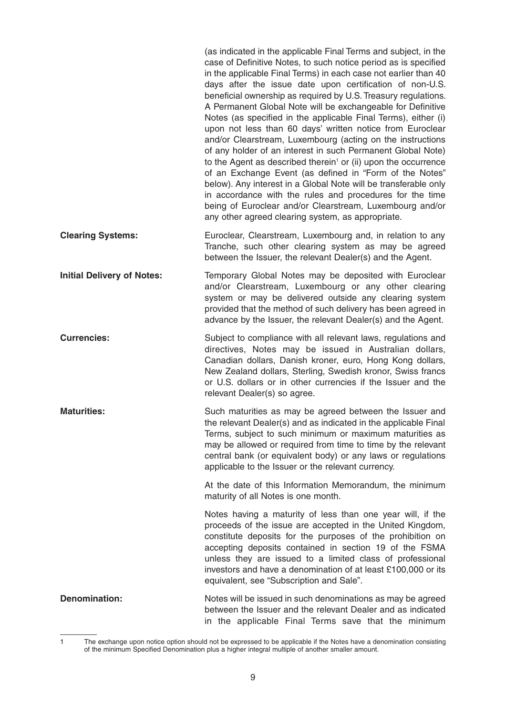|                                   | (as indicated in the applicable Final Terms and subject, in the<br>case of Definitive Notes, to such notice period as is specified<br>in the applicable Final Terms) in each case not earlier than 40<br>days after the issue date upon certification of non-U.S.<br>beneficial ownership as required by U.S. Treasury regulations.<br>A Permanent Global Note will be exchangeable for Definitive<br>Notes (as specified in the applicable Final Terms), either (i)<br>upon not less than 60 days' written notice from Euroclear<br>and/or Clearstream, Luxembourg (acting on the instructions<br>of any holder of an interest in such Permanent Global Note)<br>to the Agent as described therein <sup>1</sup> or (ii) upon the occurrence<br>of an Exchange Event (as defined in "Form of the Notes"<br>below). Any interest in a Global Note will be transferable only<br>in accordance with the rules and procedures for the time<br>being of Euroclear and/or Clearstream, Luxembourg and/or<br>any other agreed clearing system, as appropriate. |
|-----------------------------------|---------------------------------------------------------------------------------------------------------------------------------------------------------------------------------------------------------------------------------------------------------------------------------------------------------------------------------------------------------------------------------------------------------------------------------------------------------------------------------------------------------------------------------------------------------------------------------------------------------------------------------------------------------------------------------------------------------------------------------------------------------------------------------------------------------------------------------------------------------------------------------------------------------------------------------------------------------------------------------------------------------------------------------------------------------|
| <b>Clearing Systems:</b>          | Euroclear, Clearstream, Luxembourg and, in relation to any<br>Tranche, such other clearing system as may be agreed<br>between the Issuer, the relevant Dealer(s) and the Agent.                                                                                                                                                                                                                                                                                                                                                                                                                                                                                                                                                                                                                                                                                                                                                                                                                                                                         |
| <b>Initial Delivery of Notes:</b> | Temporary Global Notes may be deposited with Euroclear<br>and/or Clearstream, Luxembourg or any other clearing<br>system or may be delivered outside any clearing system<br>provided that the method of such delivery has been agreed in<br>advance by the Issuer, the relevant Dealer(s) and the Agent.                                                                                                                                                                                                                                                                                                                                                                                                                                                                                                                                                                                                                                                                                                                                                |
| <b>Currencies:</b>                | Subject to compliance with all relevant laws, regulations and<br>directives, Notes may be issued in Australian dollars,<br>Canadian dollars, Danish kroner, euro, Hong Kong dollars,<br>New Zealand dollars, Sterling, Swedish kronor, Swiss francs<br>or U.S. dollars or in other currencies if the Issuer and the<br>relevant Dealer(s) so agree.                                                                                                                                                                                                                                                                                                                                                                                                                                                                                                                                                                                                                                                                                                     |
| <b>Maturities:</b>                | Such maturities as may be agreed between the Issuer and<br>the relevant Dealer(s) and as indicated in the applicable Final<br>Terms, subject to such minimum or maximum maturities as<br>may be allowed or required from time to time by the relevant<br>central bank (or equivalent body) or any laws or regulations<br>applicable to the Issuer or the relevant currency.                                                                                                                                                                                                                                                                                                                                                                                                                                                                                                                                                                                                                                                                             |
|                                   | At the date of this Information Memorandum, the minimum<br>maturity of all Notes is one month.                                                                                                                                                                                                                                                                                                                                                                                                                                                                                                                                                                                                                                                                                                                                                                                                                                                                                                                                                          |
|                                   | Notes having a maturity of less than one year will, if the<br>proceeds of the issue are accepted in the United Kingdom,<br>constitute deposits for the purposes of the prohibition on<br>accepting deposits contained in section 19 of the FSMA<br>unless they are issued to a limited class of professional<br>investors and have a denomination of at least £100,000 or its<br>equivalent, see "Subscription and Sale".                                                                                                                                                                                                                                                                                                                                                                                                                                                                                                                                                                                                                               |
| <b>Denomination:</b>              | Notes will be issued in such denominations as may be agreed<br>between the Issuer and the relevant Dealer and as indicated<br>in the applicable Final Terms save that the minimum                                                                                                                                                                                                                                                                                                                                                                                                                                                                                                                                                                                                                                                                                                                                                                                                                                                                       |

<sup>1</sup> The exchange upon notice option should not be expressed to be applicable if the Notes have a denomination consisting of the minimum Specified Denomination plus a higher integral multiple of another smaller amount.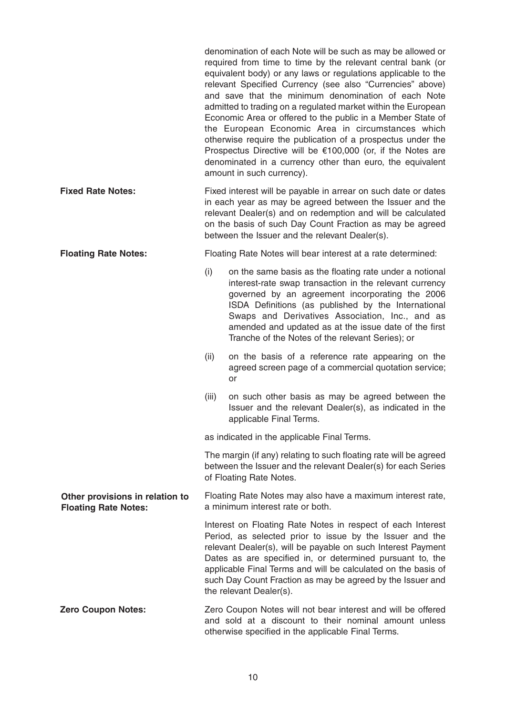|                                                                |                                                                                                                                                                                                                                                                                                         | denomination of each Note will be such as may be allowed or<br>required from time to time by the relevant central bank (or<br>equivalent body) or any laws or regulations applicable to the<br>relevant Specified Currency (see also "Currencies" above)<br>and save that the minimum denomination of each Note<br>admitted to trading on a regulated market within the European<br>Economic Area or offered to the public in a Member State of<br>the European Economic Area in circumstances which<br>otherwise require the publication of a prospectus under the<br>Prospectus Directive will be $€100,000$ (or, if the Notes are<br>denominated in a currency other than euro, the equivalent<br>amount in such currency). |
|----------------------------------------------------------------|---------------------------------------------------------------------------------------------------------------------------------------------------------------------------------------------------------------------------------------------------------------------------------------------------------|--------------------------------------------------------------------------------------------------------------------------------------------------------------------------------------------------------------------------------------------------------------------------------------------------------------------------------------------------------------------------------------------------------------------------------------------------------------------------------------------------------------------------------------------------------------------------------------------------------------------------------------------------------------------------------------------------------------------------------|
| <b>Fixed Rate Notes:</b>                                       | Fixed interest will be payable in arrear on such date or dates<br>in each year as may be agreed between the Issuer and the<br>relevant Dealer(s) and on redemption and will be calculated<br>on the basis of such Day Count Fraction as may be agreed<br>between the Issuer and the relevant Dealer(s). |                                                                                                                                                                                                                                                                                                                                                                                                                                                                                                                                                                                                                                                                                                                                |
| <b>Floating Rate Notes:</b>                                    | Floating Rate Notes will bear interest at a rate determined:                                                                                                                                                                                                                                            |                                                                                                                                                                                                                                                                                                                                                                                                                                                                                                                                                                                                                                                                                                                                |
|                                                                | (i)                                                                                                                                                                                                                                                                                                     | on the same basis as the floating rate under a notional<br>interest-rate swap transaction in the relevant currency<br>governed by an agreement incorporating the 2006<br>ISDA Definitions (as published by the International<br>Swaps and Derivatives Association, Inc., and as<br>amended and updated as at the issue date of the first<br>Tranche of the Notes of the relevant Series); or                                                                                                                                                                                                                                                                                                                                   |
|                                                                | (ii)                                                                                                                                                                                                                                                                                                    | on the basis of a reference rate appearing on the<br>agreed screen page of a commercial quotation service;<br>or                                                                                                                                                                                                                                                                                                                                                                                                                                                                                                                                                                                                               |
|                                                                | (iii)                                                                                                                                                                                                                                                                                                   | on such other basis as may be agreed between the<br>Issuer and the relevant Dealer(s), as indicated in the<br>applicable Final Terms.                                                                                                                                                                                                                                                                                                                                                                                                                                                                                                                                                                                          |
|                                                                | as indicated in the applicable Final Terms.<br>The margin (if any) relating to such floating rate will be agreed<br>between the Issuer and the relevant Dealer(s) for each Series<br>of Floating Rate Notes.                                                                                            |                                                                                                                                                                                                                                                                                                                                                                                                                                                                                                                                                                                                                                                                                                                                |
|                                                                |                                                                                                                                                                                                                                                                                                         |                                                                                                                                                                                                                                                                                                                                                                                                                                                                                                                                                                                                                                                                                                                                |
| Other provisions in relation to<br><b>Floating Rate Notes:</b> |                                                                                                                                                                                                                                                                                                         | Floating Rate Notes may also have a maximum interest rate,<br>a minimum interest rate or both.                                                                                                                                                                                                                                                                                                                                                                                                                                                                                                                                                                                                                                 |
|                                                                |                                                                                                                                                                                                                                                                                                         | Interest on Floating Rate Notes in respect of each Interest<br>Period, as selected prior to issue by the Issuer and the<br>relevant Dealer(s), will be payable on such Interest Payment<br>Dates as are specified in, or determined pursuant to, the<br>applicable Final Terms and will be calculated on the basis of<br>such Day Count Fraction as may be agreed by the Issuer and<br>the relevant Dealer(s).                                                                                                                                                                                                                                                                                                                 |
| <b>Zero Coupon Notes:</b>                                      | Zero Coupon Notes will not bear interest and will be offered<br>and sold at a discount to their nominal amount unless<br>otherwise specified in the applicable Final Terms.                                                                                                                             |                                                                                                                                                                                                                                                                                                                                                                                                                                                                                                                                                                                                                                                                                                                                |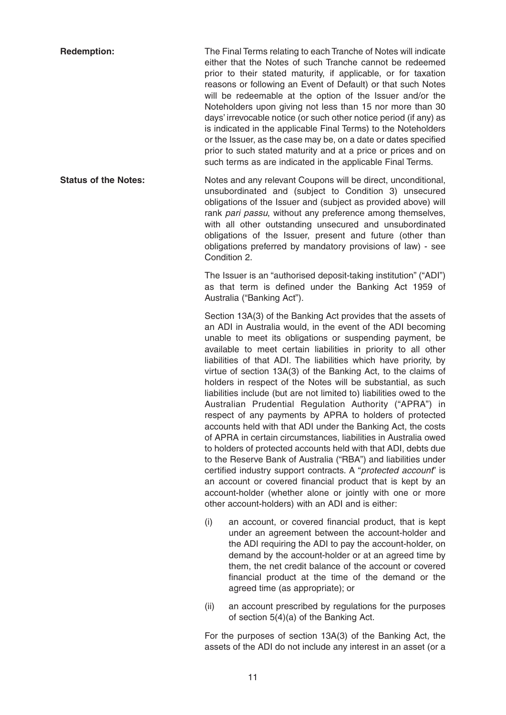**Redemption:** The Final Terms relating to each Tranche of Notes will indicate either that the Notes of such Tranche cannot be redeemed prior to their stated maturity, if applicable, or for taxation reasons or following an Event of Default) or that such Notes will be redeemable at the option of the Issuer and/or the Noteholders upon giving not less than 15 nor more than 30 days' irrevocable notice (or such other notice period (if any) as is indicated in the applicable Final Terms) to the Noteholders or the Issuer, as the case may be, on a date or dates specified prior to such stated maturity and at a price or prices and on such terms as are indicated in the applicable Final Terms.

**Status of the Notes:** Notes and any relevant Coupons will be direct, unconditional, unsubordinated and (subject to Condition 3) unsecured obligations of the Issuer and (subject as provided above) will rank pari passu, without any preference among themselves, with all other outstanding unsecured and unsubordinated obligations of the Issuer, present and future (other than obligations preferred by mandatory provisions of law) - see Condition 2.

> The Issuer is an "authorised deposit-taking institution" ("ADI") as that term is defined under the Banking Act 1959 of Australia ("Banking Act").

> Section 13A(3) of the Banking Act provides that the assets of an ADI in Australia would, in the event of the ADI becoming unable to meet its obligations or suspending payment, be available to meet certain liabilities in priority to all other liabilities of that ADI. The liabilities which have priority, by virtue of section 13A(3) of the Banking Act, to the claims of holders in respect of the Notes will be substantial, as such liabilities include (but are not limited to) liabilities owed to the Australian Prudential Regulation Authority ("APRA") in respect of any payments by APRA to holders of protected accounts held with that ADI under the Banking Act, the costs of APRA in certain circumstances, liabilities in Australia owed to holders of protected accounts held with that ADI, debts due to the Reserve Bank of Australia ("RBA") and liabilities under certified industry support contracts. A "protected account" is an account or covered financial product that is kept by an account-holder (whether alone or jointly with one or more other account-holders) with an ADI and is either:

- (i) an account, or covered financial product, that is kept under an agreement between the account-holder and the ADI requiring the ADI to pay the account-holder, on demand by the account-holder or at an agreed time by them, the net credit balance of the account or covered financial product at the time of the demand or the agreed time (as appropriate); or
- (ii) an account prescribed by regulations for the purposes of section 5(4)(a) of the Banking Act.

For the purposes of section 13A(3) of the Banking Act, the assets of the ADI do not include any interest in an asset (or a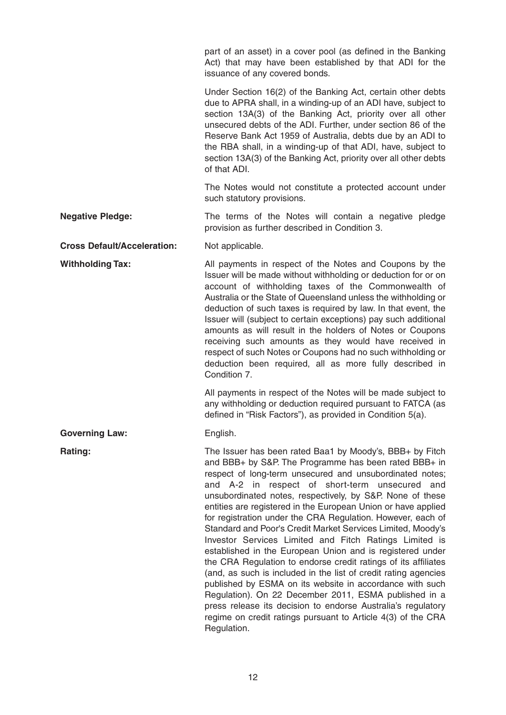part of an asset) in a cover pool (as defined in the Banking Act) that may have been established by that ADI for the issuance of any covered bonds.

Under Section 16(2) of the Banking Act, certain other debts due to APRA shall, in a winding-up of an ADI have, subject to section 13A(3) of the Banking Act, priority over all other unsecured debts of the ADI. Further, under section 86 of the Reserve Bank Act 1959 of Australia, debts due by an ADI to the RBA shall, in a winding-up of that ADI, have, subject to section 13A(3) of the Banking Act, priority over all other debts of that ADI.

The Notes would not constitute a protected account under such statutory provisions.

Issuer will be made without withholding or deduction for or on account of withholding taxes of the Commonwealth of Australia or the State of Queensland unless the withholding or deduction of such taxes is required by law. In that event, the Issuer will (subject to certain exceptions) pay such additional amounts as will result in the holders of Notes or Coupons receiving such amounts as they would have received in respect of such Notes or Coupons had no such withholding or deduction been required, all as more fully described in

**Negative Pledge:** The terms of the Notes will contain a negative pledge provision as further described in Condition 3.

**Cross Default/Acceleration:** Not applicable.

**Withholding Tax:** All payments in respect of the Notes and Coupons by the

All payments in respect of the Notes will be made subject to any withholding or deduction required pursuant to FATCA (as defined in "Risk Factors"), as provided in Condition 5(a).

Governing Law: English.

Condition 7.

**Rating:** The Issuer has been rated Baa1 by Moody's, BBB+ by Fitch and BBB+ by S&P. The Programme has been rated BBB+ in respect of long-term unsecured and unsubordinated notes; and A-2 in respect of short-term unsecured and unsubordinated notes, respectively, by S&P. None of these entities are registered in the European Union or have applied for registration under the CRA Regulation. However, each of Standard and Poor's Credit Market Services Limited, Moody's Investor Services Limited and Fitch Ratings Limited is established in the European Union and is registered under the CRA Regulation to endorse credit ratings of its affiliates (and, as such is included in the list of credit rating agencies published by ESMA on its website in accordance with such Regulation). On 22 December 2011, ESMA published in a press release its decision to endorse Australia's regulatory regime on credit ratings pursuant to Article 4(3) of the CRA Regulation.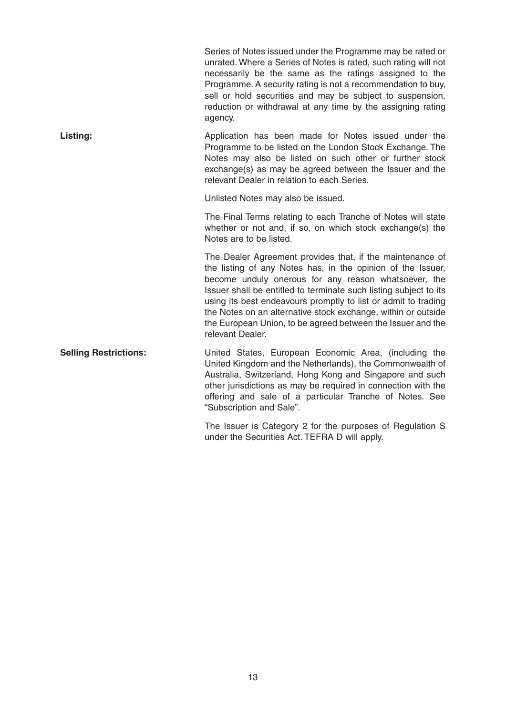|                              | Series of Notes issued under the Programme may be rated or<br>unrated. Where a Series of Notes is rated, such rating will not<br>necessarily be the same as the ratings assigned to the<br>Programme. A security rating is not a recommendation to buy,<br>sell or hold securities and may be subject to suspension,<br>reduction or withdrawal at any time by the assigning rating<br>agency.                                                                              |
|------------------------------|-----------------------------------------------------------------------------------------------------------------------------------------------------------------------------------------------------------------------------------------------------------------------------------------------------------------------------------------------------------------------------------------------------------------------------------------------------------------------------|
| Listing:                     | Application has been made for Notes issued under the<br>Programme to be listed on the London Stock Exchange. The<br>Notes may also be listed on such other or further stock<br>exchange(s) as may be agreed between the Issuer and the<br>relevant Dealer in relation to each Series.                                                                                                                                                                                       |
|                              | Unlisted Notes may also be issued.                                                                                                                                                                                                                                                                                                                                                                                                                                          |
|                              | The Final Terms relating to each Tranche of Notes will state<br>whether or not and, if so, on which stock exchange(s) the<br>Notes are to be listed.                                                                                                                                                                                                                                                                                                                        |
|                              | The Dealer Agreement provides that, if the maintenance of<br>the listing of any Notes has, in the opinion of the Issuer,<br>become unduly onerous for any reason whatsoever, the<br>Issuer shall be entitled to terminate such listing subject to its<br>using its best endeavours promptly to list or admit to trading<br>the Notes on an alternative stock exchange, within or outside<br>the European Union, to be agreed between the Issuer and the<br>relevant Dealer. |
| <b>Selling Restrictions:</b> | United States, European Economic Area, (including the<br>United Kingdom and the Netherlands), the Commonwealth of<br>Australia, Switzerland, Hong Kong and Singapore and such<br>other jurisdictions as may be required in connection with the<br>offering and sale of a particular Tranche of Notes. See<br>"Subscription and Sale".                                                                                                                                       |
|                              | The Issuer is Category 2 for the purposes of Regulation S                                                                                                                                                                                                                                                                                                                                                                                                                   |

under the Securities Act. TEFRA D will apply.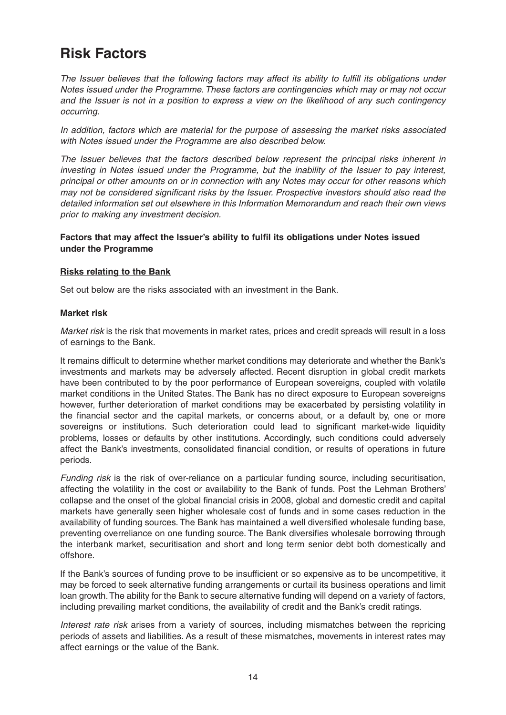## **Risk Factors**

The Issuer believes that the following factors may affect its ability to fulfill its obligations under Notes issued under the Programme. These factors are contingencies which may or may not occur and the Issuer is not in a position to express a view on the likelihood of any such contingency occurring.

In addition, factors which are material for the purpose of assessing the market risks associated with Notes issued under the Programme are also described below.

The Issuer believes that the factors described below represent the principal risks inherent in investing in Notes issued under the Programme, but the inability of the Issuer to pay interest, principal or other amounts on or in connection with any Notes may occur for other reasons which may not be considered significant risks by the Issuer. Prospective investors should also read the detailed information set out elsewhere in this Information Memorandum and reach their own views prior to making any investment decision.

#### **Factors that may affect the Issuer's ability to fulfil its obligations under Notes issued under the Programme**

#### **Risks relating to the Bank**

Set out below are the risks associated with an investment in the Bank.

#### **Market risk**

Market risk is the risk that movements in market rates, prices and credit spreads will result in a loss of earnings to the Bank.

It remains difficult to determine whether market conditions may deteriorate and whether the Bank's investments and markets may be adversely affected. Recent disruption in global credit markets have been contributed to by the poor performance of European sovereigns, coupled with volatile market conditions in the United States. The Bank has no direct exposure to European sovereigns however, further deterioration of market conditions may be exacerbated by persisting volatility in the financial sector and the capital markets, or concerns about, or a default by, one or more sovereigns or institutions. Such deterioration could lead to significant market-wide liquidity problems, losses or defaults by other institutions. Accordingly, such conditions could adversely affect the Bank's investments, consolidated financial condition, or results of operations in future periods.

Funding risk is the risk of over-reliance on a particular funding source, including securitisation, affecting the volatility in the cost or availability to the Bank of funds. Post the Lehman Brothers' collapse and the onset of the global financial crisis in 2008, global and domestic credit and capital markets have generally seen higher wholesale cost of funds and in some cases reduction in the availability of funding sources. The Bank has maintained a well diversified wholesale funding base, preventing overreliance on one funding source. The Bank diversifies wholesale borrowing through the interbank market, securitisation and short and long term senior debt both domestically and offshore.

If the Bank's sources of funding prove to be insufficient or so expensive as to be uncompetitive, it may be forced to seek alternative funding arrangements or curtail its business operations and limit loan growth. The ability for the Bank to secure alternative funding will depend on a variety of factors, including prevailing market conditions, the availability of credit and the Bank's credit ratings.

Interest rate risk arises from a variety of sources, including mismatches between the repricing periods of assets and liabilities. As a result of these mismatches, movements in interest rates may affect earnings or the value of the Bank.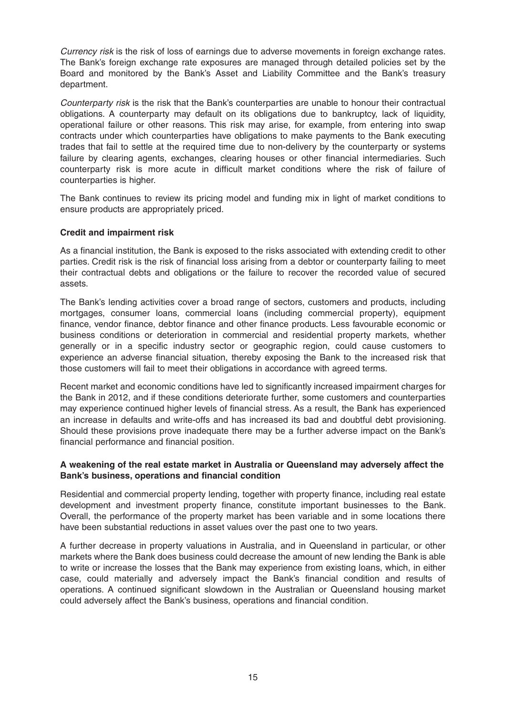Currency risk is the risk of loss of earnings due to adverse movements in foreign exchange rates. The Bank's foreign exchange rate exposures are managed through detailed policies set by the Board and monitored by the Bank's Asset and Liability Committee and the Bank's treasury department.

Counterparty risk is the risk that the Bank's counterparties are unable to honour their contractual obligations. A counterparty may default on its obligations due to bankruptcy, lack of liquidity, operational failure or other reasons. This risk may arise, for example, from entering into swap contracts under which counterparties have obligations to make payments to the Bank executing trades that fail to settle at the required time due to non-delivery by the counterparty or systems failure by clearing agents, exchanges, clearing houses or other financial intermediaries. Such counterparty risk is more acute in difficult market conditions where the risk of failure of counterparties is higher.

The Bank continues to review its pricing model and funding mix in light of market conditions to ensure products are appropriately priced.

#### **Credit and impairment risk**

As a financial institution, the Bank is exposed to the risks associated with extending credit to other parties. Credit risk is the risk of financial loss arising from a debtor or counterparty failing to meet their contractual debts and obligations or the failure to recover the recorded value of secured assets.

The Bank's lending activities cover a broad range of sectors, customers and products, including mortgages, consumer loans, commercial loans (including commercial property), equipment finance, vendor finance, debtor finance and other finance products. Less favourable economic or business conditions or deterioration in commercial and residential property markets, whether generally or in a specific industry sector or geographic region, could cause customers to experience an adverse financial situation, thereby exposing the Bank to the increased risk that those customers will fail to meet their obligations in accordance with agreed terms.

Recent market and economic conditions have led to significantly increased impairment charges for the Bank in 2012, and if these conditions deteriorate further, some customers and counterparties may experience continued higher levels of financial stress. As a result, the Bank has experienced an increase in defaults and write-offs and has increased its bad and doubtful debt provisioning. Should these provisions prove inadequate there may be a further adverse impact on the Bank's financial performance and financial position.

#### **A weakening of the real estate market in Australia or Queensland may adversely affect the Bank's business, operations and financial condition**

Residential and commercial property lending, together with property finance, including real estate development and investment property finance, constitute important businesses to the Bank. Overall, the performance of the property market has been variable and in some locations there have been substantial reductions in asset values over the past one to two years.

A further decrease in property valuations in Australia, and in Queensland in particular, or other markets where the Bank does business could decrease the amount of new lending the Bank is able to write or increase the losses that the Bank may experience from existing loans, which, in either case, could materially and adversely impact the Bank's financial condition and results of operations. A continued significant slowdown in the Australian or Queensland housing market could adversely affect the Bank's business, operations and financial condition.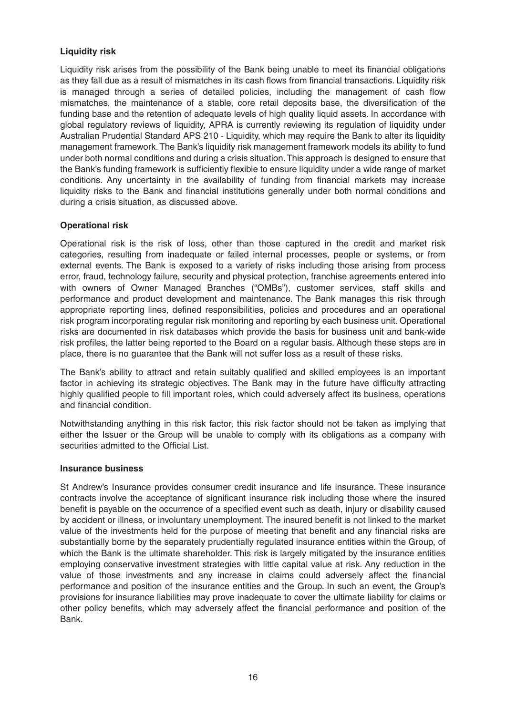#### **Liquidity risk**

Liquidity risk arises from the possibility of the Bank being unable to meet its financial obligations as they fall due as a result of mismatches in its cash flows from financial transactions. Liquidity risk is managed through a series of detailed policies, including the management of cash flow mismatches, the maintenance of a stable, core retail deposits base, the diversification of the funding base and the retention of adequate levels of high quality liquid assets. In accordance with global regulatory reviews of liquidity, APRA is currently reviewing its regulation of liquidity under Australian Prudential Standard APS 210 - Liquidity, which may require the Bank to alter its liquidity management framework. The Bank's liquidity risk management framework models its ability to fund under both normal conditions and during a crisis situation. This approach is designed to ensure that the Bank's funding framework is sufficiently flexible to ensure liquidity under a wide range of market conditions. Any uncertainty in the availability of funding from financial markets may increase liquidity risks to the Bank and financial institutions generally under both normal conditions and during a crisis situation, as discussed above.

#### **Operational risk**

Operational risk is the risk of loss, other than those captured in the credit and market risk categories, resulting from inadequate or failed internal processes, people or systems, or from external events. The Bank is exposed to a variety of risks including those arising from process error, fraud, technology failure, security and physical protection, franchise agreements entered into with owners of Owner Managed Branches ("OMBs"), customer services, staff skills and performance and product development and maintenance. The Bank manages this risk through appropriate reporting lines, defined responsibilities, policies and procedures and an operational risk program incorporating regular risk monitoring and reporting by each business unit. Operational risks are documented in risk databases which provide the basis for business unit and bank-wide risk profiles, the latter being reported to the Board on a regular basis. Although these steps are in place, there is no guarantee that the Bank will not suffer loss as a result of these risks.

The Bank's ability to attract and retain suitably qualified and skilled employees is an important factor in achieving its strategic objectives. The Bank may in the future have difficulty attracting highly qualified people to fill important roles, which could adversely affect its business, operations and financial condition.

Notwithstanding anything in this risk factor, this risk factor should not be taken as implying that either the Issuer or the Group will be unable to comply with its obligations as a company with securities admitted to the Official List.

#### **Insurance business**

St Andrew's Insurance provides consumer credit insurance and life insurance. These insurance contracts involve the acceptance of significant insurance risk including those where the insured benefit is payable on the occurrence of a specified event such as death, injury or disability caused by accident or illness, or involuntary unemployment. The insured benefit is not linked to the market value of the investments held for the purpose of meeting that benefit and any financial risks are substantially borne by the separately prudentially regulated insurance entities within the Group, of which the Bank is the ultimate shareholder. This risk is largely mitigated by the insurance entities employing conservative investment strategies with little capital value at risk. Any reduction in the value of those investments and any increase in claims could adversely affect the financial performance and position of the insurance entities and the Group. In such an event, the Group's provisions for insurance liabilities may prove inadequate to cover the ultimate liability for claims or other policy benefits, which may adversely affect the financial performance and position of the Bank.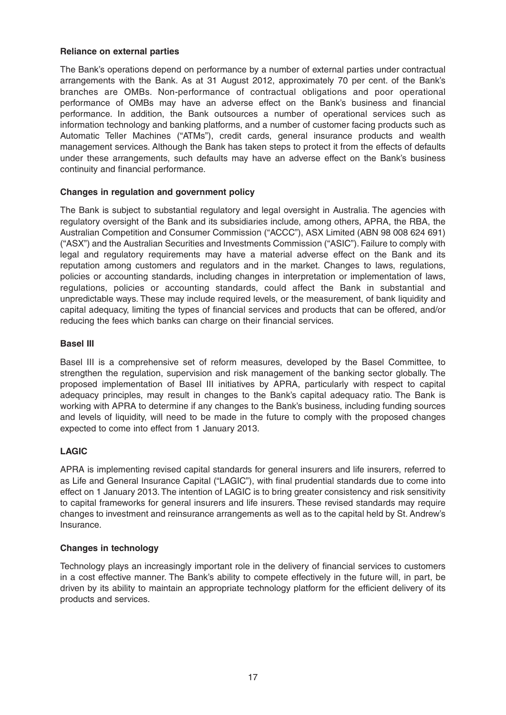#### **Reliance on external parties**

The Bank's operations depend on performance by a number of external parties under contractual arrangements with the Bank. As at 31 August 2012, approximately 70 per cent. of the Bank's branches are OMBs. Non-performance of contractual obligations and poor operational performance of OMBs may have an adverse effect on the Bank's business and financial performance. In addition, the Bank outsources a number of operational services such as information technology and banking platforms, and a number of customer facing products such as Automatic Teller Machines ("ATMs"), credit cards, general insurance products and wealth management services. Although the Bank has taken steps to protect it from the effects of defaults under these arrangements, such defaults may have an adverse effect on the Bank's business continuity and financial performance.

#### **Changes in regulation and government policy**

The Bank is subject to substantial regulatory and legal oversight in Australia. The agencies with regulatory oversight of the Bank and its subsidiaries include, among others, APRA, the RBA, the Australian Competition and Consumer Commission ("ACCC"), ASX Limited (ABN 98 008 624 691) ("ASX") and the Australian Securities and Investments Commission ("ASIC"). Failure to comply with legal and regulatory requirements may have a material adverse effect on the Bank and its reputation among customers and regulators and in the market. Changes to laws, regulations, policies or accounting standards, including changes in interpretation or implementation of laws, regulations, policies or accounting standards, could affect the Bank in substantial and unpredictable ways. These may include required levels, or the measurement, of bank liquidity and capital adequacy, limiting the types of financial services and products that can be offered, and/or reducing the fees which banks can charge on their financial services.

#### **Basel III**

Basel III is a comprehensive set of reform measures, developed by the Basel Committee, to strengthen the regulation, supervision and risk management of the banking sector globally. The proposed implementation of Basel III initiatives by APRA, particularly with respect to capital adequacy principles, may result in changes to the Bank's capital adequacy ratio. The Bank is working with APRA to determine if any changes to the Bank's business, including funding sources and levels of liquidity, will need to be made in the future to comply with the proposed changes expected to come into effect from 1 January 2013.

#### **LAGIC**

APRA is implementing revised capital standards for general insurers and life insurers, referred to as Life and General Insurance Capital ("LAGIC"), with final prudential standards due to come into effect on 1 January 2013. The intention of LAGIC is to bring greater consistency and risk sensitivity to capital frameworks for general insurers and life insurers. These revised standards may require changes to investment and reinsurance arrangements as well as to the capital held by St. Andrew's Insurance.

#### **Changes in technology**

Technology plays an increasingly important role in the delivery of financial services to customers in a cost effective manner. The Bank's ability to compete effectively in the future will, in part, be driven by its ability to maintain an appropriate technology platform for the efficient delivery of its products and services.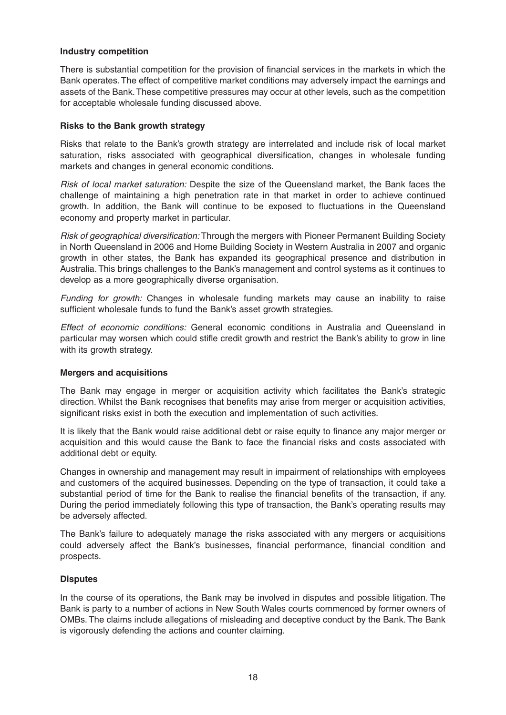#### **Industry competition**

There is substantial competition for the provision of financial services in the markets in which the Bank operates. The effect of competitive market conditions may adversely impact the earnings and assets of the Bank. These competitive pressures may occur at other levels, such as the competition for acceptable wholesale funding discussed above.

#### **Risks to the Bank growth strategy**

Risks that relate to the Bank's growth strategy are interrelated and include risk of local market saturation, risks associated with geographical diversification, changes in wholesale funding markets and changes in general economic conditions.

Risk of local market saturation: Despite the size of the Queensland market, the Bank faces the challenge of maintaining a high penetration rate in that market in order to achieve continued growth. In addition, the Bank will continue to be exposed to fluctuations in the Queensland economy and property market in particular.

Risk of geographical diversification: Through the mergers with Pioneer Permanent Building Society in North Queensland in 2006 and Home Building Society in Western Australia in 2007 and organic growth in other states, the Bank has expanded its geographical presence and distribution in Australia. This brings challenges to the Bank's management and control systems as it continues to develop as a more geographically diverse organisation.

Funding for growth: Changes in wholesale funding markets may cause an inability to raise sufficient wholesale funds to fund the Bank's asset growth strategies.

Effect of economic conditions: General economic conditions in Australia and Queensland in particular may worsen which could stifle credit growth and restrict the Bank's ability to grow in line with its growth strategy.

#### **Mergers and acquisitions**

The Bank may engage in merger or acquisition activity which facilitates the Bank's strategic direction. Whilst the Bank recognises that benefits may arise from merger or acquisition activities, significant risks exist in both the execution and implementation of such activities.

It is likely that the Bank would raise additional debt or raise equity to finance any major merger or acquisition and this would cause the Bank to face the financial risks and costs associated with additional debt or equity.

Changes in ownership and management may result in impairment of relationships with employees and customers of the acquired businesses. Depending on the type of transaction, it could take a substantial period of time for the Bank to realise the financial benefits of the transaction, if any. During the period immediately following this type of transaction, the Bank's operating results may be adversely affected.

The Bank's failure to adequately manage the risks associated with any mergers or acquisitions could adversely affect the Bank's businesses, financial performance, financial condition and prospects.

#### **Disputes**

In the course of its operations, the Bank may be involved in disputes and possible litigation. The Bank is party to a number of actions in New South Wales courts commenced by former owners of OMBs. The claims include allegations of misleading and deceptive conduct by the Bank. The Bank is vigorously defending the actions and counter claiming.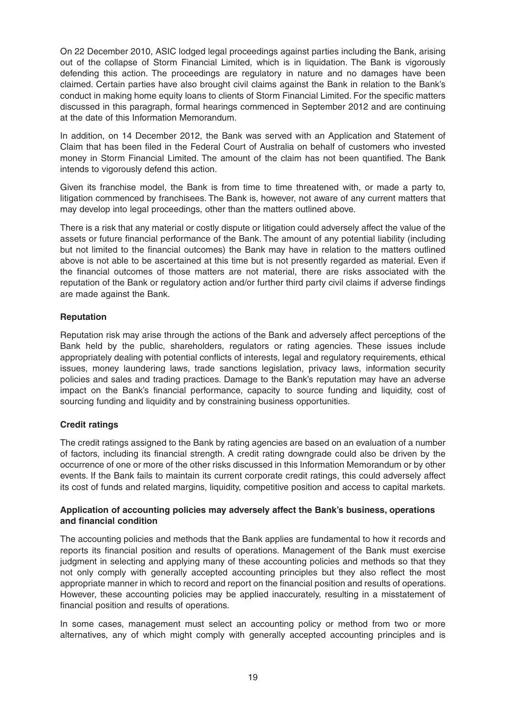On 22 December 2010, ASIC lodged legal proceedings against parties including the Bank, arising out of the collapse of Storm Financial Limited, which is in liquidation. The Bank is vigorously defending this action. The proceedings are regulatory in nature and no damages have been claimed. Certain parties have also brought civil claims against the Bank in relation to the Bank's conduct in making home equity loans to clients of Storm Financial Limited. For the specific matters discussed in this paragraph, formal hearings commenced in September 2012 and are continuing at the date of this Information Memorandum.

In addition, on 14 December 2012, the Bank was served with an Application and Statement of Claim that has been filed in the Federal Court of Australia on behalf of customers who invested money in Storm Financial Limited. The amount of the claim has not been quantified. The Bank intends to vigorously defend this action.

Given its franchise model, the Bank is from time to time threatened with, or made a party to, litigation commenced by franchisees. The Bank is, however, not aware of any current matters that may develop into legal proceedings, other than the matters outlined above.

There is a risk that any material or costly dispute or litigation could adversely affect the value of the assets or future financial performance of the Bank. The amount of any potential liability (including but not limited to the financial outcomes) the Bank may have in relation to the matters outlined above is not able to be ascertained at this time but is not presently regarded as material. Even if the financial outcomes of those matters are not material, there are risks associated with the reputation of the Bank or regulatory action and/or further third party civil claims if adverse findings are made against the Bank.

#### **Reputation**

Reputation risk may arise through the actions of the Bank and adversely affect perceptions of the Bank held by the public, shareholders, regulators or rating agencies. These issues include appropriately dealing with potential conflicts of interests, legal and regulatory requirements, ethical issues, money laundering laws, trade sanctions legislation, privacy laws, information security policies and sales and trading practices. Damage to the Bank's reputation may have an adverse impact on the Bank's financial performance, capacity to source funding and liquidity, cost of sourcing funding and liquidity and by constraining business opportunities.

### **Credit ratings**

The credit ratings assigned to the Bank by rating agencies are based on an evaluation of a number of factors, including its financial strength. A credit rating downgrade could also be driven by the occurrence of one or more of the other risks discussed in this Information Memorandum or by other events. If the Bank fails to maintain its current corporate credit ratings, this could adversely affect its cost of funds and related margins, liquidity, competitive position and access to capital markets.

#### **Application of accounting policies may adversely affect the Bank's business, operations and financial condition**

The accounting policies and methods that the Bank applies are fundamental to how it records and reports its financial position and results of operations. Management of the Bank must exercise judgment in selecting and applying many of these accounting policies and methods so that they not only comply with generally accepted accounting principles but they also reflect the most appropriate manner in which to record and report on the financial position and results of operations. However, these accounting policies may be applied inaccurately, resulting in a misstatement of financial position and results of operations.

In some cases, management must select an accounting policy or method from two or more alternatives, any of which might comply with generally accepted accounting principles and is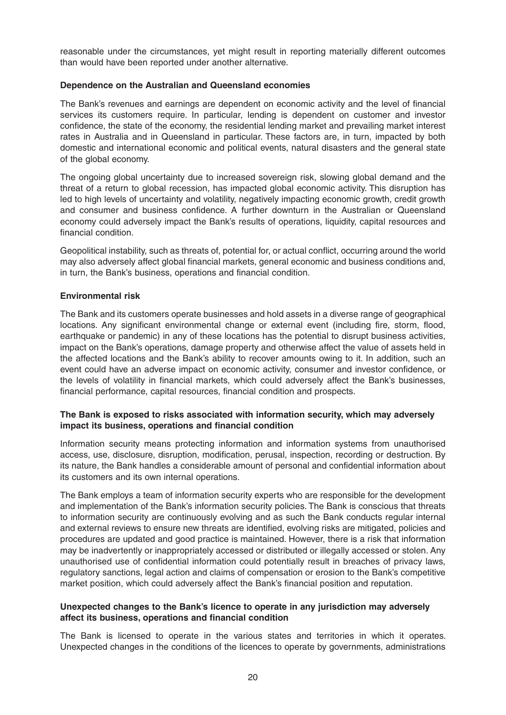reasonable under the circumstances, yet might result in reporting materially different outcomes than would have been reported under another alternative.

#### **Dependence on the Australian and Queensland economies**

The Bank's revenues and earnings are dependent on economic activity and the level of financial services its customers require. In particular, lending is dependent on customer and investor confidence, the state of the economy, the residential lending market and prevailing market interest rates in Australia and in Queensland in particular. These factors are, in turn, impacted by both domestic and international economic and political events, natural disasters and the general state of the global economy.

The ongoing global uncertainty due to increased sovereign risk, slowing global demand and the threat of a return to global recession, has impacted global economic activity. This disruption has led to high levels of uncertainty and volatility, negatively impacting economic growth, credit growth and consumer and business confidence. A further downturn in the Australian or Queensland economy could adversely impact the Bank's results of operations, liquidity, capital resources and financial condition.

Geopolitical instability, such as threats of, potential for, or actual conflict, occurring around the world may also adversely affect global financial markets, general economic and business conditions and, in turn, the Bank's business, operations and financial condition.

#### **Environmental risk**

The Bank and its customers operate businesses and hold assets in a diverse range of geographical locations. Any significant environmental change or external event (including fire, storm, flood, earthquake or pandemic) in any of these locations has the potential to disrupt business activities, impact on the Bank's operations, damage property and otherwise affect the value of assets held in the affected locations and the Bank's ability to recover amounts owing to it. In addition, such an event could have an adverse impact on economic activity, consumer and investor confidence, or the levels of volatility in financial markets, which could adversely affect the Bank's businesses, financial performance, capital resources, financial condition and prospects.

#### **The Bank is exposed to risks associated with information security, which may adversely impact its business, operations and financial condition**

Information security means protecting information and information systems from unauthorised access, use, disclosure, disruption, modification, perusal, inspection, recording or destruction. By its nature, the Bank handles a considerable amount of personal and confidential information about its customers and its own internal operations.

The Bank employs a team of information security experts who are responsible for the development and implementation of the Bank's information security policies. The Bank is conscious that threats to information security are continuously evolving and as such the Bank conducts regular internal and external reviews to ensure new threats are identified, evolving risks are mitigated, policies and procedures are updated and good practice is maintained. However, there is a risk that information may be inadvertently or inappropriately accessed or distributed or illegally accessed or stolen. Any unauthorised use of confidential information could potentially result in breaches of privacy laws, regulatory sanctions, legal action and claims of compensation or erosion to the Bank's competitive market position, which could adversely affect the Bank's financial position and reputation.

#### **Unexpected changes to the Bank's licence to operate in any jurisdiction may adversely affect its business, operations and financial condition**

The Bank is licensed to operate in the various states and territories in which it operates. Unexpected changes in the conditions of the licences to operate by governments, administrations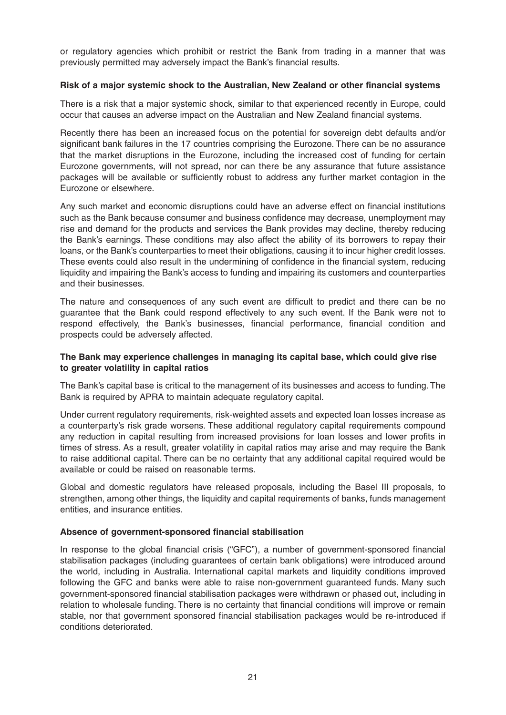or regulatory agencies which prohibit or restrict the Bank from trading in a manner that was previously permitted may adversely impact the Bank's financial results.

#### **Risk of a major systemic shock to the Australian, New Zealand or other financial systems**

There is a risk that a major systemic shock, similar to that experienced recently in Europe, could occur that causes an adverse impact on the Australian and New Zealand financial systems.

Recently there has been an increased focus on the potential for sovereign debt defaults and/or significant bank failures in the 17 countries comprising the Eurozone. There can be no assurance that the market disruptions in the Eurozone, including the increased cost of funding for certain Eurozone governments, will not spread, nor can there be any assurance that future assistance packages will be available or sufficiently robust to address any further market contagion in the Eurozone or elsewhere.

Any such market and economic disruptions could have an adverse effect on financial institutions such as the Bank because consumer and business confidence may decrease, unemployment may rise and demand for the products and services the Bank provides may decline, thereby reducing the Bank's earnings. These conditions may also affect the ability of its borrowers to repay their loans, or the Bank's counterparties to meet their obligations, causing it to incur higher credit losses. These events could also result in the undermining of confidence in the financial system, reducing liquidity and impairing the Bank's access to funding and impairing its customers and counterparties and their businesses.

The nature and consequences of any such event are difficult to predict and there can be no guarantee that the Bank could respond effectively to any such event. If the Bank were not to respond effectively, the Bank's businesses, financial performance, financial condition and prospects could be adversely affected.

#### **The Bank may experience challenges in managing its capital base, which could give rise to greater volatility in capital ratios**

The Bank's capital base is critical to the management of its businesses and access to funding. The Bank is required by APRA to maintain adequate regulatory capital.

Under current regulatory requirements, risk-weighted assets and expected loan losses increase as a counterparty's risk grade worsens. These additional regulatory capital requirements compound any reduction in capital resulting from increased provisions for loan losses and lower profits in times of stress. As a result, greater volatility in capital ratios may arise and may require the Bank to raise additional capital. There can be no certainty that any additional capital required would be available or could be raised on reasonable terms.

Global and domestic regulators have released proposals, including the Basel III proposals, to strengthen, among other things, the liquidity and capital requirements of banks, funds management entities, and insurance entities.

#### **Absence of government-sponsored financial stabilisation**

In response to the global financial crisis ("GFC"), a number of government-sponsored financial stabilisation packages (including guarantees of certain bank obligations) were introduced around the world, including in Australia. International capital markets and liquidity conditions improved following the GFC and banks were able to raise non-government guaranteed funds. Many such government-sponsored financial stabilisation packages were withdrawn or phased out, including in relation to wholesale funding. There is no certainty that financial conditions will improve or remain stable, nor that government sponsored financial stabilisation packages would be re-introduced if conditions deteriorated.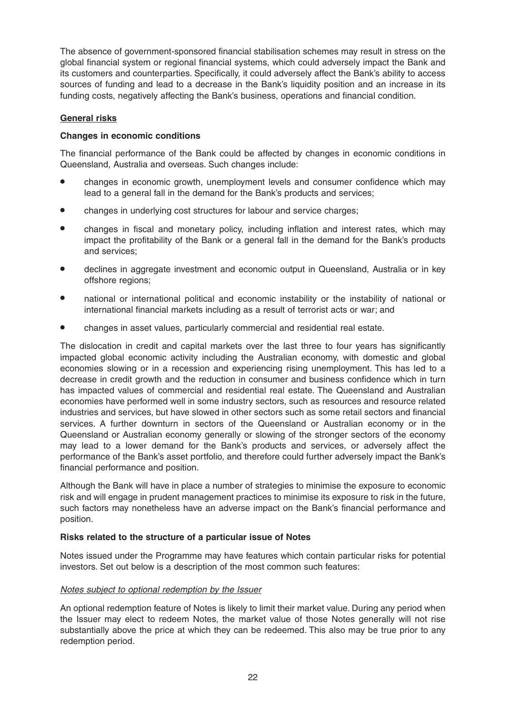The absence of government-sponsored financial stabilisation schemes may result in stress on the global financial system or regional financial systems, which could adversely impact the Bank and its customers and counterparties. Specifically, it could adversely affect the Bank's ability to access sources of funding and lead to a decrease in the Bank's liquidity position and an increase in its funding costs, negatively affecting the Bank's business, operations and financial condition.

#### **General risks**

#### **Changes in economic conditions**

The financial performance of the Bank could be affected by changes in economic conditions in Queensland, Australia and overseas. Such changes include:

- changes in economic growth, unemployment levels and consumer confidence which may lead to a general fall in the demand for the Bank's products and services;
- changes in underlying cost structures for labour and service charges;
- changes in fiscal and monetary policy, including inflation and interest rates, which may impact the profitability of the Bank or a general fall in the demand for the Bank's products and services;
- declines in aggregate investment and economic output in Queensland, Australia or in key offshore regions;
- national or international political and economic instability or the instability of national or international financial markets including as a result of terrorist acts or war; and
- changes in asset values, particularly commercial and residential real estate.

The dislocation in credit and capital markets over the last three to four years has significantly impacted global economic activity including the Australian economy, with domestic and global economies slowing or in a recession and experiencing rising unemployment. This has led to a decrease in credit growth and the reduction in consumer and business confidence which in turn has impacted values of commercial and residential real estate. The Queensland and Australian economies have performed well in some industry sectors, such as resources and resource related industries and services, but have slowed in other sectors such as some retail sectors and financial services. A further downturn in sectors of the Queensland or Australian economy or in the Queensland or Australian economy generally or slowing of the stronger sectors of the economy may lead to a lower demand for the Bank's products and services, or adversely affect the performance of the Bank's asset portfolio, and therefore could further adversely impact the Bank's financial performance and position.

Although the Bank will have in place a number of strategies to minimise the exposure to economic risk and will engage in prudent management practices to minimise its exposure to risk in the future, such factors may nonetheless have an adverse impact on the Bank's financial performance and position.

#### **Risks related to the structure of a particular issue of Notes**

Notes issued under the Programme may have features which contain particular risks for potential investors. Set out below is a description of the most common such features:

#### Notes subject to optional redemption by the Issuer

An optional redemption feature of Notes is likely to limit their market value. During any period when the Issuer may elect to redeem Notes, the market value of those Notes generally will not rise substantially above the price at which they can be redeemed. This also may be true prior to any redemption period.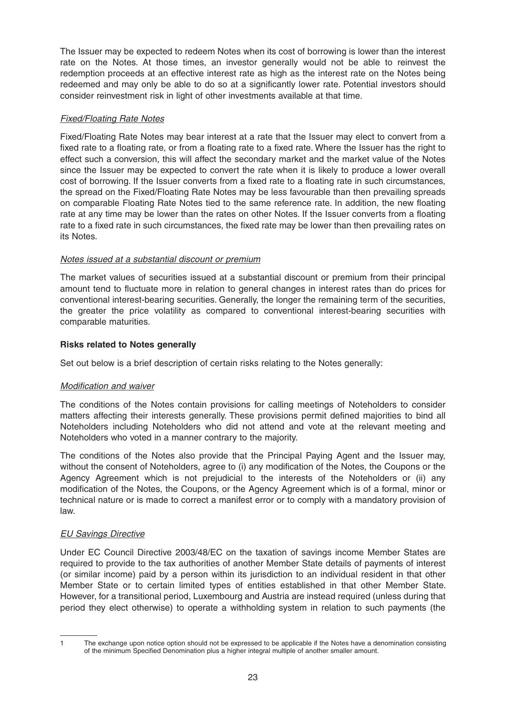The Issuer may be expected to redeem Notes when its cost of borrowing is lower than the interest rate on the Notes. At those times, an investor generally would not be able to reinvest the redemption proceeds at an effective interest rate as high as the interest rate on the Notes being redeemed and may only be able to do so at a significantly lower rate. Potential investors should consider reinvestment risk in light of other investments available at that time.

#### Fixed/Floating Rate Notes

Fixed/Floating Rate Notes may bear interest at a rate that the Issuer may elect to convert from a fixed rate to a floating rate, or from a floating rate to a fixed rate. Where the Issuer has the right to effect such a conversion, this will affect the secondary market and the market value of the Notes since the Issuer may be expected to convert the rate when it is likely to produce a lower overall cost of borrowing. If the Issuer converts from a fixed rate to a floating rate in such circumstances, the spread on the Fixed/Floating Rate Notes may be less favourable than then prevailing spreads on comparable Floating Rate Notes tied to the same reference rate. In addition, the new floating rate at any time may be lower than the rates on other Notes. If the Issuer converts from a floating rate to a fixed rate in such circumstances, the fixed rate may be lower than then prevailing rates on its Notes.

#### Notes issued at a substantial discount or premium

The market values of securities issued at a substantial discount or premium from their principal amount tend to fluctuate more in relation to general changes in interest rates than do prices for conventional interest-bearing securities. Generally, the longer the remaining term of the securities, the greater the price volatility as compared to conventional interest-bearing securities with comparable maturities.

#### **Risks related to Notes generally**

Set out below is a brief description of certain risks relating to the Notes generally:

#### Modification and waiver

The conditions of the Notes contain provisions for calling meetings of Noteholders to consider matters affecting their interests generally. These provisions permit defined majorities to bind all Noteholders including Noteholders who did not attend and vote at the relevant meeting and Noteholders who voted in a manner contrary to the majority.

The conditions of the Notes also provide that the Principal Paying Agent and the Issuer may, without the consent of Noteholders, agree to (i) any modification of the Notes, the Coupons or the Agency Agreement which is not prejudicial to the interests of the Noteholders or (ii) any modification of the Notes, the Coupons, or the Agency Agreement which is of a formal, minor or technical nature or is made to correct a manifest error or to comply with a mandatory provision of law.

### EU Savings Directive

Under EC Council Directive 2003/48/EC on the taxation of savings income Member States are required to provide to the tax authorities of another Member State details of payments of interest (or similar income) paid by a person within its jurisdiction to an individual resident in that other Member State or to certain limited types of entities established in that other Member State. However, for a transitional period, Luxembourg and Austria are instead required (unless during that period they elect otherwise) to operate a withholding system in relation to such payments (the

<sup>1</sup> The exchange upon notice option should not be expressed to be applicable if the Notes have a denomination consisting of the minimum Specified Denomination plus a higher integral multiple of another smaller amount.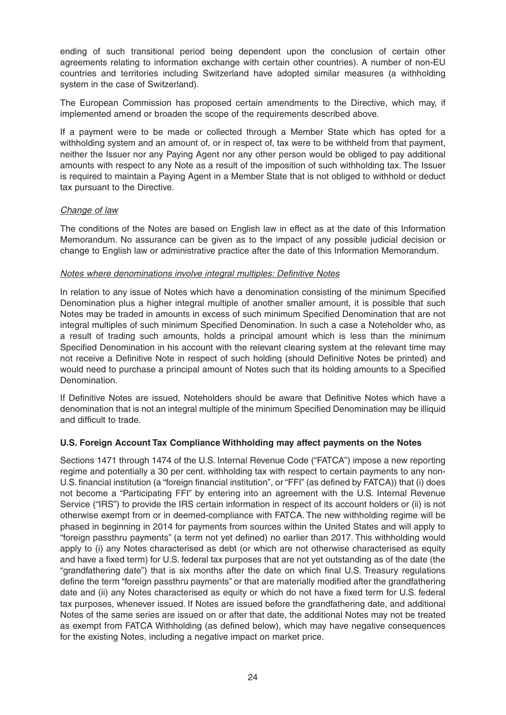ending of such transitional period being dependent upon the conclusion of certain other agreements relating to information exchange with certain other countries). A number of non-EU countries and territories including Switzerland have adopted similar measures (a withholding system in the case of Switzerland).

The European Commission has proposed certain amendments to the Directive, which may, if implemented amend or broaden the scope of the requirements described above.

If a payment were to be made or collected through a Member State which has opted for a withholding system and an amount of, or in respect of, tax were to be withheld from that payment, neither the Issuer nor any Paying Agent nor any other person would be obliged to pay additional amounts with respect to any Note as a result of the imposition of such withholding tax. The Issuer is required to maintain a Paying Agent in a Member State that is not obliged to withhold or deduct tax pursuant to the Directive.

#### Change of law

The conditions of the Notes are based on English law in effect as at the date of this Information Memorandum. No assurance can be given as to the impact of any possible judicial decision or change to English law or administrative practice after the date of this Information Memorandum.

#### Notes where denominations involve integral multiples: Definitive Notes

In relation to any issue of Notes which have a denomination consisting of the minimum Specified Denomination plus a higher integral multiple of another smaller amount, it is possible that such Notes may be traded in amounts in excess of such minimum Specified Denomination that are not integral multiples of such minimum Specified Denomination. In such a case a Noteholder who, as a result of trading such amounts, holds a principal amount which is less than the minimum Specified Denomination in his account with the relevant clearing system at the relevant time may not receive a Definitive Note in respect of such holding (should Definitive Notes be printed) and would need to purchase a principal amount of Notes such that its holding amounts to a Specified Denomination.

If Definitive Notes are issued, Noteholders should be aware that Definitive Notes which have a denomination that is not an integral multiple of the minimum Specified Denomination may be illiquid and difficult to trade.

#### **U.S. Foreign Account Tax Compliance Withholding may affect payments on the Notes**

Sections 1471 through 1474 of the U.S. Internal Revenue Code ("FATCA") impose a new reporting regime and potentially a 30 per cent. withholding tax with respect to certain payments to any non-U.S. financial institution (a "foreign financial institution", or "FFI" (as defined by FATCA)) that (i) does not become a "Participating FFI" by entering into an agreement with the U.S. Internal Revenue Service ("IRS") to provide the IRS certain information in respect of its account holders or (ii) is not otherwise exempt from or in deemed-compliance with FATCA. The new withholding regime will be phased in beginning in 2014 for payments from sources within the United States and will apply to "foreign passthru payments" (a term not yet defined) no earlier than 2017. This withholding would apply to (i) any Notes characterised as debt (or which are not otherwise characterised as equity and have a fixed term) for U.S. federal tax purposes that are not yet outstanding as of the date (the "grandfathering date") that is six months after the date on which final U.S. Treasury regulations define the term "foreign passthru payments" or that are materially modified after the grandfathering date and (ii) any Notes characterised as equity or which do not have a fixed term for U.S. federal tax purposes, whenever issued. If Notes are issued before the grandfathering date, and additional Notes of the same series are issued on or after that date, the additional Notes may not be treated as exempt from FATCA Withholding (as defined below), which may have negative consequences for the existing Notes, including a negative impact on market price.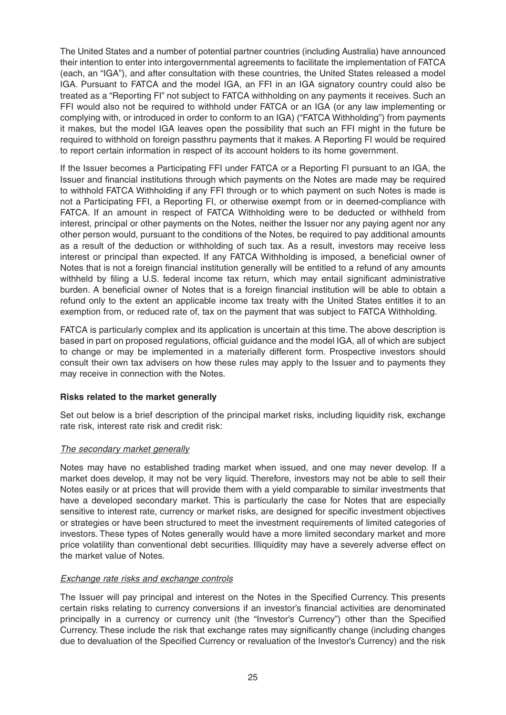The United States and a number of potential partner countries (including Australia) have announced their intention to enter into intergovernmental agreements to facilitate the implementation of FATCA (each, an "IGA"), and after consultation with these countries, the United States released a model IGA. Pursuant to FATCA and the model IGA, an FFI in an IGA signatory country could also be treated as a "Reporting FI" not subject to FATCA withholding on any payments it receives. Such an FFI would also not be required to withhold under FATCA or an IGA (or any law implementing or complying with, or introduced in order to conform to an IGA) ("FATCA Withholding") from payments it makes, but the model IGA leaves open the possibility that such an FFI might in the future be required to withhold on foreign passthru payments that it makes. A Reporting FI would be required to report certain information in respect of its account holders to its home government.

If the Issuer becomes a Participating FFI under FATCA or a Reporting FI pursuant to an IGA, the Issuer and financial institutions through which payments on the Notes are made may be required to withhold FATCA Withholding if any FFI through or to which payment on such Notes is made is not a Participating FFI, a Reporting FI, or otherwise exempt from or in deemed-compliance with FATCA. If an amount in respect of FATCA Withholding were to be deducted or withheld from interest, principal or other payments on the Notes, neither the Issuer nor any paying agent nor any other person would, pursuant to the conditions of the Notes, be required to pay additional amounts as a result of the deduction or withholding of such tax. As a result, investors may receive less interest or principal than expected. If any FATCA Withholding is imposed, a beneficial owner of Notes that is not a foreign financial institution generally will be entitled to a refund of any amounts withheld by filing a U.S. federal income tax return, which may entail significant administrative burden. A beneficial owner of Notes that is a foreign financial institution will be able to obtain a refund only to the extent an applicable income tax treaty with the United States entitles it to an exemption from, or reduced rate of, tax on the payment that was subject to FATCA Withholding.

FATCA is particularly complex and its application is uncertain at this time. The above description is based in part on proposed regulations, official guidance and the model IGA, all of which are subject to change or may be implemented in a materially different form. Prospective investors should consult their own tax advisers on how these rules may apply to the Issuer and to payments they may receive in connection with the Notes.

#### **Risks related to the market generally**

Set out below is a brief description of the principal market risks, including liquidity risk, exchange rate risk, interest rate risk and credit risk:

#### The secondary market generally

Notes may have no established trading market when issued, and one may never develop. If a market does develop, it may not be very liquid. Therefore, investors may not be able to sell their Notes easily or at prices that will provide them with a yield comparable to similar investments that have a developed secondary market. This is particularly the case for Notes that are especially sensitive to interest rate, currency or market risks, are designed for specific investment objectives or strategies or have been structured to meet the investment requirements of limited categories of investors. These types of Notes generally would have a more limited secondary market and more price volatility than conventional debt securities. Illiquidity may have a severely adverse effect on the market value of Notes.

#### Exchange rate risks and exchange controls

The Issuer will pay principal and interest on the Notes in the Specified Currency. This presents certain risks relating to currency conversions if an investor's financial activities are denominated principally in a currency or currency unit (the "Investor's Currency") other than the Specified Currency. These include the risk that exchange rates may significantly change (including changes due to devaluation of the Specified Currency or revaluation of the Investor's Currency) and the risk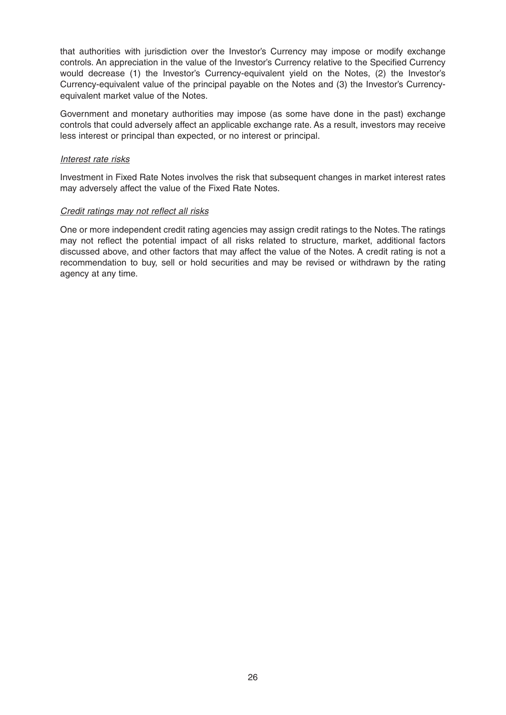that authorities with jurisdiction over the Investor's Currency may impose or modify exchange controls. An appreciation in the value of the Investor's Currency relative to the Specified Currency would decrease (1) the Investor's Currency-equivalent yield on the Notes, (2) the Investor's Currency-equivalent value of the principal payable on the Notes and (3) the Investor's Currencyequivalent market value of the Notes.

Government and monetary authorities may impose (as some have done in the past) exchange controls that could adversely affect an applicable exchange rate. As a result, investors may receive less interest or principal than expected, or no interest or principal.

#### Interest rate risks

Investment in Fixed Rate Notes involves the risk that subsequent changes in market interest rates may adversely affect the value of the Fixed Rate Notes.

#### Credit ratings may not reflect all risks

One or more independent credit rating agencies may assign credit ratings to the Notes. The ratings may not reflect the potential impact of all risks related to structure, market, additional factors discussed above, and other factors that may affect the value of the Notes. A credit rating is not a recommendation to buy, sell or hold securities and may be revised or withdrawn by the rating agency at any time.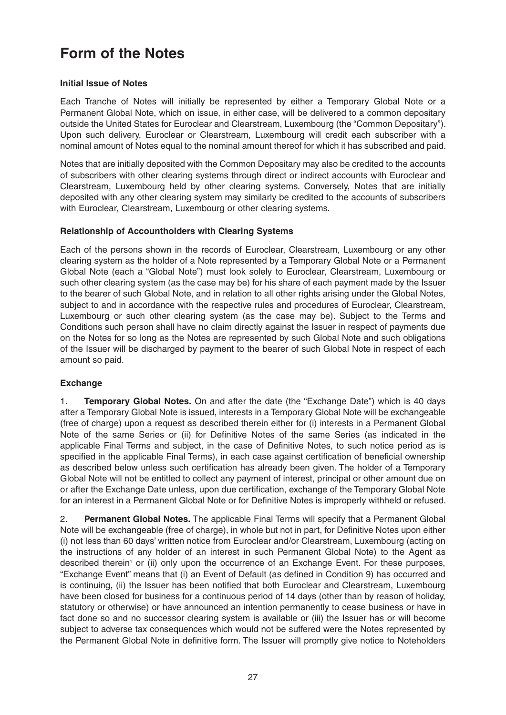## **Form of the Notes**

#### **Initial Issue of Notes**

Each Tranche of Notes will initially be represented by either a Temporary Global Note or a Permanent Global Note, which on issue, in either case, will be delivered to a common depositary outside the United States for Euroclear and Clearstream, Luxembourg (the "Common Depositary"). Upon such delivery, Euroclear or Clearstream, Luxembourg will credit each subscriber with a nominal amount of Notes equal to the nominal amount thereof for which it has subscribed and paid.

Notes that are initially deposited with the Common Depositary may also be credited to the accounts of subscribers with other clearing systems through direct or indirect accounts with Euroclear and Clearstream, Luxembourg held by other clearing systems. Conversely, Notes that are initially deposited with any other clearing system may similarly be credited to the accounts of subscribers with Euroclear, Clearstream, Luxembourg or other clearing systems.

#### **Relationship of Accountholders with Clearing Systems**

Each of the persons shown in the records of Euroclear, Clearstream, Luxembourg or any other clearing system as the holder of a Note represented by a Temporary Global Note or a Permanent Global Note (each a "Global Note") must look solely to Euroclear, Clearstream, Luxembourg or such other clearing system (as the case may be) for his share of each payment made by the Issuer to the bearer of such Global Note, and in relation to all other rights arising under the Global Notes, subject to and in accordance with the respective rules and procedures of Euroclear, Clearstream, Luxembourg or such other clearing system (as the case may be). Subject to the Terms and Conditions such person shall have no claim directly against the Issuer in respect of payments due on the Notes for so long as the Notes are represented by such Global Note and such obligations of the Issuer will be discharged by payment to the bearer of such Global Note in respect of each amount so paid.

#### **Exchange**

1. **Temporary Global Notes.** On and after the date (the "Exchange Date") which is 40 days after a Temporary Global Note is issued, interests in a Temporary Global Note will be exchangeable (free of charge) upon a request as described therein either for (i) interests in a Permanent Global Note of the same Series or (ii) for Definitive Notes of the same Series (as indicated in the applicable Final Terms and subject, in the case of Definitive Notes, to such notice period as is specified in the applicable Final Terms), in each case against certification of beneficial ownership as described below unless such certification has already been given. The holder of a Temporary Global Note will not be entitled to collect any payment of interest, principal or other amount due on or after the Exchange Date unless, upon due certification, exchange of the Temporary Global Note for an interest in a Permanent Global Note or for Definitive Notes is improperly withheld or refused.

2. **Permanent Global Notes.** The applicable Final Terms will specify that a Permanent Global Note will be exchangeable (free of charge), in whole but not in part, for Definitive Notes upon either (i) not less than 60 days' written notice from Euroclear and/or Clearstream, Luxembourg (acting on the instructions of any holder of an interest in such Permanent Global Note) to the Agent as described therein<sup>1</sup> or (ii) only upon the occurrence of an Exchange Event. For these purposes, "Exchange Event" means that (i) an Event of Default (as defined in Condition 9) has occurred and is continuing, (ii) the Issuer has been notified that both Euroclear and Clearstream, Luxembourg have been closed for business for a continuous period of 14 days (other than by reason of holiday, statutory or otherwise) or have announced an intention permanently to cease business or have in fact done so and no successor clearing system is available or (iii) the Issuer has or will become subject to adverse tax consequences which would not be suffered were the Notes represented by the Permanent Global Note in definitive form. The Issuer will promptly give notice to Noteholders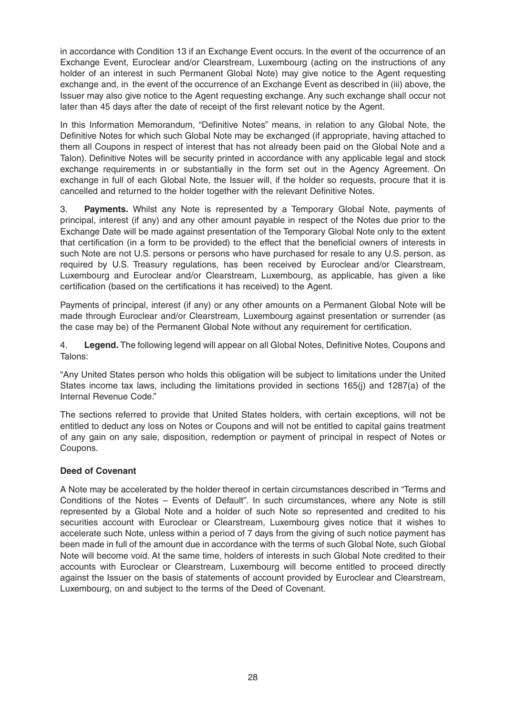in accordance with Condition 13 if an Exchange Event occurs. In the event of the occurrence of an Exchange Event, Euroclear and/or Clearstream, Luxembourg (acting on the instructions of any holder of an interest in such Permanent Global Note) may give notice to the Agent requesting exchange and, in the event of the occurrence of an Exchange Event as described in (iii) above, the Issuer may also give notice to the Agent requesting exchange. Any such exchange shall occur not later than 45 days after the date of receipt of the first relevant notice by the Agent.

In this Information Memorandum, "Definitive Notes" means, in relation to any Global Note, the Definitive Notes for which such Global Note may be exchanged (if appropriate, having attached to them all Coupons in respect of interest that has not already been paid on the Global Note and a Talon). Definitive Notes will be security printed in accordance with any applicable legal and stock exchange requirements in or substantially in the form set out in the Agency Agreement. On exchange in full of each Global Note, the Issuer will, if the holder so requests, procure that it is cancelled and returned to the holder together with the relevant Definitive Notes.

3. **Payments.** Whilst any Note is represented by a Temporary Global Note, payments of principal, interest (if any) and any other amount payable in respect of the Notes due prior to the Exchange Date will be made against presentation of the Temporary Global Note only to the extent that certification (in a form to be provided) to the effect that the beneficial owners of interests in such Note are not U.S. persons or persons who have purchased for resale to any U.S. person, as required by U.S. Treasury regulations, has been received by Euroclear and/or Clearstream, Luxembourg and Euroclear and/or Clearstream, Luxembourg, as applicable, has given a like certification (based on the certifications it has received) to the Agent.

Payments of principal, interest (if any) or any other amounts on a Permanent Global Note will be made through Euroclear and/or Clearstream, Luxembourg against presentation or surrender (as the case may be) of the Permanent Global Note without any requirement for certification.

4. **Legend.** The following legend will appear on all Global Notes, Definitive Notes, Coupons and Talons:

"Any United States person who holds this obligation will be subject to limitations under the United States income tax laws, including the limitations provided in sections 165(j) and 1287(a) of the Internal Revenue Code."

The sections referred to provide that United States holders, with certain exceptions, will not be entitled to deduct any loss on Notes or Coupons and will not be entitled to capital gains treatment of any gain on any sale, disposition, redemption or payment of principal in respect of Notes or Coupons.

#### **Deed of Covenant**

A Note may be accelerated by the holder thereof in certain circumstances described in "Terms and Conditions of the Notes – Events of Default". In such circumstances, where any Note is still represented by a Global Note and a holder of such Note so represented and credited to his securities account with Euroclear or Clearstream, Luxembourg gives notice that it wishes to accelerate such Note, unless within a period of 7 days from the giving of such notice payment has been made in full of the amount due in accordance with the terms of such Global Note, such Global Note will become void. At the same time, holders of interests in such Global Note credited to their accounts with Euroclear or Clearstream, Luxembourg will become entitled to proceed directly against the Issuer on the basis of statements of account provided by Euroclear and Clearstream, Luxembourg, on and subject to the terms of the Deed of Covenant.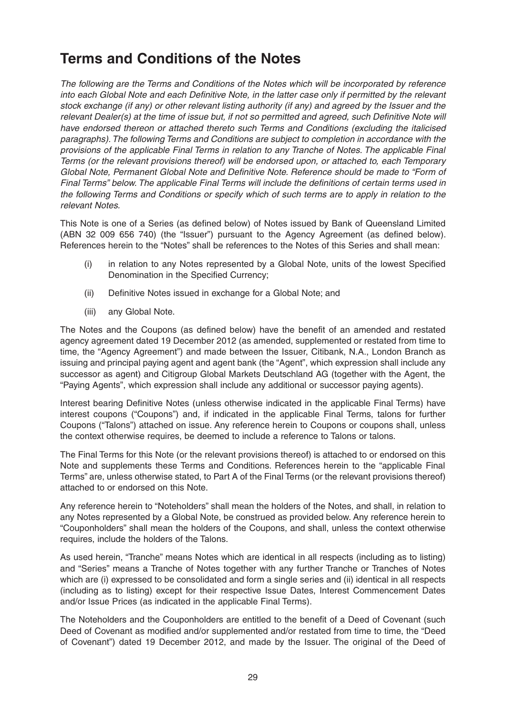## **Terms and Conditions of the Notes**

The following are the Terms and Conditions of the Notes which will be incorporated by reference into each Global Note and each Definitive Note, in the latter case only if permitted by the relevant stock exchange (if any) or other relevant listing authority (if any) and agreed by the Issuer and the relevant Dealer(s) at the time of issue but, if not so permitted and agreed, such Definitive Note will have endorsed thereon or attached thereto such Terms and Conditions (excluding the italicised paragraphs). The following Terms and Conditions are subject to completion in accordance with the provisions of the applicable Final Terms in relation to any Tranche of Notes. The applicable Final Terms (or the relevant provisions thereof) will be endorsed upon, or attached to, each Temporary Global Note, Permanent Global Note and Definitive Note. Reference should be made to "Form of Final Terms" below. The applicable Final Terms will include the definitions of certain terms used in the following Terms and Conditions or specify which of such terms are to apply in relation to the relevant Notes.

This Note is one of a Series (as defined below) of Notes issued by Bank of Queensland Limited (ABN 32 009 656 740) (the "Issuer") pursuant to the Agency Agreement (as defined below). References herein to the "Notes" shall be references to the Notes of this Series and shall mean:

- (i) in relation to any Notes represented by a Global Note, units of the lowest Specified Denomination in the Specified Currency;
- (ii) Definitive Notes issued in exchange for a Global Note; and
- (iii) any Global Note.

The Notes and the Coupons (as defined below) have the benefit of an amended and restated agency agreement dated 19 December 2012 (as amended, supplemented or restated from time to time, the "Agency Agreement") and made between the Issuer, Citibank, N.A., London Branch as issuing and principal paying agent and agent bank (the "Agent", which expression shall include any successor as agent) and Citigroup Global Markets Deutschland AG (together with the Agent, the "Paying Agents", which expression shall include any additional or successor paying agents).

Interest bearing Definitive Notes (unless otherwise indicated in the applicable Final Terms) have interest coupons ("Coupons") and, if indicated in the applicable Final Terms, talons for further Coupons ("Talons") attached on issue. Any reference herein to Coupons or coupons shall, unless the context otherwise requires, be deemed to include a reference to Talons or talons.

The Final Terms for this Note (or the relevant provisions thereof) is attached to or endorsed on this Note and supplements these Terms and Conditions. References herein to the "applicable Final Terms" are, unless otherwise stated, to Part A of the Final Terms (or the relevant provisions thereof) attached to or endorsed on this Note.

Any reference herein to "Noteholders" shall mean the holders of the Notes, and shall, in relation to any Notes represented by a Global Note, be construed as provided below. Any reference herein to "Couponholders" shall mean the holders of the Coupons, and shall, unless the context otherwise requires, include the holders of the Talons.

As used herein, "Tranche" means Notes which are identical in all respects (including as to listing) and "Series" means a Tranche of Notes together with any further Tranche or Tranches of Notes which are (i) expressed to be consolidated and form a single series and (ii) identical in all respects (including as to listing) except for their respective Issue Dates, Interest Commencement Dates and/or Issue Prices (as indicated in the applicable Final Terms).

The Noteholders and the Couponholders are entitled to the benefit of a Deed of Covenant (such Deed of Covenant as modified and/or supplemented and/or restated from time to time, the "Deed of Covenant") dated 19 December 2012, and made by the Issuer. The original of the Deed of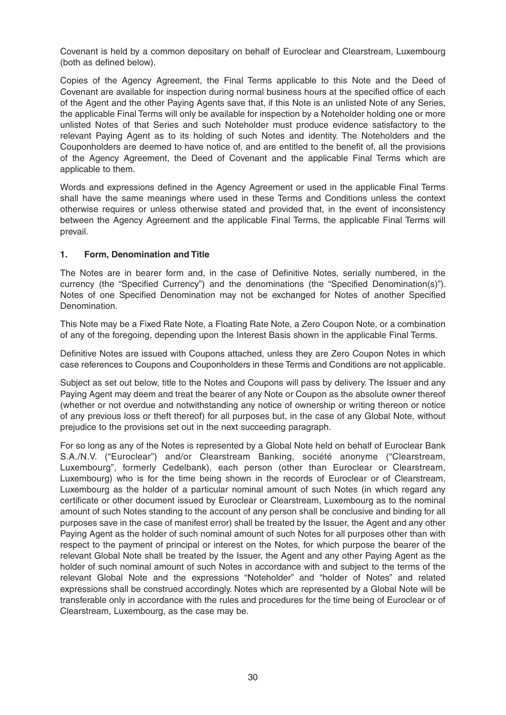Covenant is held by a common depositary on behalf of Euroclear and Clearstream, Luxembourg (both as defined below).

Copies of the Agency Agreement, the Final Terms applicable to this Note and the Deed of Covenant are available for inspection during normal business hours at the specified office of each of the Agent and the other Paying Agents save that, if this Note is an unlisted Note of any Series, the applicable Final Terms will only be available for inspection by a Noteholder holding one or more unlisted Notes of that Series and such Noteholder must produce evidence satisfactory to the relevant Paying Agent as to its holding of such Notes and identity. The Noteholders and the Couponholders are deemed to have notice of, and are entitled to the benefit of, all the provisions of the Agency Agreement, the Deed of Covenant and the applicable Final Terms which are applicable to them.

Words and expressions defined in the Agency Agreement or used in the applicable Final Terms shall have the same meanings where used in these Terms and Conditions unless the context otherwise requires or unless otherwise stated and provided that, in the event of inconsistency between the Agency Agreement and the applicable Final Terms, the applicable Final Terms will prevail.

#### **1. Form, Denomination and Title**

The Notes are in bearer form and, in the case of Definitive Notes, serially numbered, in the currency (the "Specified Currency") and the denominations (the "Specified Denomination(s)"). Notes of one Specified Denomination may not be exchanged for Notes of another Specified Denomination.

This Note may be a Fixed Rate Note, a Floating Rate Note, a Zero Coupon Note, or a combination of any of the foregoing, depending upon the Interest Basis shown in the applicable Final Terms.

Definitive Notes are issued with Coupons attached, unless they are Zero Coupon Notes in which case references to Coupons and Couponholders in these Terms and Conditions are not applicable.

Subject as set out below, title to the Notes and Coupons will pass by delivery. The Issuer and any Paying Agent may deem and treat the bearer of any Note or Coupon as the absolute owner thereof (whether or not overdue and notwithstanding any notice of ownership or writing thereon or notice of any previous loss or theft thereof) for all purposes but, in the case of any Global Note, without prejudice to the provisions set out in the next succeeding paragraph.

For so long as any of the Notes is represented by a Global Note held on behalf of Euroclear Bank S.A./N.V. ("Euroclear") and/or Clearstream Banking, société anonyme ("Clearstream, Luxembourg", formerly Cedelbank), each person (other than Euroclear or Clearstream, Luxembourg) who is for the time being shown in the records of Euroclear or of Clearstream, Luxembourg as the holder of a particular nominal amount of such Notes (in which regard any certificate or other document issued by Euroclear or Clearstream, Luxembourg as to the nominal amount of such Notes standing to the account of any person shall be conclusive and binding for all purposes save in the case of manifest error) shall be treated by the Issuer, the Agent and any other Paying Agent as the holder of such nominal amount of such Notes for all purposes other than with respect to the payment of principal or interest on the Notes, for which purpose the bearer of the relevant Global Note shall be treated by the Issuer, the Agent and any other Paying Agent as the holder of such nominal amount of such Notes in accordance with and subject to the terms of the relevant Global Note and the expressions "Noteholder" and "holder of Notes" and related expressions shall be construed accordingly. Notes which are represented by a Global Note will be transferable only in accordance with the rules and procedures for the time being of Euroclear or of Clearstream, Luxembourg, as the case may be.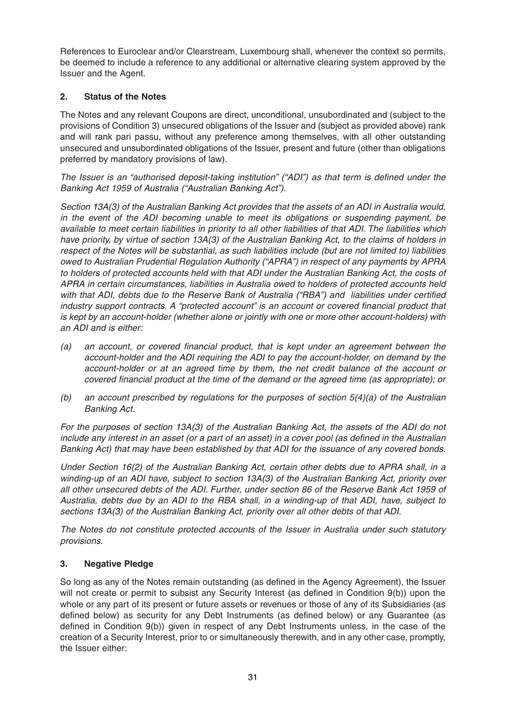References to Euroclear and/or Clearstream, Luxembourg shall, whenever the context so permits, be deemed to include a reference to any additional or alternative clearing system approved by the Issuer and the Agent.

#### **2. Status of the Notes**

The Notes and any relevant Coupons are direct, unconditional, unsubordinated and (subject to the provisions of Condition 3) unsecured obligations of the Issuer and (subject as provided above) rank and will rank pari passu, without any preference among themselves, with all other outstanding unsecured and unsubordinated obligations of the Issuer, present and future (other than obligations preferred by mandatory provisions of law).

The Issuer is an "authorised deposit-taking institution" ("ADI") as that term is defined under the Banking Act 1959 of Australia ("Australian Banking Act").

Section 13A(3) of the Australian Banking Act provides that the assets of an ADI in Australia would, in the event of the ADI becoming unable to meet its obligations or suspending payment, be available to meet certain liabilities in priority to all other liabilities of that ADI. The liabilities which have priority, by virtue of section 13A(3) of the Australian Banking Act, to the claims of holders in respect of the Notes will be substantial, as such liabilities include (but are not limited to) liabilities owed to Australian Prudential Regulation Authority ("APRA") in respect of any payments by APRA to holders of protected accounts held with that ADI under the Australian Banking Act, the costs of APRA in certain circumstances, liabilities in Australia owed to holders of protected accounts held with that ADI, debts due to the Reserve Bank of Australia ("RBA") and liabilities under certified industry support contracts. A "protected account" is an account or covered financial product that is kept by an account-holder (whether alone or jointly with one or more other account-holders) with an ADI and is either:

- (a) an account, or covered financial product, that is kept under an agreement between the account-holder and the ADI requiring the ADI to pay the account-holder, on demand by the account-holder or at an agreed time by them, the net credit balance of the account or covered financial product at the time of the demand or the agreed time (as appropriate); or
- (b) an account prescribed by regulations for the purposes of section  $5(4)(a)$  of the Australian Banking Act.

For the purposes of section 13A(3) of the Australian Banking Act, the assets of the ADI do not include any interest in an asset (or a part of an asset) in a cover pool (as defined in the Australian Banking Act) that may have been established by that ADI for the issuance of any covered bonds.

Under Section 16(2) of the Australian Banking Act, certain other debts due to APRA shall, in a winding-up of an ADI have, subject to section 13A(3) of the Australian Banking Act, priority over all other unsecured debts of the ADI. Further, under section 86 of the Reserve Bank Act 1959 of Australia, debts due by an ADI to the RBA shall, in a winding-up of that ADI, have, subject to sections 13A(3) of the Australian Banking Act, priority over all other debts of that ADI.

The Notes do not constitute protected accounts of the Issuer in Australia under such statutory provisions.

#### **3. Negative Pledge**

So long as any of the Notes remain outstanding (as defined in the Agency Agreement), the Issuer will not create or permit to subsist any Security Interest (as defined in Condition 9(b)) upon the whole or any part of its present or future assets or revenues or those of any of its Subsidiaries (as defined below) as security for any Debt Instruments (as defined below) or any Guarantee (as defined in Condition 9(b)) given in respect of any Debt Instruments unless, in the case of the creation of a Security Interest, prior to or simultaneously therewith, and in any other case, promptly, the Issuer either: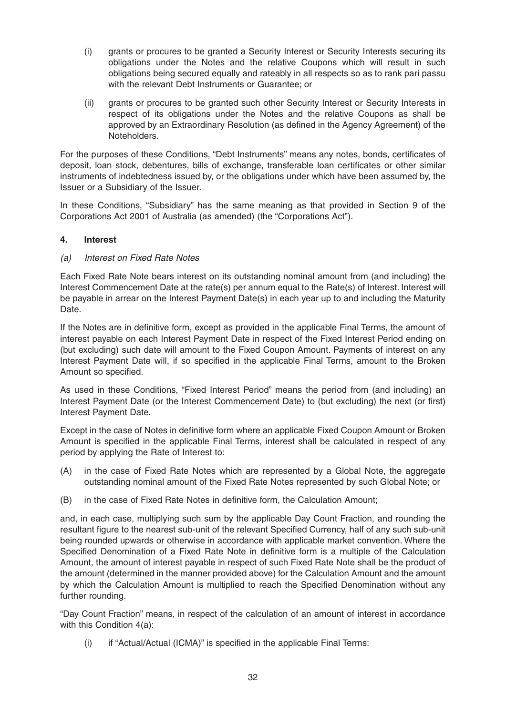- (i) grants or procures to be granted a Security Interest or Security Interests securing its obligations under the Notes and the relative Coupons which will result in such obligations being secured equally and rateably in all respects so as to rank pari passu with the relevant Debt Instruments or Guarantee; or
- (ii) grants or procures to be granted such other Security Interest or Security Interests in respect of its obligations under the Notes and the relative Coupons as shall be approved by an Extraordinary Resolution (as defined in the Agency Agreement) of the Noteholders.

For the purposes of these Conditions, "Debt Instruments" means any notes, bonds, certificates of deposit, loan stock, debentures, bills of exchange, transferable loan certificates or other similar instruments of indebtedness issued by, or the obligations under which have been assumed by, the Issuer or a Subsidiary of the Issuer.

In these Conditions, "Subsidiary" has the same meaning as that provided in Section 9 of the Corporations Act 2001 of Australia (as amended) (the "Corporations Act").

#### **4. Interest**

#### (a) Interest on Fixed Rate Notes

Each Fixed Rate Note bears interest on its outstanding nominal amount from (and including) the Interest Commencement Date at the rate(s) per annum equal to the Rate(s) of Interest. Interest will be payable in arrear on the Interest Payment Date(s) in each year up to and including the Maturity Date.

If the Notes are in definitive form, except as provided in the applicable Final Terms, the amount of interest payable on each Interest Payment Date in respect of the Fixed Interest Period ending on (but excluding) such date will amount to the Fixed Coupon Amount. Payments of interest on any Interest Payment Date will, if so specified in the applicable Final Terms, amount to the Broken Amount so specified.

As used in these Conditions, "Fixed Interest Period" means the period from (and including) an Interest Payment Date (or the Interest Commencement Date) to (but excluding) the next (or first) Interest Payment Date.

Except in the case of Notes in definitive form where an applicable Fixed Coupon Amount or Broken Amount is specified in the applicable Final Terms, interest shall be calculated in respect of any period by applying the Rate of Interest to:

- (A) in the case of Fixed Rate Notes which are represented by a Global Note, the aggregate outstanding nominal amount of the Fixed Rate Notes represented by such Global Note; or
- (B) in the case of Fixed Rate Notes in definitive form, the Calculation Amount;

and, in each case, multiplying such sum by the applicable Day Count Fraction, and rounding the resultant figure to the nearest sub-unit of the relevant Specified Currency, half of any such sub-unit being rounded upwards or otherwise in accordance with applicable market convention. Where the Specified Denomination of a Fixed Rate Note in definitive form is a multiple of the Calculation Amount, the amount of interest payable in respect of such Fixed Rate Note shall be the product of the amount (determined in the manner provided above) for the Calculation Amount and the amount by which the Calculation Amount is multiplied to reach the Specified Denomination without any further rounding.

"Day Count Fraction" means, in respect of the calculation of an amount of interest in accordance with this Condition 4(a):

(i) if "Actual/Actual (ICMA)" is specified in the applicable Final Terms: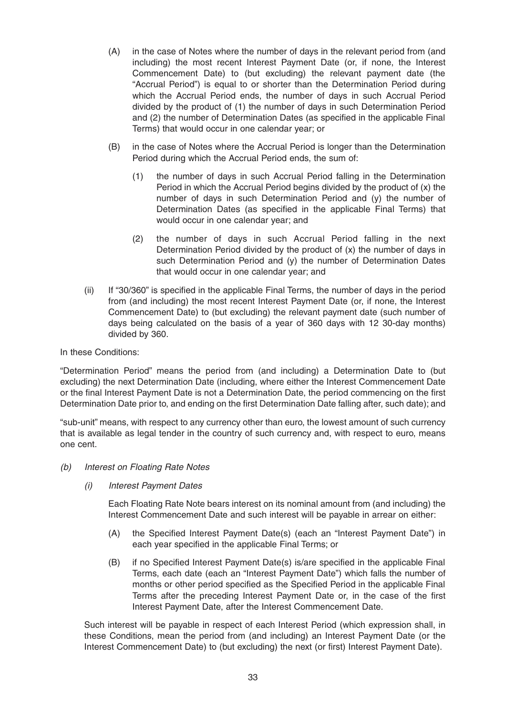- (A) in the case of Notes where the number of days in the relevant period from (and including) the most recent Interest Payment Date (or, if none, the Interest Commencement Date) to (but excluding) the relevant payment date (the "Accrual Period") is equal to or shorter than the Determination Period during which the Accrual Period ends, the number of days in such Accrual Period divided by the product of (1) the number of days in such Determination Period and (2) the number of Determination Dates (as specified in the applicable Final Terms) that would occur in one calendar year; or
- (B) in the case of Notes where the Accrual Period is longer than the Determination Period during which the Accrual Period ends, the sum of:
	- (1) the number of days in such Accrual Period falling in the Determination Period in which the Accrual Period begins divided by the product of (x) the number of days in such Determination Period and (y) the number of Determination Dates (as specified in the applicable Final Terms) that would occur in one calendar year; and
	- (2) the number of days in such Accrual Period falling in the next Determination Period divided by the product of (x) the number of days in such Determination Period and (y) the number of Determination Dates that would occur in one calendar year; and
- (ii) If "30/360" is specified in the applicable Final Terms, the number of days in the period from (and including) the most recent Interest Payment Date (or, if none, the Interest Commencement Date) to (but excluding) the relevant payment date (such number of days being calculated on the basis of a year of 360 days with 12 30-day months) divided by 360.

#### In these Conditions:

"Determination Period" means the period from (and including) a Determination Date to (but excluding) the next Determination Date (including, where either the Interest Commencement Date or the final Interest Payment Date is not a Determination Date, the period commencing on the first Determination Date prior to, and ending on the first Determination Date falling after, such date); and

"sub-unit" means, with respect to any currency other than euro, the lowest amount of such currency that is available as legal tender in the country of such currency and, with respect to euro, means one cent.

- (b) Interest on Floating Rate Notes
	- (i) Interest Payment Dates

Each Floating Rate Note bears interest on its nominal amount from (and including) the Interest Commencement Date and such interest will be payable in arrear on either:

- (A) the Specified Interest Payment Date(s) (each an "Interest Payment Date") in each year specified in the applicable Final Terms; or
- (B) if no Specified Interest Payment Date(s) is/are specified in the applicable Final Terms, each date (each an "Interest Payment Date") which falls the number of months or other period specified as the Specified Period in the applicable Final Terms after the preceding Interest Payment Date or, in the case of the first Interest Payment Date, after the Interest Commencement Date.

Such interest will be payable in respect of each Interest Period (which expression shall, in these Conditions, mean the period from (and including) an Interest Payment Date (or the Interest Commencement Date) to (but excluding) the next (or first) Interest Payment Date).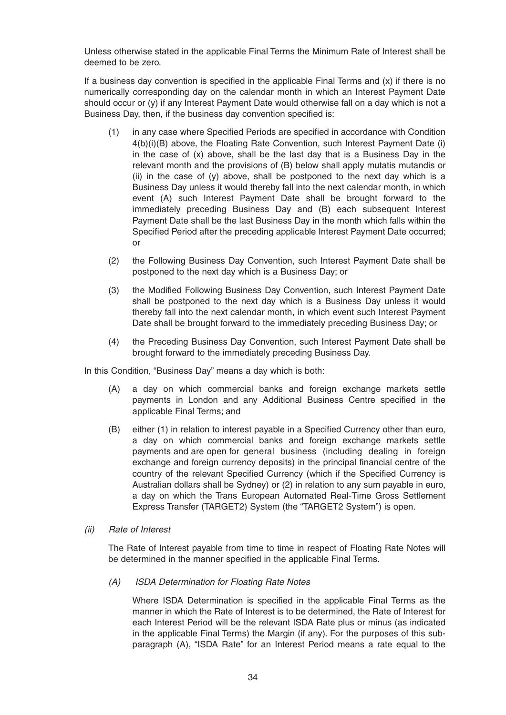Unless otherwise stated in the applicable Final Terms the Minimum Rate of Interest shall be deemed to be zero.

If a business day convention is specified in the applicable Final Terms and (x) if there is no numerically corresponding day on the calendar month in which an Interest Payment Date should occur or (y) if any Interest Payment Date would otherwise fall on a day which is not a Business Day, then, if the business day convention specified is:

- (1) in any case where Specified Periods are specified in accordance with Condition 4(b)(i)(B) above, the Floating Rate Convention, such Interest Payment Date (i) in the case of (x) above, shall be the last day that is a Business Day in the relevant month and the provisions of (B) below shall apply mutatis mutandis or (ii) in the case of (y) above, shall be postponed to the next day which is a Business Day unless it would thereby fall into the next calendar month, in which event (A) such Interest Payment Date shall be brought forward to the immediately preceding Business Day and (B) each subsequent Interest Payment Date shall be the last Business Day in the month which falls within the Specified Period after the preceding applicable Interest Payment Date occurred; or
- (2) the Following Business Day Convention, such Interest Payment Date shall be postponed to the next day which is a Business Day; or
- (3) the Modified Following Business Day Convention, such Interest Payment Date shall be postponed to the next day which is a Business Day unless it would thereby fall into the next calendar month, in which event such Interest Payment Date shall be brought forward to the immediately preceding Business Day; or
- (4) the Preceding Business Day Convention, such Interest Payment Date shall be brought forward to the immediately preceding Business Day.

In this Condition, "Business Day" means a day which is both:

- (A) a day on which commercial banks and foreign exchange markets settle payments in London and any Additional Business Centre specified in the applicable Final Terms; and
- (B) either (1) in relation to interest payable in a Specified Currency other than euro, a day on which commercial banks and foreign exchange markets settle payments and are open for general business (including dealing in foreign exchange and foreign currency deposits) in the principal financial centre of the country of the relevant Specified Currency (which if the Specified Currency is Australian dollars shall be Sydney) or (2) in relation to any sum payable in euro, a day on which the Trans European Automated Real-Time Gross Settlement Express Transfer (TARGET2) System (the "TARGET2 System") is open.
- (ii) Rate of Interest

The Rate of Interest payable from time to time in respect of Floating Rate Notes will be determined in the manner specified in the applicable Final Terms.

#### (A) ISDA Determination for Floating Rate Notes

Where ISDA Determination is specified in the applicable Final Terms as the manner in which the Rate of Interest is to be determined, the Rate of Interest for each Interest Period will be the relevant ISDA Rate plus or minus (as indicated in the applicable Final Terms) the Margin (if any). For the purposes of this subparagraph (A), "ISDA Rate" for an Interest Period means a rate equal to the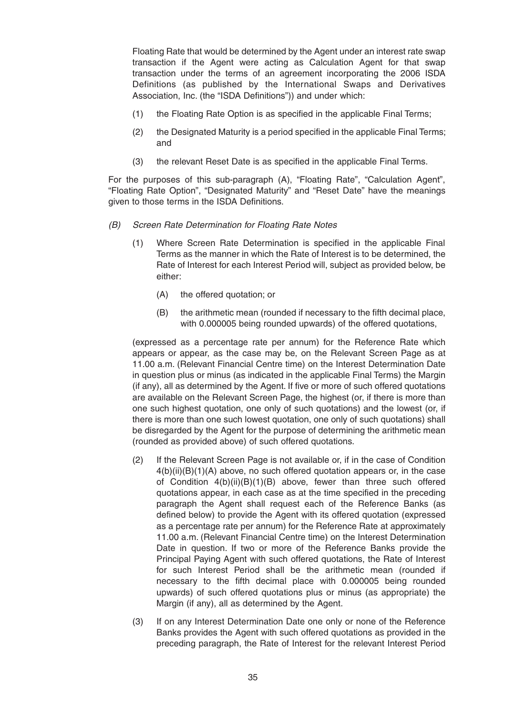Floating Rate that would be determined by the Agent under an interest rate swap transaction if the Agent were acting as Calculation Agent for that swap transaction under the terms of an agreement incorporating the 2006 ISDA Definitions (as published by the International Swaps and Derivatives Association, Inc. (the "ISDA Definitions")) and under which:

- (1) the Floating Rate Option is as specified in the applicable Final Terms;
- (2) the Designated Maturity is a period specified in the applicable Final Terms; and
- (3) the relevant Reset Date is as specified in the applicable Final Terms.

For the purposes of this sub-paragraph (A), "Floating Rate", "Calculation Agent", "Floating Rate Option", "Designated Maturity" and "Reset Date" have the meanings given to those terms in the ISDA Definitions.

- (B) Screen Rate Determination for Floating Rate Notes
	- (1) Where Screen Rate Determination is specified in the applicable Final Terms as the manner in which the Rate of Interest is to be determined, the Rate of Interest for each Interest Period will, subject as provided below, be either:
		- (A) the offered quotation; or
		- (B) the arithmetic mean (rounded if necessary to the fifth decimal place, with 0.000005 being rounded upwards) of the offered quotations,

(expressed as a percentage rate per annum) for the Reference Rate which appears or appear, as the case may be, on the Relevant Screen Page as at 11.00 a.m. (Relevant Financial Centre time) on the Interest Determination Date in question plus or minus (as indicated in the applicable Final Terms) the Margin (if any), all as determined by the Agent. If five or more of such offered quotations are available on the Relevant Screen Page, the highest (or, if there is more than one such highest quotation, one only of such quotations) and the lowest (or, if there is more than one such lowest quotation, one only of such quotations) shall be disregarded by the Agent for the purpose of determining the arithmetic mean (rounded as provided above) of such offered quotations.

- (2) If the Relevant Screen Page is not available or, if in the case of Condition 4(b)(ii)(B)(1)(A) above, no such offered quotation appears or, in the case of Condition 4(b)(ii)(B)(1)(B) above, fewer than three such offered quotations appear, in each case as at the time specified in the preceding paragraph the Agent shall request each of the Reference Banks (as defined below) to provide the Agent with its offered quotation (expressed as a percentage rate per annum) for the Reference Rate at approximately 11.00 a.m. (Relevant Financial Centre time) on the Interest Determination Date in question. If two or more of the Reference Banks provide the Principal Paying Agent with such offered quotations, the Rate of Interest for such Interest Period shall be the arithmetic mean (rounded if necessary to the fifth decimal place with 0.000005 being rounded upwards) of such offered quotations plus or minus (as appropriate) the Margin (if any), all as determined by the Agent.
- (3) If on any Interest Determination Date one only or none of the Reference Banks provides the Agent with such offered quotations as provided in the preceding paragraph, the Rate of Interest for the relevant Interest Period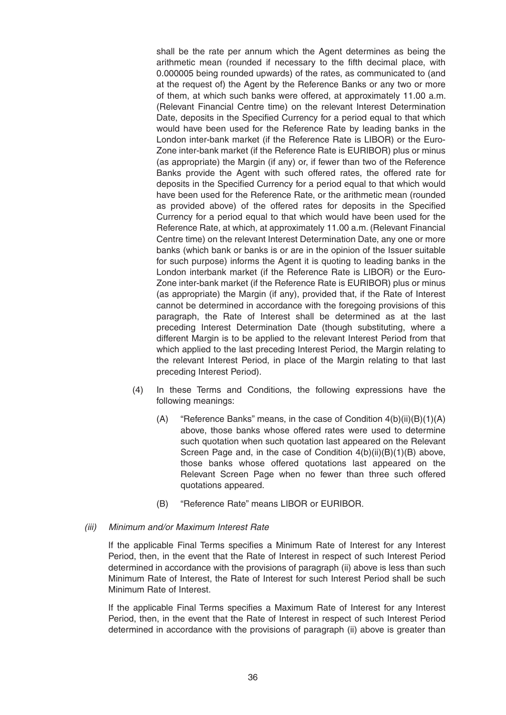shall be the rate per annum which the Agent determines as being the arithmetic mean (rounded if necessary to the fifth decimal place, with 0.000005 being rounded upwards) of the rates, as communicated to (and at the request of) the Agent by the Reference Banks or any two or more of them, at which such banks were offered, at approximately 11.00 a.m. (Relevant Financial Centre time) on the relevant Interest Determination Date, deposits in the Specified Currency for a period equal to that which would have been used for the Reference Rate by leading banks in the London inter-bank market (if the Reference Rate is LIBOR) or the Euro-Zone inter-bank market (if the Reference Rate is EURIBOR) plus or minus (as appropriate) the Margin (if any) or, if fewer than two of the Reference Banks provide the Agent with such offered rates, the offered rate for deposits in the Specified Currency for a period equal to that which would have been used for the Reference Rate, or the arithmetic mean (rounded as provided above) of the offered rates for deposits in the Specified Currency for a period equal to that which would have been used for the Reference Rate, at which, at approximately 11.00 a.m. (Relevant Financial Centre time) on the relevant Interest Determination Date, any one or more banks (which bank or banks is or are in the opinion of the Issuer suitable for such purpose) informs the Agent it is quoting to leading banks in the London interbank market (if the Reference Rate is LIBOR) or the Euro-Zone inter-bank market (if the Reference Rate is EURIBOR) plus or minus (as appropriate) the Margin (if any), provided that, if the Rate of Interest cannot be determined in accordance with the foregoing provisions of this paragraph, the Rate of Interest shall be determined as at the last preceding Interest Determination Date (though substituting, where a different Margin is to be applied to the relevant Interest Period from that which applied to the last preceding Interest Period, the Margin relating to the relevant Interest Period, in place of the Margin relating to that last preceding Interest Period).

- (4) In these Terms and Conditions, the following expressions have the following meanings:
	- (A) "Reference Banks" means, in the case of Condition  $4(b)(ii)(B)(1)(A)$ above, those banks whose offered rates were used to determine such quotation when such quotation last appeared on the Relevant Screen Page and, in the case of Condition 4(b)(ii)(B)(1)(B) above, those banks whose offered quotations last appeared on the Relevant Screen Page when no fewer than three such offered quotations appeared.
	- (B) "Reference Rate" means LIBOR or EURIBOR.

#### (iii) Minimum and/or Maximum Interest Rate

If the applicable Final Terms specifies a Minimum Rate of Interest for any Interest Period, then, in the event that the Rate of Interest in respect of such Interest Period determined in accordance with the provisions of paragraph (ii) above is less than such Minimum Rate of Interest, the Rate of Interest for such Interest Period shall be such Minimum Rate of Interest.

If the applicable Final Terms specifies a Maximum Rate of Interest for any Interest Period, then, in the event that the Rate of Interest in respect of such Interest Period determined in accordance with the provisions of paragraph (ii) above is greater than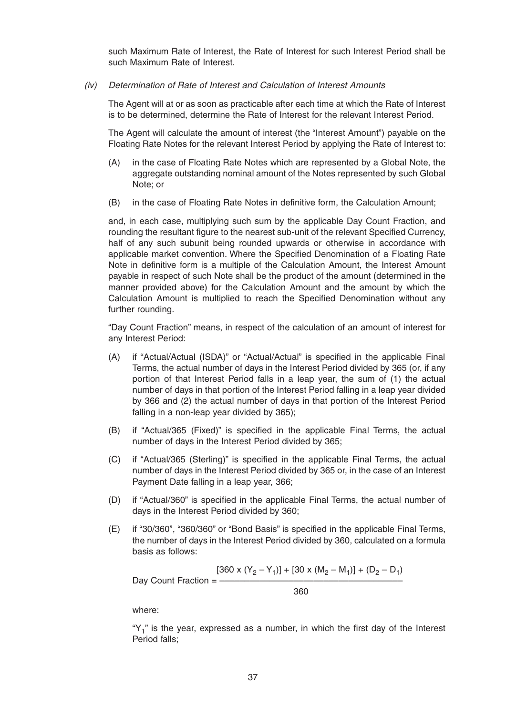such Maximum Rate of Interest, the Rate of Interest for such Interest Period shall be such Maximum Rate of Interest.

#### (iv) Determination of Rate of Interest and Calculation of Interest Amounts

The Agent will at or as soon as practicable after each time at which the Rate of Interest is to be determined, determine the Rate of Interest for the relevant Interest Period.

The Agent will calculate the amount of interest (the "Interest Amount") payable on the Floating Rate Notes for the relevant Interest Period by applying the Rate of Interest to:

- (A) in the case of Floating Rate Notes which are represented by a Global Note, the aggregate outstanding nominal amount of the Notes represented by such Global Note; or
- (B) in the case of Floating Rate Notes in definitive form, the Calculation Amount;

and, in each case, multiplying such sum by the applicable Day Count Fraction, and rounding the resultant figure to the nearest sub-unit of the relevant Specified Currency, half of any such subunit being rounded upwards or otherwise in accordance with applicable market convention. Where the Specified Denomination of a Floating Rate Note in definitive form is a multiple of the Calculation Amount, the Interest Amount payable in respect of such Note shall be the product of the amount (determined in the manner provided above) for the Calculation Amount and the amount by which the Calculation Amount is multiplied to reach the Specified Denomination without any further rounding.

"Day Count Fraction" means, in respect of the calculation of an amount of interest for any Interest Period:

- (A) if "Actual/Actual (ISDA)" or "Actual/Actual" is specified in the applicable Final Terms, the actual number of days in the Interest Period divided by 365 (or, if any portion of that Interest Period falls in a leap year, the sum of (1) the actual number of days in that portion of the Interest Period falling in a leap year divided by 366 and (2) the actual number of days in that portion of the Interest Period falling in a non-leap year divided by 365);
- (B) if "Actual/365 (Fixed)" is specified in the applicable Final Terms, the actual number of days in the Interest Period divided by 365;
- (C) if "Actual/365 (Sterling)" is specified in the applicable Final Terms, the actual number of days in the Interest Period divided by 365 or, in the case of an Interest Payment Date falling in a leap year, 366;
- (D) if "Actual/360" is specified in the applicable Final Terms, the actual number of days in the Interest Period divided by 360;
- (E) if "30/360", "360/360" or "Bond Basis" is specified in the applicable Final Terms, the number of days in the Interest Period divided by 360, calculated on a formula basis as follows:

 $[360 \times (Y_2 - Y_1)] + [30 \times (M_2 - M_1)] + (D_2 - D_1)$ Day Count Fraction = – 360

where:

" $Y_1$ " is the year, expressed as a number, in which the first day of the Interest Period falls;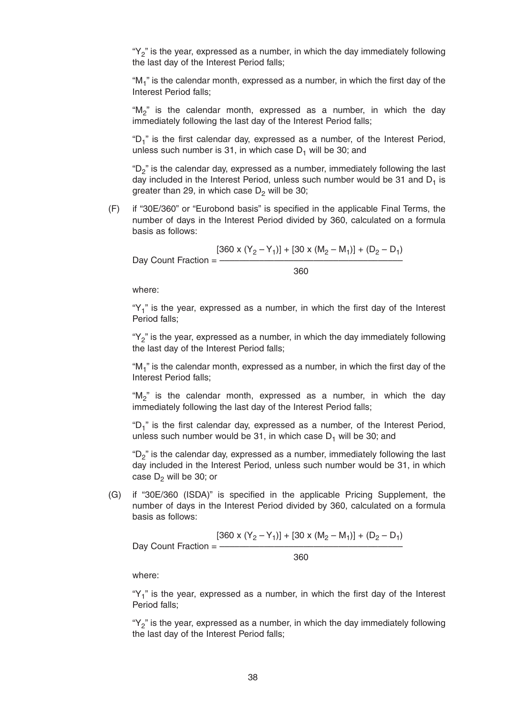" $Y_2$ " is the year, expressed as a number, in which the day immediately following the last day of the Interest Period falls;

" $M_1$ " is the calendar month, expressed as a number, in which the first day of the Interest Period falls;

"M<sub>2</sub>" is the calendar month, expressed as a number, in which the day immediately following the last day of the Interest Period falls;

" $D_1$ " is the first calendar day, expressed as a number, of the Interest Period, unless such number is 31, in which case  $D_1$  will be 30; and

" $D<sub>2</sub>$ " is the calendar day, expressed as a number, immediately following the last day included in the Interest Period, unless such number would be 31 and  $D_1$  is greater than 29, in which case  $D_2$  will be 30;

(F) if "30E/360" or "Eurobond basis" is specified in the applicable Final Terms, the number of days in the Interest Period divided by 360, calculated on a formula basis as follows:

$$
[360 \times (Y_2 - Y_1)] + [30 \times (M_2 - M_1)] + (D_2 - D_1)
$$
  
Day Count Fraction = 
$$
\frac{360}{}
$$

where:

" $Y_1$ " is the year, expressed as a number, in which the first day of the Interest Period falls;

" $Y_2$ " is the year, expressed as a number, in which the day immediately following the last day of the Interest Period falls;

" $M_1$ " is the calendar month, expressed as a number, in which the first day of the Interest Period falls;

"M<sub>2</sub>" is the calendar month, expressed as a number, in which the day immediately following the last day of the Interest Period falls;

" $D_1$ " is the first calendar day, expressed as a number, of the Interest Period, unless such number would be 31, in which case  $D_1$  will be 30; and

" $D_2$ " is the calendar day, expressed as a number, immediately following the last day included in the Interest Period, unless such number would be 31, in which case  $D_2$  will be 30; or

(G) if "30E/360 (ISDA)" is specified in the applicable Pricing Supplement, the number of days in the Interest Period divided by 360, calculated on a formula basis as follows:

$$
[360 \times (Y_2 - Y_1)] + [30 \times (M_2 - M_1)] + (D_2 - D_1)
$$
  
Day Count Fraction = 
$$
\frac{360}{}
$$

where:

" $Y_1$ " is the year, expressed as a number, in which the first day of the Interest Period falls;

" $Y_2$ " is the year, expressed as a number, in which the day immediately following the last day of the Interest Period falls;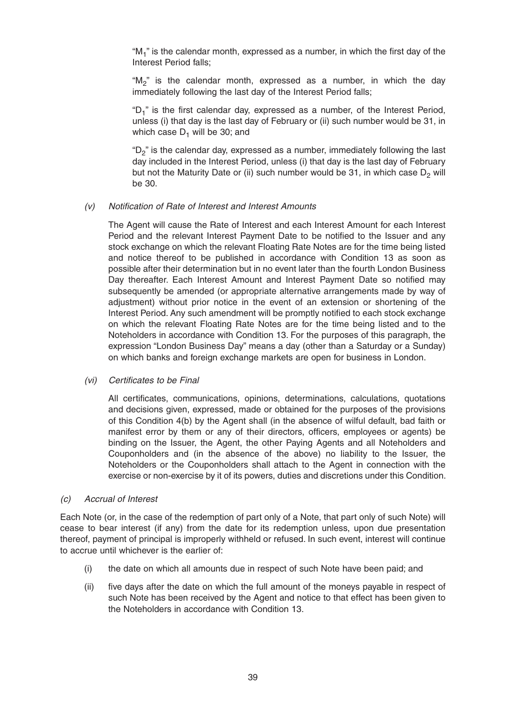" $M_1$ " is the calendar month, expressed as a number, in which the first day of the Interest Period falls;

"M<sub>2</sub>" is the calendar month, expressed as a number, in which the day immediately following the last day of the Interest Period falls;

" $D_1$ " is the first calendar day, expressed as a number, of the Interest Period, unless (i) that day is the last day of February or (ii) such number would be 31, in which case  $D_1$  will be 30; and

" $D_2$ " is the calendar day, expressed as a number, immediately following the last day included in the Interest Period, unless (i) that day is the last day of February but not the Maturity Date or (ii) such number would be 31, in which case  $D_2$  will be 30.

#### (v) Notification of Rate of Interest and Interest Amounts

The Agent will cause the Rate of Interest and each Interest Amount for each Interest Period and the relevant Interest Payment Date to be notified to the Issuer and any stock exchange on which the relevant Floating Rate Notes are for the time being listed and notice thereof to be published in accordance with Condition 13 as soon as possible after their determination but in no event later than the fourth London Business Day thereafter. Each Interest Amount and Interest Payment Date so notified may subsequently be amended (or appropriate alternative arrangements made by way of adjustment) without prior notice in the event of an extension or shortening of the Interest Period. Any such amendment will be promptly notified to each stock exchange on which the relevant Floating Rate Notes are for the time being listed and to the Noteholders in accordance with Condition 13. For the purposes of this paragraph, the expression "London Business Day" means a day (other than a Saturday or a Sunday) on which banks and foreign exchange markets are open for business in London.

#### (vi) Certificates to be Final

All certificates, communications, opinions, determinations, calculations, quotations and decisions given, expressed, made or obtained for the purposes of the provisions of this Condition 4(b) by the Agent shall (in the absence of wilful default, bad faith or manifest error by them or any of their directors, officers, employees or agents) be binding on the Issuer, the Agent, the other Paying Agents and all Noteholders and Couponholders and (in the absence of the above) no liability to the Issuer, the Noteholders or the Couponholders shall attach to the Agent in connection with the exercise or non-exercise by it of its powers, duties and discretions under this Condition.

#### (c) Accrual of Interest

Each Note (or, in the case of the redemption of part only of a Note, that part only of such Note) will cease to bear interest (if any) from the date for its redemption unless, upon due presentation thereof, payment of principal is improperly withheld or refused. In such event, interest will continue to accrue until whichever is the earlier of:

- (i) the date on which all amounts due in respect of such Note have been paid; and
- (ii) five days after the date on which the full amount of the moneys payable in respect of such Note has been received by the Agent and notice to that effect has been given to the Noteholders in accordance with Condition 13.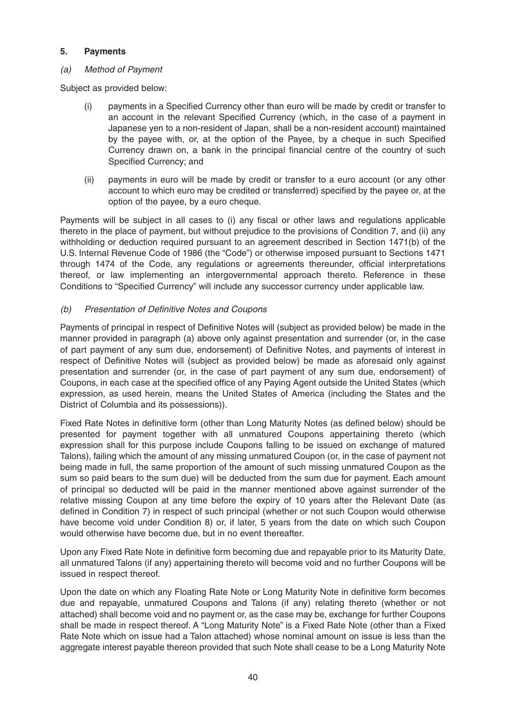# **5. Payments**

#### (a) Method of Payment

Subject as provided below:

- (i) payments in a Specified Currency other than euro will be made by credit or transfer to an account in the relevant Specified Currency (which, in the case of a payment in Japanese yen to a non-resident of Japan, shall be a non-resident account) maintained by the payee with, or, at the option of the Payee, by a cheque in such Specified Currency drawn on, a bank in the principal financial centre of the country of such Specified Currency; and
- (ii) payments in euro will be made by credit or transfer to a euro account (or any other account to which euro may be credited or transferred) specified by the payee or, at the option of the payee, by a euro cheque.

Payments will be subject in all cases to (i) any fiscal or other laws and regulations applicable thereto in the place of payment, but without prejudice to the provisions of Condition 7, and (ii) any withholding or deduction required pursuant to an agreement described in Section 1471(b) of the U.S. Internal Revenue Code of 1986 (the "Code") or otherwise imposed pursuant to Sections 1471 through 1474 of the Code, any regulations or agreements thereunder, official interpretations thereof, or law implementing an intergovernmental approach thereto. Reference in these Conditions to "Specified Currency" will include any successor currency under applicable law.

# (b) Presentation of Definitive Notes and Coupons

Payments of principal in respect of Definitive Notes will (subject as provided below) be made in the manner provided in paragraph (a) above only against presentation and surrender (or, in the case of part payment of any sum due, endorsement) of Definitive Notes, and payments of interest in respect of Definitive Notes will (subject as provided below) be made as aforesaid only against presentation and surrender (or, in the case of part payment of any sum due, endorsement) of Coupons, in each case at the specified office of any Paying Agent outside the United States (which expression, as used herein, means the United States of America (including the States and the District of Columbia and its possessions)).

Fixed Rate Notes in definitive form (other than Long Maturity Notes (as defined below) should be presented for payment together with all unmatured Coupons appertaining thereto (which expression shall for this purpose include Coupons falling to be issued on exchange of matured Talons), failing which the amount of any missing unmatured Coupon (or, in the case of payment not being made in full, the same proportion of the amount of such missing unmatured Coupon as the sum so paid bears to the sum due) will be deducted from the sum due for payment. Each amount of principal so deducted will be paid in the manner mentioned above against surrender of the relative missing Coupon at any time before the expiry of 10 years after the Relevant Date (as defined in Condition 7) in respect of such principal (whether or not such Coupon would otherwise have become void under Condition 8) or, if later, 5 years from the date on which such Coupon would otherwise have become due, but in no event thereafter.

Upon any Fixed Rate Note in definitive form becoming due and repayable prior to its Maturity Date, all unmatured Talons (if any) appertaining thereto will become void and no further Coupons will be issued in respect thereof.

Upon the date on which any Floating Rate Note or Long Maturity Note in definitive form becomes due and repayable, unmatured Coupons and Talons (if any) relating thereto (whether or not attached) shall become void and no payment or, as the case may be, exchange for further Coupons shall be made in respect thereof. A "Long Maturity Note" is a Fixed Rate Note (other than a Fixed Rate Note which on issue had a Talon attached) whose nominal amount on issue is less than the aggregate interest payable thereon provided that such Note shall cease to be a Long Maturity Note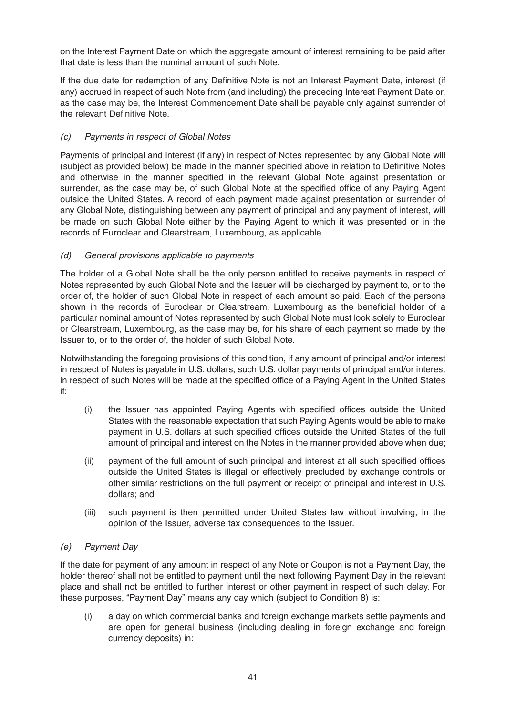on the Interest Payment Date on which the aggregate amount of interest remaining to be paid after that date is less than the nominal amount of such Note.

If the due date for redemption of any Definitive Note is not an Interest Payment Date, interest (if any) accrued in respect of such Note from (and including) the preceding Interest Payment Date or, as the case may be, the Interest Commencement Date shall be payable only against surrender of the relevant Definitive Note.

# (c) Payments in respect of Global Notes

Payments of principal and interest (if any) in respect of Notes represented by any Global Note will (subject as provided below) be made in the manner specified above in relation to Definitive Notes and otherwise in the manner specified in the relevant Global Note against presentation or surrender, as the case may be, of such Global Note at the specified office of any Paying Agent outside the United States. A record of each payment made against presentation or surrender of any Global Note, distinguishing between any payment of principal and any payment of interest, will be made on such Global Note either by the Paying Agent to which it was presented or in the records of Euroclear and Clearstream, Luxembourg, as applicable.

# (d) General provisions applicable to payments

The holder of a Global Note shall be the only person entitled to receive payments in respect of Notes represented by such Global Note and the Issuer will be discharged by payment to, or to the order of, the holder of such Global Note in respect of each amount so paid. Each of the persons shown in the records of Euroclear or Clearstream, Luxembourg as the beneficial holder of a particular nominal amount of Notes represented by such Global Note must look solely to Euroclear or Clearstream, Luxembourg, as the case may be, for his share of each payment so made by the Issuer to, or to the order of, the holder of such Global Note.

Notwithstanding the foregoing provisions of this condition, if any amount of principal and/or interest in respect of Notes is payable in U.S. dollars, such U.S. dollar payments of principal and/or interest in respect of such Notes will be made at the specified office of a Paying Agent in the United States if:

- (i) the Issuer has appointed Paying Agents with specified offices outside the United States with the reasonable expectation that such Paying Agents would be able to make payment in U.S. dollars at such specified offices outside the United States of the full amount of principal and interest on the Notes in the manner provided above when due;
- (ii) payment of the full amount of such principal and interest at all such specified offices outside the United States is illegal or effectively precluded by exchange controls or other similar restrictions on the full payment or receipt of principal and interest in U.S. dollars; and
- (iii) such payment is then permitted under United States law without involving, in the opinion of the Issuer, adverse tax consequences to the Issuer.

# (e) Payment Day

If the date for payment of any amount in respect of any Note or Coupon is not a Payment Day, the holder thereof shall not be entitled to payment until the next following Payment Day in the relevant place and shall not be entitled to further interest or other payment in respect of such delay. For these purposes, "Payment Day" means any day which (subject to Condition 8) is:

(i) a day on which commercial banks and foreign exchange markets settle payments and are open for general business (including dealing in foreign exchange and foreign currency deposits) in: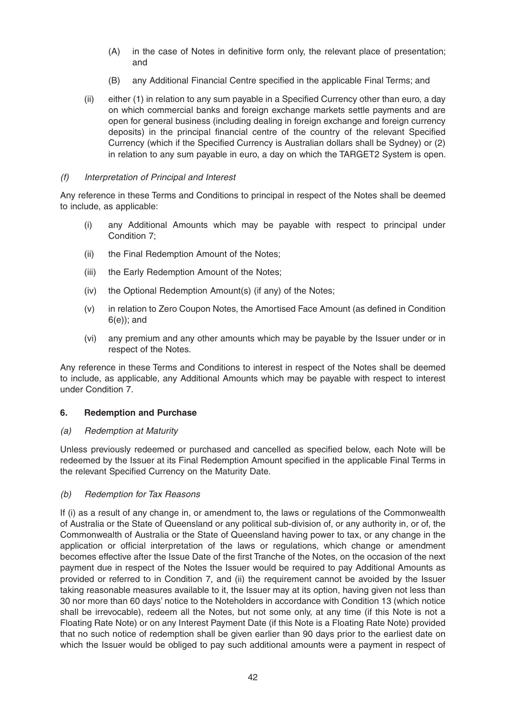- (A) in the case of Notes in definitive form only, the relevant place of presentation; and
- (B) any Additional Financial Centre specified in the applicable Final Terms; and
- (ii) either (1) in relation to any sum payable in a Specified Currency other than euro, a day on which commercial banks and foreign exchange markets settle payments and are open for general business (including dealing in foreign exchange and foreign currency deposits) in the principal financial centre of the country of the relevant Specified Currency (which if the Specified Currency is Australian dollars shall be Sydney) or (2) in relation to any sum payable in euro, a day on which the TARGET2 System is open.

#### (f) Interpretation of Principal and Interest

Any reference in these Terms and Conditions to principal in respect of the Notes shall be deemed to include, as applicable:

- (i) any Additional Amounts which may be payable with respect to principal under Condition 7;
- (ii) the Final Redemption Amount of the Notes;
- (iii) the Early Redemption Amount of the Notes;
- (iv) the Optional Redemption Amount(s) (if any) of the Notes;
- (v) in relation to Zero Coupon Notes, the Amortised Face Amount (as defined in Condition 6(e)); and
- (vi) any premium and any other amounts which may be payable by the Issuer under or in respect of the Notes.

Any reference in these Terms and Conditions to interest in respect of the Notes shall be deemed to include, as applicable, any Additional Amounts which may be payable with respect to interest under Condition 7.

#### **6. Redemption and Purchase**

#### (a) Redemption at Maturity

Unless previously redeemed or purchased and cancelled as specified below, each Note will be redeemed by the Issuer at its Final Redemption Amount specified in the applicable Final Terms in the relevant Specified Currency on the Maturity Date.

# (b) Redemption for Tax Reasons

If (i) as a result of any change in, or amendment to, the laws or regulations of the Commonwealth of Australia or the State of Queensland or any political sub-division of, or any authority in, or of, the Commonwealth of Australia or the State of Queensland having power to tax, or any change in the application or official interpretation of the laws or regulations, which change or amendment becomes effective after the Issue Date of the first Tranche of the Notes, on the occasion of the next payment due in respect of the Notes the Issuer would be required to pay Additional Amounts as provided or referred to in Condition 7, and (ii) the requirement cannot be avoided by the Issuer taking reasonable measures available to it, the Issuer may at its option, having given not less than 30 nor more than 60 days' notice to the Noteholders in accordance with Condition 13 (which notice shall be irrevocable), redeem all the Notes, but not some only, at any time (if this Note is not a Floating Rate Note) or on any Interest Payment Date (if this Note is a Floating Rate Note) provided that no such notice of redemption shall be given earlier than 90 days prior to the earliest date on which the Issuer would be obliged to pay such additional amounts were a payment in respect of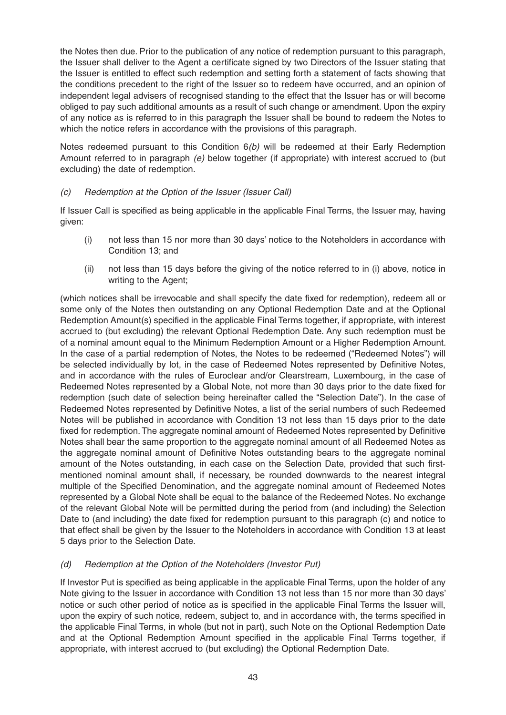the Notes then due. Prior to the publication of any notice of redemption pursuant to this paragraph, the Issuer shall deliver to the Agent a certificate signed by two Directors of the Issuer stating that the Issuer is entitled to effect such redemption and setting forth a statement of facts showing that the conditions precedent to the right of the Issuer so to redeem have occurred, and an opinion of independent legal advisers of recognised standing to the effect that the Issuer has or will become obliged to pay such additional amounts as a result of such change or amendment. Upon the expiry of any notice as is referred to in this paragraph the Issuer shall be bound to redeem the Notes to which the notice refers in accordance with the provisions of this paragraph.

Notes redeemed pursuant to this Condition  $6(b)$  will be redeemed at their Early Redemption Amount referred to in paragraph (e) below together (if appropriate) with interest accrued to (but excluding) the date of redemption.

# (c) Redemption at the Option of the Issuer (Issuer Call)

If Issuer Call is specified as being applicable in the applicable Final Terms, the Issuer may, having given:

- (i) not less than 15 nor more than 30 days' notice to the Noteholders in accordance with Condition 13; and
- (ii) not less than 15 days before the giving of the notice referred to in (i) above, notice in writing to the Agent;

(which notices shall be irrevocable and shall specify the date fixed for redemption), redeem all or some only of the Notes then outstanding on any Optional Redemption Date and at the Optional Redemption Amount(s) specified in the applicable Final Terms together, if appropriate, with interest accrued to (but excluding) the relevant Optional Redemption Date. Any such redemption must be of a nominal amount equal to the Minimum Redemption Amount or a Higher Redemption Amount. In the case of a partial redemption of Notes, the Notes to be redeemed ("Redeemed Notes") will be selected individually by lot, in the case of Redeemed Notes represented by Definitive Notes, and in accordance with the rules of Euroclear and/or Clearstream, Luxembourg, in the case of Redeemed Notes represented by a Global Note, not more than 30 days prior to the date fixed for redemption (such date of selection being hereinafter called the "Selection Date"). In the case of Redeemed Notes represented by Definitive Notes, a list of the serial numbers of such Redeemed Notes will be published in accordance with Condition 13 not less than 15 days prior to the date fixed for redemption. The aggregate nominal amount of Redeemed Notes represented by Definitive Notes shall bear the same proportion to the aggregate nominal amount of all Redeemed Notes as the aggregate nominal amount of Definitive Notes outstanding bears to the aggregate nominal amount of the Notes outstanding, in each case on the Selection Date, provided that such firstmentioned nominal amount shall, if necessary, be rounded downwards to the nearest integral multiple of the Specified Denomination, and the aggregate nominal amount of Redeemed Notes represented by a Global Note shall be equal to the balance of the Redeemed Notes. No exchange of the relevant Global Note will be permitted during the period from (and including) the Selection Date to (and including) the date fixed for redemption pursuant to this paragraph (c) and notice to that effect shall be given by the Issuer to the Noteholders in accordance with Condition 13 at least 5 days prior to the Selection Date.

# (d) Redemption at the Option of the Noteholders (Investor Put)

If Investor Put is specified as being applicable in the applicable Final Terms, upon the holder of any Note giving to the Issuer in accordance with Condition 13 not less than 15 nor more than 30 days' notice or such other period of notice as is specified in the applicable Final Terms the Issuer will, upon the expiry of such notice, redeem, subject to, and in accordance with, the terms specified in the applicable Final Terms, in whole (but not in part), such Note on the Optional Redemption Date and at the Optional Redemption Amount specified in the applicable Final Terms together, if appropriate, with interest accrued to (but excluding) the Optional Redemption Date.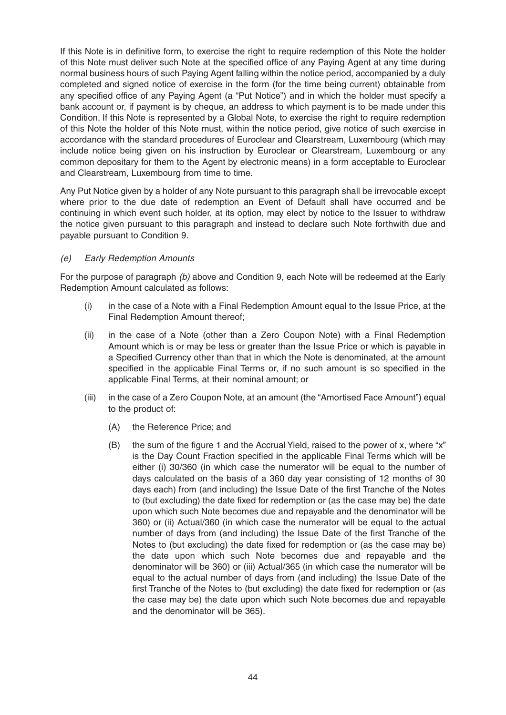If this Note is in definitive form, to exercise the right to require redemption of this Note the holder of this Note must deliver such Note at the specified office of any Paying Agent at any time during normal business hours of such Paying Agent falling within the notice period, accompanied by a duly completed and signed notice of exercise in the form (for the time being current) obtainable from any specified office of any Paying Agent (a "Put Notice") and in which the holder must specify a bank account or, if payment is by cheque, an address to which payment is to be made under this Condition. If this Note is represented by a Global Note, to exercise the right to require redemption of this Note the holder of this Note must, within the notice period, give notice of such exercise in accordance with the standard procedures of Euroclear and Clearstream, Luxembourg (which may include notice being given on his instruction by Euroclear or Clearstream, Luxembourg or any common depositary for them to the Agent by electronic means) in a form acceptable to Euroclear and Clearstream, Luxembourg from time to time.

Any Put Notice given by a holder of any Note pursuant to this paragraph shall be irrevocable except where prior to the due date of redemption an Event of Default shall have occurred and be continuing in which event such holder, at its option, may elect by notice to the Issuer to withdraw the notice given pursuant to this paragraph and instead to declare such Note forthwith due and payable pursuant to Condition 9.

# (e) Early Redemption Amounts

For the purpose of paragraph (b) above and Condition 9, each Note will be redeemed at the Early Redemption Amount calculated as follows:

- (i) in the case of a Note with a Final Redemption Amount equal to the Issue Price, at the Final Redemption Amount thereof;
- (ii) in the case of a Note (other than a Zero Coupon Note) with a Final Redemption Amount which is or may be less or greater than the Issue Price or which is payable in a Specified Currency other than that in which the Note is denominated, at the amount specified in the applicable Final Terms or, if no such amount is so specified in the applicable Final Terms, at their nominal amount; or
- (iii) in the case of a Zero Coupon Note, at an amount (the "Amortised Face Amount") equal to the product of:
	- (A) the Reference Price; and
	- (B) the sum of the figure 1 and the Accrual Yield, raised to the power of x, where "x" is the Day Count Fraction specified in the applicable Final Terms which will be either (i) 30/360 (in which case the numerator will be equal to the number of days calculated on the basis of a 360 day year consisting of 12 months of 30 days each) from (and including) the Issue Date of the first Tranche of the Notes to (but excluding) the date fixed for redemption or (as the case may be) the date upon which such Note becomes due and repayable and the denominator will be 360) or (ii) Actual/360 (in which case the numerator will be equal to the actual number of days from (and including) the Issue Date of the first Tranche of the Notes to (but excluding) the date fixed for redemption or (as the case may be) the date upon which such Note becomes due and repayable and the denominator will be 360) or (iii) Actual/365 (in which case the numerator will be equal to the actual number of days from (and including) the Issue Date of the first Tranche of the Notes to (but excluding) the date fixed for redemption or (as the case may be) the date upon which such Note becomes due and repayable and the denominator will be 365).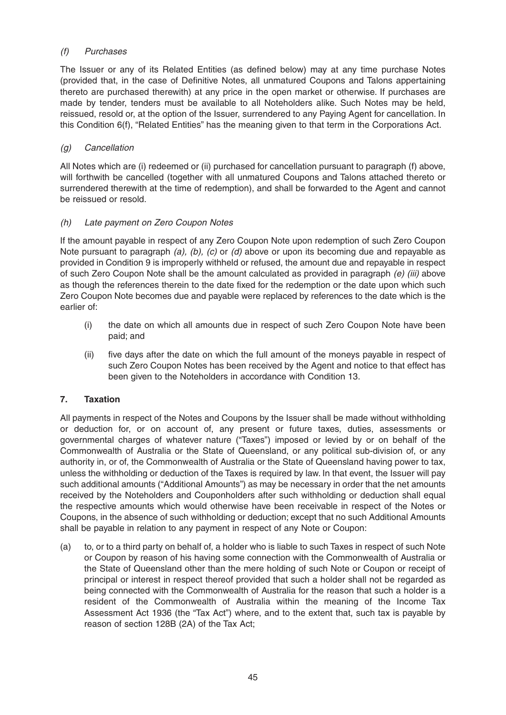# (f) Purchases

The Issuer or any of its Related Entities (as defined below) may at any time purchase Notes (provided that, in the case of Definitive Notes, all unmatured Coupons and Talons appertaining thereto are purchased therewith) at any price in the open market or otherwise. If purchases are made by tender, tenders must be available to all Noteholders alike. Such Notes may be held, reissued, resold or, at the option of the Issuer, surrendered to any Paying Agent for cancellation. In this Condition 6(f), "Related Entities" has the meaning given to that term in the Corporations Act.

# (g) Cancellation

All Notes which are (i) redeemed or (ii) purchased for cancellation pursuant to paragraph (f) above, will forthwith be cancelled (together with all unmatured Coupons and Talons attached thereto or surrendered therewith at the time of redemption), and shall be forwarded to the Agent and cannot be reissued or resold.

# (h) Late payment on Zero Coupon Notes

If the amount payable in respect of any Zero Coupon Note upon redemption of such Zero Coupon Note pursuant to paragraph (a), (b), (c) or (d) above or upon its becoming due and repayable as provided in Condition 9 is improperly withheld or refused, the amount due and repayable in respect of such Zero Coupon Note shall be the amount calculated as provided in paragraph (e) (iii) above as though the references therein to the date fixed for the redemption or the date upon which such Zero Coupon Note becomes due and payable were replaced by references to the date which is the earlier of:

- (i) the date on which all amounts due in respect of such Zero Coupon Note have been paid; and
- (ii) five days after the date on which the full amount of the moneys payable in respect of such Zero Coupon Notes has been received by the Agent and notice to that effect has been given to the Noteholders in accordance with Condition 13.

# **7. Taxation**

All payments in respect of the Notes and Coupons by the Issuer shall be made without withholding or deduction for, or on account of, any present or future taxes, duties, assessments or governmental charges of whatever nature ("Taxes") imposed or levied by or on behalf of the Commonwealth of Australia or the State of Queensland, or any political sub-division of, or any authority in, or of, the Commonwealth of Australia or the State of Queensland having power to tax, unless the withholding or deduction of the Taxes is required by law. In that event, the Issuer will pay such additional amounts ("Additional Amounts") as may be necessary in order that the net amounts received by the Noteholders and Couponholders after such withholding or deduction shall equal the respective amounts which would otherwise have been receivable in respect of the Notes or Coupons, in the absence of such withholding or deduction; except that no such Additional Amounts shall be payable in relation to any payment in respect of any Note or Coupon:

(a) to, or to a third party on behalf of, a holder who is liable to such Taxes in respect of such Note or Coupon by reason of his having some connection with the Commonwealth of Australia or the State of Queensland other than the mere holding of such Note or Coupon or receipt of principal or interest in respect thereof provided that such a holder shall not be regarded as being connected with the Commonwealth of Australia for the reason that such a holder is a resident of the Commonwealth of Australia within the meaning of the Income Tax Assessment Act 1936 (the "Tax Act") where, and to the extent that, such tax is payable by reason of section 128B (2A) of the Tax Act;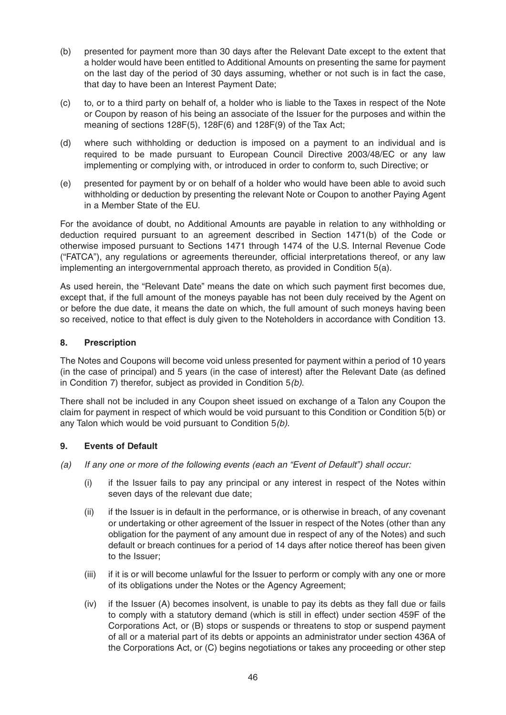- (b) presented for payment more than 30 days after the Relevant Date except to the extent that a holder would have been entitled to Additional Amounts on presenting the same for payment on the last day of the period of 30 days assuming, whether or not such is in fact the case, that day to have been an Interest Payment Date;
- (c) to, or to a third party on behalf of, a holder who is liable to the Taxes in respect of the Note or Coupon by reason of his being an associate of the Issuer for the purposes and within the meaning of sections 128F(5), 128F(6) and 128F(9) of the Tax Act;
- (d) where such withholding or deduction is imposed on a payment to an individual and is required to be made pursuant to European Council Directive 2003/48/EC or any law implementing or complying with, or introduced in order to conform to, such Directive; or
- (e) presented for payment by or on behalf of a holder who would have been able to avoid such withholding or deduction by presenting the relevant Note or Coupon to another Paying Agent in a Member State of the EU.

For the avoidance of doubt, no Additional Amounts are payable in relation to any withholding or deduction required pursuant to an agreement described in Section 1471(b) of the Code or otherwise imposed pursuant to Sections 1471 through 1474 of the U.S. Internal Revenue Code ("FATCA"), any regulations or agreements thereunder, official interpretations thereof, or any law implementing an intergovernmental approach thereto, as provided in Condition 5(a).

As used herein, the "Relevant Date" means the date on which such payment first becomes due, except that, if the full amount of the moneys payable has not been duly received by the Agent on or before the due date, it means the date on which, the full amount of such moneys having been so received, notice to that effect is duly given to the Noteholders in accordance with Condition 13.

# **8. Prescription**

The Notes and Coupons will become void unless presented for payment within a period of 10 years (in the case of principal) and 5 years (in the case of interest) after the Relevant Date (as defined in Condition 7) therefor, subject as provided in Condition 5(b).

There shall not be included in any Coupon sheet issued on exchange of a Talon any Coupon the claim for payment in respect of which would be void pursuant to this Condition or Condition 5(b) or any Talon which would be void pursuant to Condition 5(b).

# **9. Events of Default**

- (a) If any one or more of the following events (each an "Event of Default") shall occur:
	- (i) if the Issuer fails to pay any principal or any interest in respect of the Notes within seven days of the relevant due date;
	- (ii) if the Issuer is in default in the performance, or is otherwise in breach, of any covenant or undertaking or other agreement of the Issuer in respect of the Notes (other than any obligation for the payment of any amount due in respect of any of the Notes) and such default or breach continues for a period of 14 days after notice thereof has been given to the Issuer;
	- (iii) if it is or will become unlawful for the Issuer to perform or comply with any one or more of its obligations under the Notes or the Agency Agreement;
	- (iv) if the Issuer (A) becomes insolvent, is unable to pay its debts as they fall due or fails to comply with a statutory demand (which is still in effect) under section 459F of the Corporations Act, or (B) stops or suspends or threatens to stop or suspend payment of all or a material part of its debts or appoints an administrator under section 436A of the Corporations Act, or (C) begins negotiations or takes any proceeding or other step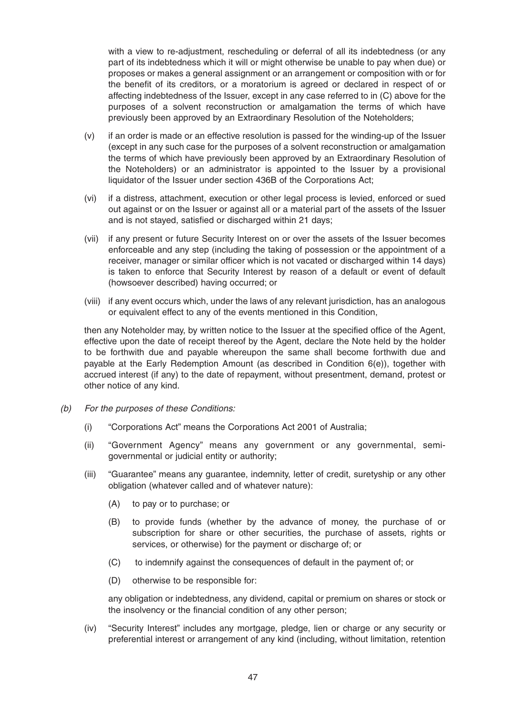with a view to re-adjustment, rescheduling or deferral of all its indebtedness (or any part of its indebtedness which it will or might otherwise be unable to pay when due) or proposes or makes a general assignment or an arrangement or composition with or for the benefit of its creditors, or a moratorium is agreed or declared in respect of or affecting indebtedness of the Issuer, except in any case referred to in (C) above for the purposes of a solvent reconstruction or amalgamation the terms of which have previously been approved by an Extraordinary Resolution of the Noteholders;

- (v) if an order is made or an effective resolution is passed for the winding-up of the Issuer (except in any such case for the purposes of a solvent reconstruction or amalgamation the terms of which have previously been approved by an Extraordinary Resolution of the Noteholders) or an administrator is appointed to the Issuer by a provisional liquidator of the Issuer under section 436B of the Corporations Act;
- (vi) if a distress, attachment, execution or other legal process is levied, enforced or sued out against or on the Issuer or against all or a material part of the assets of the Issuer and is not stayed, satisfied or discharged within 21 days;
- (vii) if any present or future Security Interest on or over the assets of the Issuer becomes enforceable and any step (including the taking of possession or the appointment of a receiver, manager or similar officer which is not vacated or discharged within 14 days) is taken to enforce that Security Interest by reason of a default or event of default (howsoever described) having occurred; or
- (viii) if any event occurs which, under the laws of any relevant jurisdiction, has an analogous or equivalent effect to any of the events mentioned in this Condition,

then any Noteholder may, by written notice to the Issuer at the specified office of the Agent, effective upon the date of receipt thereof by the Agent, declare the Note held by the holder to be forthwith due and payable whereupon the same shall become forthwith due and payable at the Early Redemption Amount (as described in Condition 6(e)), together with accrued interest (if any) to the date of repayment, without presentment, demand, protest or other notice of any kind.

- (b) For the purposes of these Conditions:
	- (i) "Corporations Act" means the Corporations Act 2001 of Australia;
	- (ii) "Government Agency" means any government or any governmental, semigovernmental or judicial entity or authority;
	- (iii) "Guarantee" means any guarantee, indemnity, letter of credit, suretyship or any other obligation (whatever called and of whatever nature):
		- (A) to pay or to purchase; or
		- (B) to provide funds (whether by the advance of money, the purchase of or subscription for share or other securities, the purchase of assets, rights or services, or otherwise) for the payment or discharge of; or
		- (C) to indemnify against the consequences of default in the payment of; or
		- (D) otherwise to be responsible for:

any obligation or indebtedness, any dividend, capital or premium on shares or stock or the insolvency or the financial condition of any other person;

(iv) "Security Interest" includes any mortgage, pledge, lien or charge or any security or preferential interest or arrangement of any kind (including, without limitation, retention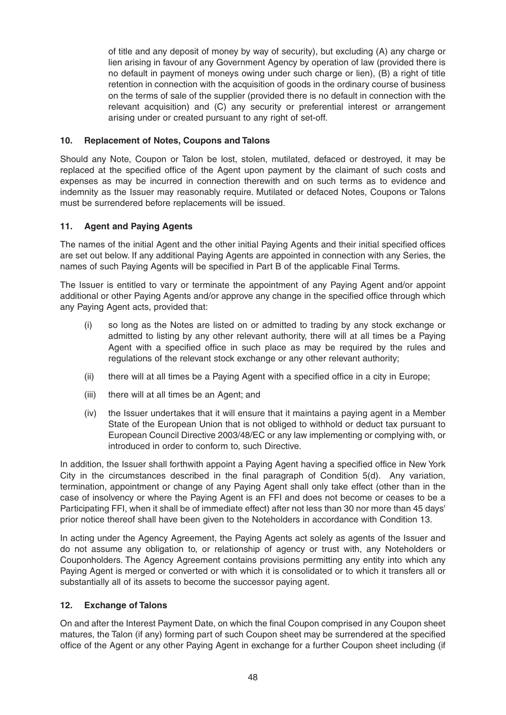of title and any deposit of money by way of security), but excluding (A) any charge or lien arising in favour of any Government Agency by operation of law (provided there is no default in payment of moneys owing under such charge or lien), (B) a right of title retention in connection with the acquisition of goods in the ordinary course of business on the terms of sale of the supplier (provided there is no default in connection with the relevant acquisition) and (C) any security or preferential interest or arrangement arising under or created pursuant to any right of set-off.

# **10. Replacement of Notes, Coupons and Talons**

Should any Note, Coupon or Talon be lost, stolen, mutilated, defaced or destroyed, it may be replaced at the specified office of the Agent upon payment by the claimant of such costs and expenses as may be incurred in connection therewith and on such terms as to evidence and indemnity as the Issuer may reasonably require. Mutilated or defaced Notes, Coupons or Talons must be surrendered before replacements will be issued.

# **11. Agent and Paying Agents**

The names of the initial Agent and the other initial Paying Agents and their initial specified offices are set out below. If any additional Paying Agents are appointed in connection with any Series, the names of such Paying Agents will be specified in Part B of the applicable Final Terms.

The Issuer is entitled to vary or terminate the appointment of any Paying Agent and/or appoint additional or other Paying Agents and/or approve any change in the specified office through which any Paying Agent acts, provided that:

- (i) so long as the Notes are listed on or admitted to trading by any stock exchange or admitted to listing by any other relevant authority, there will at all times be a Paying Agent with a specified office in such place as may be required by the rules and regulations of the relevant stock exchange or any other relevant authority;
- (ii) there will at all times be a Paying Agent with a specified office in a city in Europe;
- (iii) there will at all times be an Agent; and
- (iv) the Issuer undertakes that it will ensure that it maintains a paying agent in a Member State of the European Union that is not obliged to withhold or deduct tax pursuant to European Council Directive 2003/48/EC or any law implementing or complying with, or introduced in order to conform to, such Directive.

In addition, the Issuer shall forthwith appoint a Paying Agent having a specified office in New York City in the circumstances described in the final paragraph of Condition 5(d). Any variation, termination, appointment or change of any Paying Agent shall only take effect (other than in the case of insolvency or where the Paying Agent is an FFI and does not become or ceases to be a Participating FFI, when it shall be of immediate effect) after not less than 30 nor more than 45 days' prior notice thereof shall have been given to the Noteholders in accordance with Condition 13.

In acting under the Agency Agreement, the Paying Agents act solely as agents of the Issuer and do not assume any obligation to, or relationship of agency or trust with, any Noteholders or Couponholders. The Agency Agreement contains provisions permitting any entity into which any Paying Agent is merged or converted or with which it is consolidated or to which it transfers all or substantially all of its assets to become the successor paying agent.

# **12. Exchange of Talons**

On and after the Interest Payment Date, on which the final Coupon comprised in any Coupon sheet matures, the Talon (if any) forming part of such Coupon sheet may be surrendered at the specified office of the Agent or any other Paying Agent in exchange for a further Coupon sheet including (if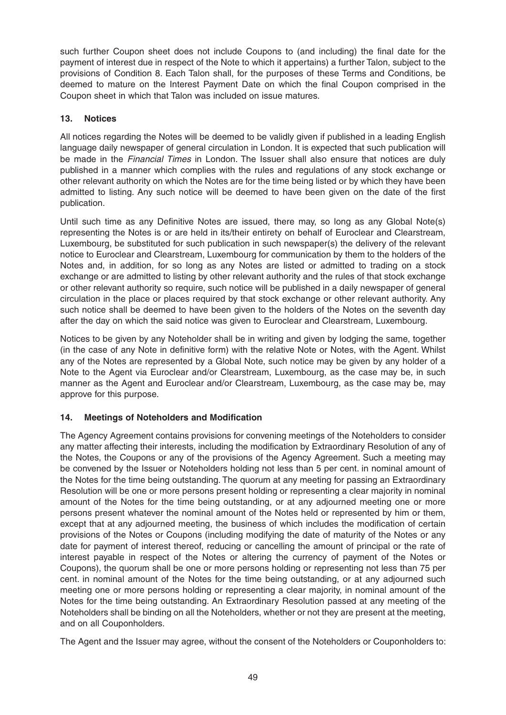such further Coupon sheet does not include Coupons to (and including) the final date for the payment of interest due in respect of the Note to which it appertains) a further Talon, subject to the provisions of Condition 8. Each Talon shall, for the purposes of these Terms and Conditions, be deemed to mature on the Interest Payment Date on which the final Coupon comprised in the Coupon sheet in which that Talon was included on issue matures.

# **13. Notices**

All notices regarding the Notes will be deemed to be validly given if published in a leading English language daily newspaper of general circulation in London. It is expected that such publication will be made in the Financial Times in London. The Issuer shall also ensure that notices are duly published in a manner which complies with the rules and regulations of any stock exchange or other relevant authority on which the Notes are for the time being listed or by which they have been admitted to listing. Any such notice will be deemed to have been given on the date of the first publication.

Until such time as any Definitive Notes are issued, there may, so long as any Global Note(s) representing the Notes is or are held in its/their entirety on behalf of Euroclear and Clearstream, Luxembourg, be substituted for such publication in such newspaper(s) the delivery of the relevant notice to Euroclear and Clearstream, Luxembourg for communication by them to the holders of the Notes and, in addition, for so long as any Notes are listed or admitted to trading on a stock exchange or are admitted to listing by other relevant authority and the rules of that stock exchange or other relevant authority so require, such notice will be published in a daily newspaper of general circulation in the place or places required by that stock exchange or other relevant authority. Any such notice shall be deemed to have been given to the holders of the Notes on the seventh day after the day on which the said notice was given to Euroclear and Clearstream, Luxembourg.

Notices to be given by any Noteholder shall be in writing and given by lodging the same, together (in the case of any Note in definitive form) with the relative Note or Notes, with the Agent. Whilst any of the Notes are represented by a Global Note, such notice may be given by any holder of a Note to the Agent via Euroclear and/or Clearstream, Luxembourg, as the case may be, in such manner as the Agent and Euroclear and/or Clearstream, Luxembourg, as the case may be, may approve for this purpose.

# **14. Meetings of Noteholders and Modification**

The Agency Agreement contains provisions for convening meetings of the Noteholders to consider any matter affecting their interests, including the modification by Extraordinary Resolution of any of the Notes, the Coupons or any of the provisions of the Agency Agreement. Such a meeting may be convened by the Issuer or Noteholders holding not less than 5 per cent. in nominal amount of the Notes for the time being outstanding. The quorum at any meeting for passing an Extraordinary Resolution will be one or more persons present holding or representing a clear majority in nominal amount of the Notes for the time being outstanding, or at any adjourned meeting one or more persons present whatever the nominal amount of the Notes held or represented by him or them, except that at any adjourned meeting, the business of which includes the modification of certain provisions of the Notes or Coupons (including modifying the date of maturity of the Notes or any date for payment of interest thereof, reducing or cancelling the amount of principal or the rate of interest payable in respect of the Notes or altering the currency of payment of the Notes or Coupons), the quorum shall be one or more persons holding or representing not less than 75 per cent. in nominal amount of the Notes for the time being outstanding, or at any adjourned such meeting one or more persons holding or representing a clear majority, in nominal amount of the Notes for the time being outstanding. An Extraordinary Resolution passed at any meeting of the Noteholders shall be binding on all the Noteholders, whether or not they are present at the meeting, and on all Couponholders.

The Agent and the Issuer may agree, without the consent of the Noteholders or Couponholders to: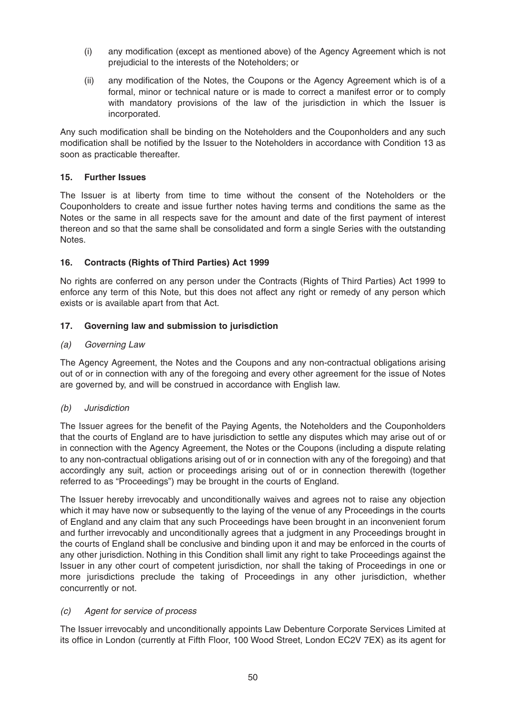- (i) any modification (except as mentioned above) of the Agency Agreement which is not prejudicial to the interests of the Noteholders; or
- (ii) any modification of the Notes, the Coupons or the Agency Agreement which is of a formal, minor or technical nature or is made to correct a manifest error or to comply with mandatory provisions of the law of the jurisdiction in which the Issuer is incorporated.

Any such modification shall be binding on the Noteholders and the Couponholders and any such modification shall be notified by the Issuer to the Noteholders in accordance with Condition 13 as soon as practicable thereafter.

# **15. Further Issues**

The Issuer is at liberty from time to time without the consent of the Noteholders or the Couponholders to create and issue further notes having terms and conditions the same as the Notes or the same in all respects save for the amount and date of the first payment of interest thereon and so that the same shall be consolidated and form a single Series with the outstanding Notes.

# **16. Contracts (Rights of Third Parties) Act 1999**

No rights are conferred on any person under the Contracts (Rights of Third Parties) Act 1999 to enforce any term of this Note, but this does not affect any right or remedy of any person which exists or is available apart from that Act.

# **17. Governing law and submission to jurisdiction**

#### (a) Governing Law

The Agency Agreement, the Notes and the Coupons and any non-contractual obligations arising out of or in connection with any of the foregoing and every other agreement for the issue of Notes are governed by, and will be construed in accordance with English law.

#### (b) Jurisdiction

The Issuer agrees for the benefit of the Paying Agents, the Noteholders and the Couponholders that the courts of England are to have jurisdiction to settle any disputes which may arise out of or in connection with the Agency Agreement, the Notes or the Coupons (including a dispute relating to any non-contractual obligations arising out of or in connection with any of the foregoing) and that accordingly any suit, action or proceedings arising out of or in connection therewith (together referred to as "Proceedings") may be brought in the courts of England.

The Issuer hereby irrevocably and unconditionally waives and agrees not to raise any objection which it may have now or subsequently to the laying of the venue of any Proceedings in the courts of England and any claim that any such Proceedings have been brought in an inconvenient forum and further irrevocably and unconditionally agrees that a judgment in any Proceedings brought in the courts of England shall be conclusive and binding upon it and may be enforced in the courts of any other jurisdiction. Nothing in this Condition shall limit any right to take Proceedings against the Issuer in any other court of competent jurisdiction, nor shall the taking of Proceedings in one or more jurisdictions preclude the taking of Proceedings in any other jurisdiction, whether concurrently or not.

#### (c) Agent for service of process

The Issuer irrevocably and unconditionally appoints Law Debenture Corporate Services Limited at its office in London (currently at Fifth Floor, 100 Wood Street, London EC2V 7EX) as its agent for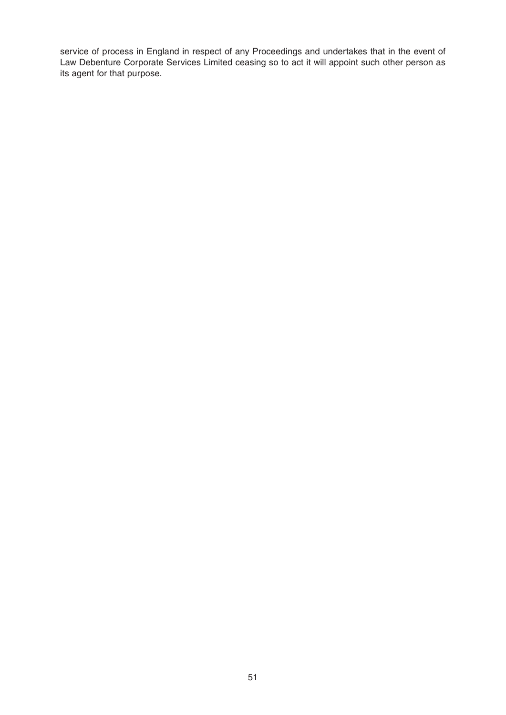service of process in England in respect of any Proceedings and undertakes that in the event of Law Debenture Corporate Services Limited ceasing so to act it will appoint such other person as its agent for that purpose.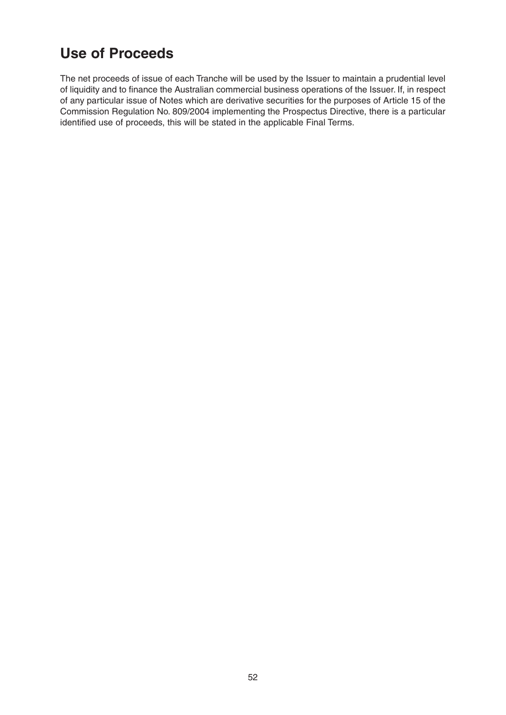# **Use of Proceeds**

The net proceeds of issue of each Tranche will be used by the Issuer to maintain a prudential level of liquidity and to finance the Australian commercial business operations of the Issuer. If, in respect of any particular issue of Notes which are derivative securities for the purposes of Article 15 of the Commission Regulation No. 809/2004 implementing the Prospectus Directive, there is a particular identified use of proceeds, this will be stated in the applicable Final Terms.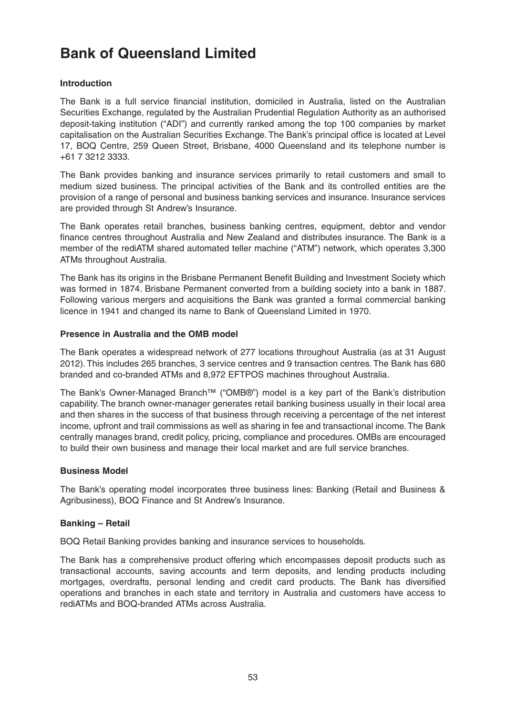# **Bank of Queensland Limited**

# **Introduction**

The Bank is a full service financial institution, domiciled in Australia, listed on the Australian Securities Exchange, regulated by the Australian Prudential Regulation Authority as an authorised deposit-taking institution ("ADI") and currently ranked among the top 100 companies by market capitalisation on the Australian Securities Exchange. The Bank's principal office is located at Level 17, BOQ Centre, 259 Queen Street, Brisbane, 4000 Queensland and its telephone number is +61 7 3212 3333.

The Bank provides banking and insurance services primarily to retail customers and small to medium sized business. The principal activities of the Bank and its controlled entities are the provision of a range of personal and business banking services and insurance. Insurance services are provided through St Andrew's Insurance.

The Bank operates retail branches, business banking centres, equipment, debtor and vendor finance centres throughout Australia and New Zealand and distributes insurance. The Bank is a member of the rediATM shared automated teller machine ("ATM") network, which operates 3,300 ATMs throughout Australia.

The Bank has its origins in the Brisbane Permanent Benefit Building and Investment Society which was formed in 1874. Brisbane Permanent converted from a building society into a bank in 1887. Following various mergers and acquisitions the Bank was granted a formal commercial banking licence in 1941 and changed its name to Bank of Queensland Limited in 1970.

#### **Presence in Australia and the OMB model**

The Bank operates a widespread network of 277 locations throughout Australia (as at 31 August 2012). This includes 265 branches, 3 service centres and 9 transaction centres. The Bank has 680 branded and co-branded ATMs and 8,972 EFTPOS machines throughout Australia.

The Bank's Owner-Managed Branch™ ("OMB®") model is a key part of the Bank's distribution capability. The branch owner-manager generates retail banking business usually in their local area and then shares in the success of that business through receiving a percentage of the net interest income, upfront and trail commissions as well as sharing in fee and transactional income. The Bank centrally manages brand, credit policy, pricing, compliance and procedures. OMBs are encouraged to build their own business and manage their local market and are full service branches.

# **Business Model**

The Bank's operating model incorporates three business lines: Banking (Retail and Business & Agribusiness), BOQ Finance and St Andrew's Insurance.

# **Banking – Retail**

BOQ Retail Banking provides banking and insurance services to households.

The Bank has a comprehensive product offering which encompasses deposit products such as transactional accounts, saving accounts and term deposits, and lending products including mortgages, overdrafts, personal lending and credit card products. The Bank has diversified operations and branches in each state and territory in Australia and customers have access to rediATMs and BOQ-branded ATMs across Australia.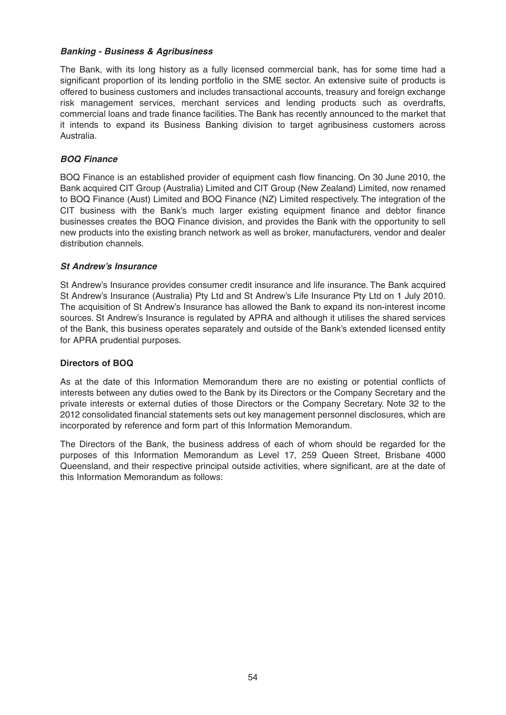#### **Banking - Business & Agribusiness**

The Bank, with its long history as a fully licensed commercial bank, has for some time had a significant proportion of its lending portfolio in the SME sector. An extensive suite of products is offered to business customers and includes transactional accounts, treasury and foreign exchange risk management services, merchant services and lending products such as overdrafts, commercial loans and trade finance facilities. The Bank has recently announced to the market that it intends to expand its Business Banking division to target agribusiness customers across Australia.

#### **BOQ Finance**

BOQ Finance is an established provider of equipment cash flow financing. On 30 June 2010, the Bank acquired CIT Group (Australia) Limited and CIT Group (New Zealand) Limited, now renamed to BOQ Finance (Aust) Limited and BOQ Finance (NZ) Limited respectively. The integration of the CIT business with the Bank's much larger existing equipment finance and debtor finance businesses creates the BOQ Finance division, and provides the Bank with the opportunity to sell new products into the existing branch network as well as broker, manufacturers, vendor and dealer distribution channels.

#### **St Andrew's Insurance**

St Andrew's Insurance provides consumer credit insurance and life insurance. The Bank acquired St Andrew's Insurance (Australia) Pty Ltd and St Andrew's Life Insurance Pty Ltd on 1 July 2010. The acquisition of St Andrew's Insurance has allowed the Bank to expand its non-interest income sources. St Andrew's Insurance is regulated by APRA and although it utilises the shared services of the Bank, this business operates separately and outside of the Bank's extended licensed entity for APRA prudential purposes.

#### **Directors of BOQ**

As at the date of this Information Memorandum there are no existing or potential conflicts of interests between any duties owed to the Bank by its Directors or the Company Secretary and the private interests or external duties of those Directors or the Company Secretary. Note 32 to the 2012 consolidated financial statements sets out key management personnel disclosures, which are incorporated by reference and form part of this Information Memorandum.

The Directors of the Bank, the business address of each of whom should be regarded for the purposes of this Information Memorandum as Level 17, 259 Queen Street, Brisbane 4000 Queensland, and their respective principal outside activities, where significant, are at the date of this Information Memorandum as follows: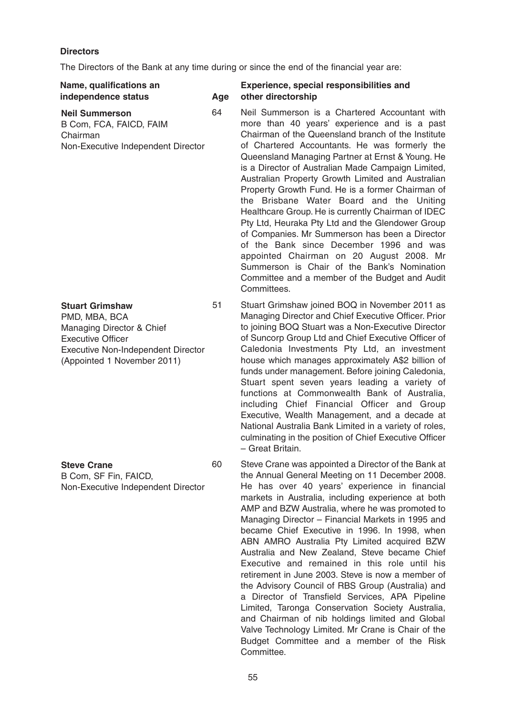# **Directors**

The Directors of the Bank at any time during or since the end of the financial year are:

| Name, qualifications an<br>independence status                                                                                                                               | Age | Experience, special responsibilities and<br>other directorship                                                                                                                                                                                                                                                                                                                                                                                                                                                                                                                                                                                                                                                                                                                                                                         |
|------------------------------------------------------------------------------------------------------------------------------------------------------------------------------|-----|----------------------------------------------------------------------------------------------------------------------------------------------------------------------------------------------------------------------------------------------------------------------------------------------------------------------------------------------------------------------------------------------------------------------------------------------------------------------------------------------------------------------------------------------------------------------------------------------------------------------------------------------------------------------------------------------------------------------------------------------------------------------------------------------------------------------------------------|
| <b>Neil Summerson</b><br>B Com, FCA, FAICD, FAIM<br>Chairman<br>Non-Executive Independent Director                                                                           | 64  | Neil Summerson is a Chartered Accountant with<br>more than 40 years' experience and is a past<br>Chairman of the Queensland branch of the Institute<br>of Chartered Accountants. He was formerly the<br>Queensland Managing Partner at Ernst & Young. He<br>is a Director of Australian Made Campaign Limited,<br>Australian Property Growth Limited and Australian<br>Property Growth Fund. He is a former Chairman of<br>the Brisbane Water Board and the Uniting<br>Healthcare Group. He is currently Chairman of IDEC<br>Pty Ltd, Heuraka Pty Ltd and the Glendower Group<br>of Companies. Mr Summerson has been a Director<br>of the Bank since December 1996 and was<br>appointed Chairman on 20 August 2008. Mr<br>Summerson is Chair of the Bank's Nomination<br>Committee and a member of the Budget and Audit<br>Committees. |
| <b>Stuart Grimshaw</b><br>PMD, MBA, BCA<br>Managing Director & Chief<br><b>Executive Officer</b><br><b>Executive Non-Independent Director</b><br>(Appointed 1 November 2011) | 51  | Stuart Grimshaw joined BOQ in November 2011 as<br>Managing Director and Chief Executive Officer. Prior<br>to joining BOQ Stuart was a Non-Executive Director<br>of Suncorp Group Ltd and Chief Executive Officer of<br>Caledonia Investments Pty Ltd, an investment<br>house which manages approximately A\$2 billion of<br>funds under management. Before joining Caledonia,<br>Stuart spent seven years leading a variety of<br>functions at Commonwealth Bank of Australia,<br>including Chief Financial Officer and Group<br>Executive, Wealth Management, and a decade at<br>National Australia Bank Limited in a variety of roles,<br>culminating in the position of Chief Executive Officer<br>- Great Britain.                                                                                                                 |
| <b>Steve Crane</b><br>B Com, SF Fin, FAICD,<br>Non-Executive Independent Director                                                                                            | 60  | Steve Crane was appointed a Director of the Bank at<br>the Annual General Meeting on 11 December 2008.<br>He has over 40 years' experience in financial<br>markets in Australia, including experience at both<br>AMP and BZW Australia, where he was promoted to<br>Managing Director - Financial Markets in 1995 and<br>became Chief Executive in 1996. In 1998, when<br>ABN AMRO Australia Pty Limited acquired BZW<br>Australia and New Zealand, Steve became Chief<br>Executive and remained in this role until his<br>retirement in June 2003. Steve is now a member of<br>the Advisory Council of RBS Group (Australia) and                                                                                                                                                                                                      |

a Director of Transfield Services, APA Pipeline Limited, Taronga Conservation Society Australia, and Chairman of nib holdings limited and Global Valve Technology Limited. Mr Crane is Chair of the Budget Committee and a member of the Risk Committee.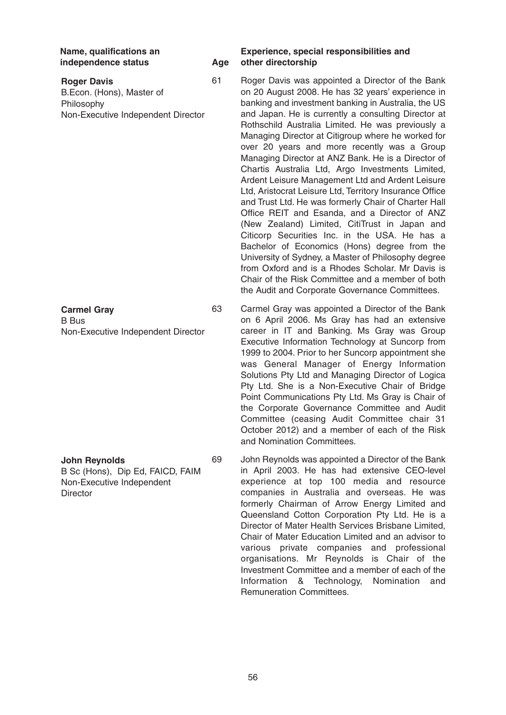**Roger Davis** B.Econ. (Hons), Master of Philosophy Non-Executive Independent Director

**Carmel Gray** B Bus Non-Executive Independent Director

**John Reynolds** B Sc (Hons), Dip Ed, FAICD, FAIM Non-Executive Independent **Director** 

#### **Name, qualifications an Experience, special responsibilities and independence status Age other directorship**

61 Roger Davis was appointed a Director of the Bank on 20 August 2008. He has 32 years' experience in banking and investment banking in Australia, the US and Japan. He is currently a consulting Director at Rothschild Australia Limited. He was previously a Managing Director at Citigroup where he worked for over 20 years and more recently was a Group Managing Director at ANZ Bank. He is a Director of Chartis Australia Ltd, Argo Investments Limited, Ardent Leisure Management Ltd and Ardent Leisure Ltd, Aristocrat Leisure Ltd, Territory Insurance Office and Trust Ltd. He was formerly Chair of Charter Hall Office REIT and Esanda, and a Director of ANZ (New Zealand) Limited, CitiTrust in Japan and Citicorp Securities Inc. in the USA. He has a Bachelor of Economics (Hons) degree from the University of Sydney, a Master of Philosophy degree from Oxford and is a Rhodes Scholar. Mr Davis is Chair of the Risk Committee and a member of both the Audit and Corporate Governance Committees.

63 Carmel Gray was appointed a Director of the Bank on 6 April 2006. Ms Gray has had an extensive career in IT and Banking. Ms Gray was Group Executive Information Technology at Suncorp from 1999 to 2004. Prior to her Suncorp appointment she was General Manager of Energy Information Solutions Pty Ltd and Managing Director of Logica Pty Ltd. She is a Non-Executive Chair of Bridge Point Communications Pty Ltd. Ms Gray is Chair of the Corporate Governance Committee and Audit Committee (ceasing Audit Committee chair 31 October 2012) and a member of each of the Risk and Nomination Committees.

69 John Reynolds was appointed a Director of the Bank in April 2003. He has had extensive CEO-level experience at top 100 media and resource companies in Australia and overseas. He was formerly Chairman of Arrow Energy Limited and Queensland Cotton Corporation Pty Ltd. He is a Director of Mater Health Services Brisbane Limited, Chair of Mater Education Limited and an advisor to various private companies and professional organisations. Mr Reynolds is Chair of the Investment Committee and a member of each of the Information & Technology, Nomination and Remuneration Committees.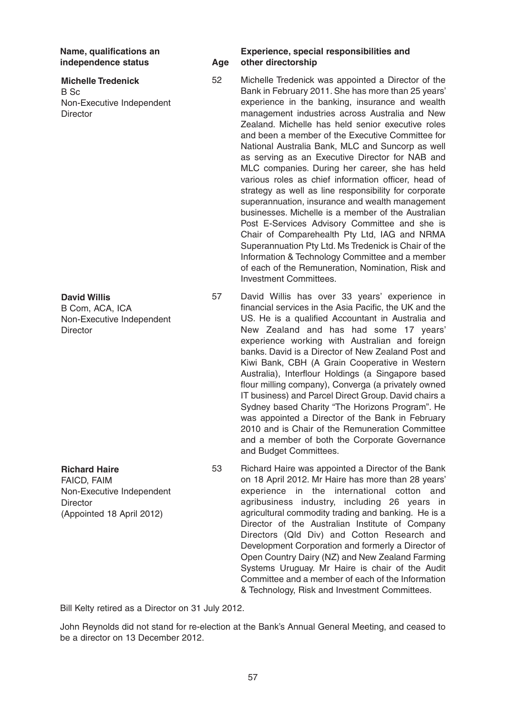**Michelle Tredenick** B Sc

Non-Executive Independent **Director** 

**David Willis** B Com, ACA, ICA Non-Executive Independent **Director** 

**Richard Haire** FAICD, FAIM Non-Executive Independent **Director** (Appointed 18 April 2012)

#### **Name, qualifications an Experience, special responsibilities and independence status Age other directorship**

- 52 Michelle Tredenick was appointed a Director of the Bank in February 2011. She has more than 25 years' experience in the banking, insurance and wealth management industries across Australia and New Zealand. Michelle has held senior executive roles and been a member of the Executive Committee for National Australia Bank, MLC and Suncorp as well as serving as an Executive Director for NAB and MLC companies. During her career, she has held various roles as chief information officer, head of strategy as well as line responsibility for corporate superannuation, insurance and wealth management businesses. Michelle is a member of the Australian Post E-Services Advisory Committee and she is Chair of Comparehealth Pty Ltd, IAG and NRMA Superannuation Pty Ltd. Ms Tredenick is Chair of the Information & Technology Committee and a member of each of the Remuneration, Nomination, Risk and Investment Committees.
- 57 David Willis has over 33 years' experience in financial services in the Asia Pacific, the UK and the US. He is a qualified Accountant in Australia and New Zealand and has had some 17 years' experience working with Australian and foreign banks. David is a Director of New Zealand Post and Kiwi Bank, CBH (A Grain Cooperative in Western Australia), Interflour Holdings (a Singapore based flour milling company), Converga (a privately owned IT business) and Parcel Direct Group. David chairs a Sydney based Charity "The Horizons Program". He was appointed a Director of the Bank in February 2010 and is Chair of the Remuneration Committee and a member of both the Corporate Governance and Budget Committees.
- 53 Richard Haire was appointed a Director of the Bank on 18 April 2012. Mr Haire has more than 28 years' experience in the international cotton and agribusiness industry, including 26 years in agricultural commodity trading and banking. He is a Director of the Australian Institute of Company Directors (Qld Div) and Cotton Research and Development Corporation and formerly a Director of Open Country Dairy (NZ) and New Zealand Farming Systems Uruguay. Mr Haire is chair of the Audit Committee and a member of each of the Information & Technology, Risk and Investment Committees.

Bill Kelty retired as a Director on 31 July 2012.

John Reynolds did not stand for re-election at the Bank's Annual General Meeting, and ceased to be a director on 13 December 2012.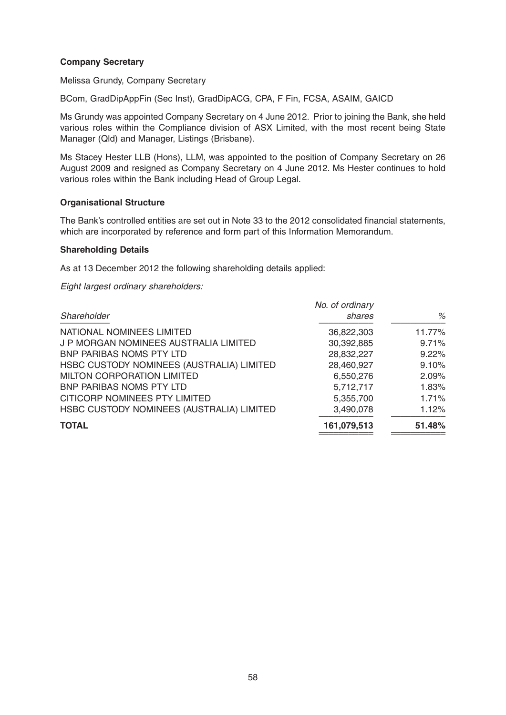# **Company Secretary**

Melissa Grundy, Company Secretary

BCom, GradDipAppFin (Sec Inst), GradDipACG, CPA, F Fin, FCSA, ASAIM, GAICD

Ms Grundy was appointed Company Secretary on 4 June 2012. Prior to joining the Bank, she held various roles within the Compliance division of ASX Limited, with the most recent being State Manager (Qld) and Manager, Listings (Brisbane).

Ms Stacey Hester LLB (Hons), LLM, was appointed to the position of Company Secretary on 26 August 2009 and resigned as Company Secretary on 4 June 2012. Ms Hester continues to hold various roles within the Bank including Head of Group Legal.

#### **Organisational Structure**

The Bank's controlled entities are set out in Note 33 to the 2012 consolidated financial statements, which are incorporated by reference and form part of this Information Memorandum.

#### **Shareholding Details**

As at 13 December 2012 the following shareholding details applied:

Eight largest ordinary shareholders:

| No. of ordinary<br>shares | %      |
|---------------------------|--------|
| 36,822,303                | 11.77% |
| 30,392,885                | 9.71%  |
| 28,832,227                | 9.22%  |
| 28,460,927                | 9.10%  |
| 6,550,276                 | 2.09%  |
| 5,712,717                 | 1.83%  |
| 5,355,700                 | 1.71%  |
| 3,490,078                 | 1.12%  |
| 161,079,513               | 51.48% |
|                           |        |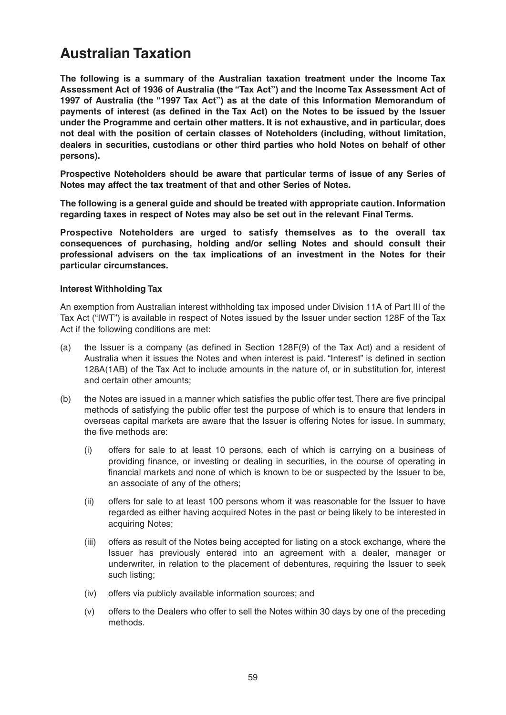# **Australian Taxation**

**The following is a summary of the Australian taxation treatment under the Income Tax Assessment Act of 1936 of Australia (the "Tax Act") and the Income Tax Assessment Act of 1997 of Australia (the "1997 Tax Act") as at the date of this Information Memorandum of payments of interest (as defined in the Tax Act) on the Notes to be issued by the Issuer under the Programme and certain other matters. It is not exhaustive, and in particular, does not deal with the position of certain classes of Noteholders (including, without limitation, dealers in securities, custodians or other third parties who hold Notes on behalf of other persons).** 

**Prospective Noteholders should be aware that particular terms of issue of any Series of Notes may affect the tax treatment of that and other Series of Notes.** 

**The following is a general guide and should be treated with appropriate caution. Information regarding taxes in respect of Notes may also be set out in the relevant Final Terms.** 

**Prospective Noteholders are urged to satisfy themselves as to the overall tax consequences of purchasing, holding and/or selling Notes and should consult their professional advisers on the tax implications of an investment in the Notes for their particular circumstances.**

#### **Interest Withholding Tax**

An exemption from Australian interest withholding tax imposed under Division 11A of Part III of the Tax Act ("IWT") is available in respect of Notes issued by the Issuer under section 128F of the Tax Act if the following conditions are met:

- (a) the Issuer is a company (as defined in Section 128F(9) of the Tax Act) and a resident of Australia when it issues the Notes and when interest is paid. "Interest" is defined in section 128A(1AB) of the Tax Act to include amounts in the nature of, or in substitution for, interest and certain other amounts;
- (b) the Notes are issued in a manner which satisfies the public offer test. There are five principal methods of satisfying the public offer test the purpose of which is to ensure that lenders in overseas capital markets are aware that the Issuer is offering Notes for issue. In summary, the five methods are:
	- (i) offers for sale to at least 10 persons, each of which is carrying on a business of providing finance, or investing or dealing in securities, in the course of operating in financial markets and none of which is known to be or suspected by the Issuer to be, an associate of any of the others;
	- (ii) offers for sale to at least 100 persons whom it was reasonable for the Issuer to have regarded as either having acquired Notes in the past or being likely to be interested in acquiring Notes;
	- (iii) offers as result of the Notes being accepted for listing on a stock exchange, where the Issuer has previously entered into an agreement with a dealer, manager or underwriter, in relation to the placement of debentures, requiring the Issuer to seek such listing;
	- (iv) offers via publicly available information sources; and
	- (v) offers to the Dealers who offer to sell the Notes within 30 days by one of the preceding methods.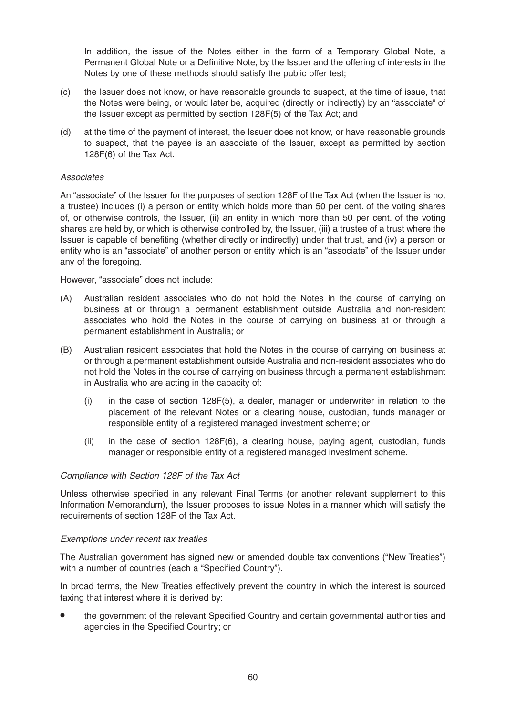In addition, the issue of the Notes either in the form of a Temporary Global Note, a Permanent Global Note or a Definitive Note, by the Issuer and the offering of interests in the Notes by one of these methods should satisfy the public offer test;

- (c) the Issuer does not know, or have reasonable grounds to suspect, at the time of issue, that the Notes were being, or would later be, acquired (directly or indirectly) by an "associate" of the Issuer except as permitted by section 128F(5) of the Tax Act; and
- (d) at the time of the payment of interest, the Issuer does not know, or have reasonable grounds to suspect, that the payee is an associate of the Issuer, except as permitted by section 128F(6) of the Tax Act.

#### Associates

An "associate" of the Issuer for the purposes of section 128F of the Tax Act (when the Issuer is not a trustee) includes (i) a person or entity which holds more than 50 per cent. of the voting shares of, or otherwise controls, the Issuer, (ii) an entity in which more than 50 per cent. of the voting shares are held by, or which is otherwise controlled by, the Issuer, (iii) a trustee of a trust where the Issuer is capable of benefiting (whether directly or indirectly) under that trust, and (iv) a person or entity who is an "associate" of another person or entity which is an "associate" of the Issuer under any of the foregoing.

However, "associate" does not include:

- (A) Australian resident associates who do not hold the Notes in the course of carrying on business at or through a permanent establishment outside Australia and non-resident associates who hold the Notes in the course of carrying on business at or through a permanent establishment in Australia; or
- (B) Australian resident associates that hold the Notes in the course of carrying on business at or through a permanent establishment outside Australia and non-resident associates who do not hold the Notes in the course of carrying on business through a permanent establishment in Australia who are acting in the capacity of:
	- (i) in the case of section 128F(5), a dealer, manager or underwriter in relation to the placement of the relevant Notes or a clearing house, custodian, funds manager or responsible entity of a registered managed investment scheme; or
	- (ii) in the case of section 128F(6), a clearing house, paying agent, custodian, funds manager or responsible entity of a registered managed investment scheme.

#### Compliance with Section 128F of the Tax Act

Unless otherwise specified in any relevant Final Terms (or another relevant supplement to this Information Memorandum), the Issuer proposes to issue Notes in a manner which will satisfy the requirements of section 128F of the Tax Act.

#### Exemptions under recent tax treaties

The Australian government has signed new or amended double tax conventions ("New Treaties") with a number of countries (each a "Specified Country").

In broad terms, the New Treaties effectively prevent the country in which the interest is sourced taxing that interest where it is derived by:

• the government of the relevant Specified Country and certain governmental authorities and agencies in the Specified Country; or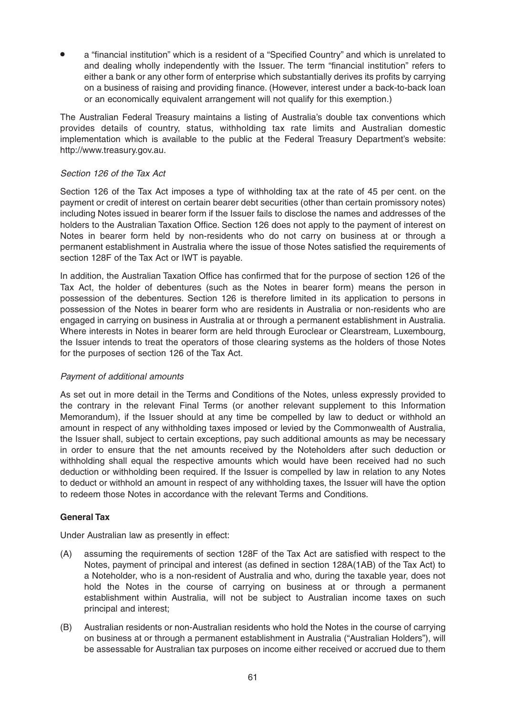• a "financial institution" which is a resident of a "Specified Country" and which is unrelated to and dealing wholly independently with the Issuer. The term "financial institution" refers to either a bank or any other form of enterprise which substantially derives its profits by carrying on a business of raising and providing finance. (However, interest under a back-to-back loan or an economically equivalent arrangement will not qualify for this exemption.)

The Australian Federal Treasury maintains a listing of Australia's double tax conventions which provides details of country, status, withholding tax rate limits and Australian domestic implementation which is available to the public at the Federal Treasury Department's website: http://www.treasury.gov.au.

#### Section 126 of the Tax Act

Section 126 of the Tax Act imposes a type of withholding tax at the rate of 45 per cent. on the payment or credit of interest on certain bearer debt securities (other than certain promissory notes) including Notes issued in bearer form if the Issuer fails to disclose the names and addresses of the holders to the Australian Taxation Office. Section 126 does not apply to the payment of interest on Notes in bearer form held by non-residents who do not carry on business at or through a permanent establishment in Australia where the issue of those Notes satisfied the requirements of section 128F of the Tax Act or IWT is payable.

In addition, the Australian Taxation Office has confirmed that for the purpose of section 126 of the Tax Act, the holder of debentures (such as the Notes in bearer form) means the person in possession of the debentures. Section 126 is therefore limited in its application to persons in possession of the Notes in bearer form who are residents in Australia or non-residents who are engaged in carrying on business in Australia at or through a permanent establishment in Australia. Where interests in Notes in bearer form are held through Euroclear or Clearstream, Luxembourg, the Issuer intends to treat the operators of those clearing systems as the holders of those Notes for the purposes of section 126 of the Tax Act.

#### Payment of additional amounts

As set out in more detail in the Terms and Conditions of the Notes, unless expressly provided to the contrary in the relevant Final Terms (or another relevant supplement to this Information Memorandum), if the Issuer should at any time be compelled by law to deduct or withhold an amount in respect of any withholding taxes imposed or levied by the Commonwealth of Australia, the Issuer shall, subject to certain exceptions, pay such additional amounts as may be necessary in order to ensure that the net amounts received by the Noteholders after such deduction or withholding shall equal the respective amounts which would have been received had no such deduction or withholding been required. If the Issuer is compelled by law in relation to any Notes to deduct or withhold an amount in respect of any withholding taxes, the Issuer will have the option to redeem those Notes in accordance with the relevant Terms and Conditions.

# **General Tax**

Under Australian law as presently in effect:

- (A) assuming the requirements of section 128F of the Tax Act are satisfied with respect to the Notes, payment of principal and interest (as defined in section 128A(1AB) of the Tax Act) to a Noteholder, who is a non-resident of Australia and who, during the taxable year, does not hold the Notes in the course of carrying on business at or through a permanent establishment within Australia, will not be subject to Australian income taxes on such principal and interest;
- (B) Australian residents or non-Australian residents who hold the Notes in the course of carrying on business at or through a permanent establishment in Australia ("Australian Holders"), will be assessable for Australian tax purposes on income either received or accrued due to them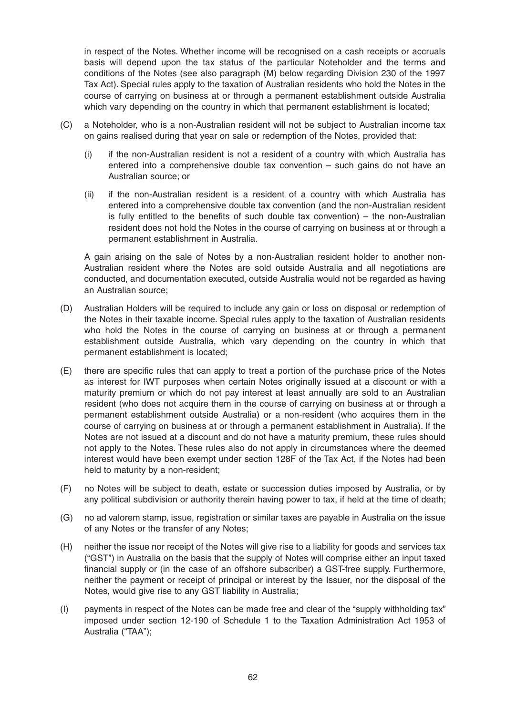in respect of the Notes. Whether income will be recognised on a cash receipts or accruals basis will depend upon the tax status of the particular Noteholder and the terms and conditions of the Notes (see also paragraph (M) below regarding Division 230 of the 1997 Tax Act). Special rules apply to the taxation of Australian residents who hold the Notes in the course of carrying on business at or through a permanent establishment outside Australia which vary depending on the country in which that permanent establishment is located;

- (C) a Noteholder, who is a non-Australian resident will not be subject to Australian income tax on gains realised during that year on sale or redemption of the Notes, provided that:
	- (i) if the non-Australian resident is not a resident of a country with which Australia has entered into a comprehensive double tax convention – such gains do not have an Australian source; or
	- (ii) if the non-Australian resident is a resident of a country with which Australia has entered into a comprehensive double tax convention (and the non-Australian resident is fully entitled to the benefits of such double tax convention) – the non-Australian resident does not hold the Notes in the course of carrying on business at or through a permanent establishment in Australia.

A gain arising on the sale of Notes by a non-Australian resident holder to another non-Australian resident where the Notes are sold outside Australia and all negotiations are conducted, and documentation executed, outside Australia would not be regarded as having an Australian source;

- (D) Australian Holders will be required to include any gain or loss on disposal or redemption of the Notes in their taxable income. Special rules apply to the taxation of Australian residents who hold the Notes in the course of carrying on business at or through a permanent establishment outside Australia, which vary depending on the country in which that permanent establishment is located;
- (E) there are specific rules that can apply to treat a portion of the purchase price of the Notes as interest for IWT purposes when certain Notes originally issued at a discount or with a maturity premium or which do not pay interest at least annually are sold to an Australian resident (who does not acquire them in the course of carrying on business at or through a permanent establishment outside Australia) or a non-resident (who acquires them in the course of carrying on business at or through a permanent establishment in Australia). If the Notes are not issued at a discount and do not have a maturity premium, these rules should not apply to the Notes. These rules also do not apply in circumstances where the deemed interest would have been exempt under section 128F of the Tax Act, if the Notes had been held to maturity by a non-resident;
- (F) no Notes will be subject to death, estate or succession duties imposed by Australia, or by any political subdivision or authority therein having power to tax, if held at the time of death;
- (G) no ad valorem stamp, issue, registration or similar taxes are payable in Australia on the issue of any Notes or the transfer of any Notes;
- (H) neither the issue nor receipt of the Notes will give rise to a liability for goods and services tax ("GST") in Australia on the basis that the supply of Notes will comprise either an input taxed financial supply or (in the case of an offshore subscriber) a GST-free supply. Furthermore, neither the payment or receipt of principal or interest by the Issuer, nor the disposal of the Notes, would give rise to any GST liability in Australia;
- (I) payments in respect of the Notes can be made free and clear of the "supply withholding tax" imposed under section 12-190 of Schedule 1 to the Taxation Administration Act 1953 of Australia ("TAA");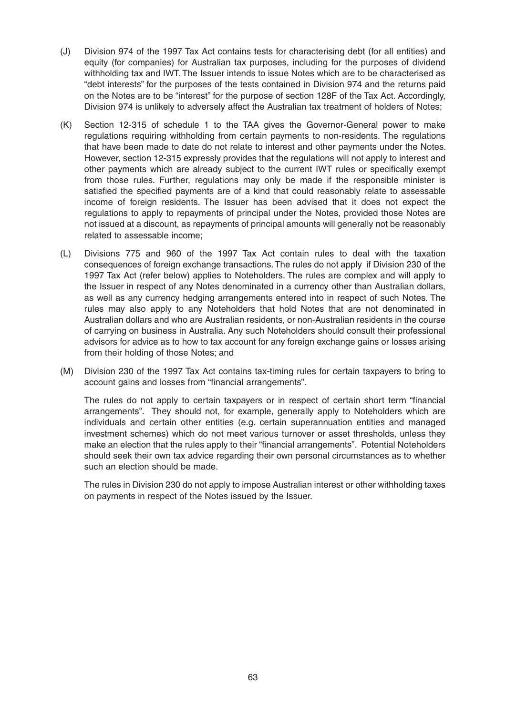- (J) Division 974 of the 1997 Tax Act contains tests for characterising debt (for all entities) and equity (for companies) for Australian tax purposes, including for the purposes of dividend withholding tax and IWT. The Issuer intends to issue Notes which are to be characterised as "debt interests" for the purposes of the tests contained in Division 974 and the returns paid on the Notes are to be "interest" for the purpose of section 128F of the Tax Act. Accordingly, Division 974 is unlikely to adversely affect the Australian tax treatment of holders of Notes;
- (K) Section 12-315 of schedule 1 to the TAA gives the Governor-General power to make regulations requiring withholding from certain payments to non-residents. The regulations that have been made to date do not relate to interest and other payments under the Notes. However, section 12-315 expressly provides that the regulations will not apply to interest and other payments which are already subject to the current IWT rules or specifically exempt from those rules. Further, regulations may only be made if the responsible minister is satisfied the specified payments are of a kind that could reasonably relate to assessable income of foreign residents. The Issuer has been advised that it does not expect the regulations to apply to repayments of principal under the Notes, provided those Notes are not issued at a discount, as repayments of principal amounts will generally not be reasonably related to assessable income;
- (L) Divisions 775 and 960 of the 1997 Tax Act contain rules to deal with the taxation consequences of foreign exchange transactions. The rules do not apply if Division 230 of the 1997 Tax Act (refer below) applies to Noteholders. The rules are complex and will apply to the Issuer in respect of any Notes denominated in a currency other than Australian dollars, as well as any currency hedging arrangements entered into in respect of such Notes. The rules may also apply to any Noteholders that hold Notes that are not denominated in Australian dollars and who are Australian residents, or non-Australian residents in the course of carrying on business in Australia. Any such Noteholders should consult their professional advisors for advice as to how to tax account for any foreign exchange gains or losses arising from their holding of those Notes; and
- (M) Division 230 of the 1997 Tax Act contains tax-timing rules for certain taxpayers to bring to account gains and losses from "financial arrangements".

The rules do not apply to certain taxpayers or in respect of certain short term "financial arrangements". They should not, for example, generally apply to Noteholders which are individuals and certain other entities (e.g. certain superannuation entities and managed investment schemes) which do not meet various turnover or asset thresholds, unless they make an election that the rules apply to their "financial arrangements". Potential Noteholders should seek their own tax advice regarding their own personal circumstances as to whether such an election should be made.

The rules in Division 230 do not apply to impose Australian interest or other withholding taxes on payments in respect of the Notes issued by the Issuer.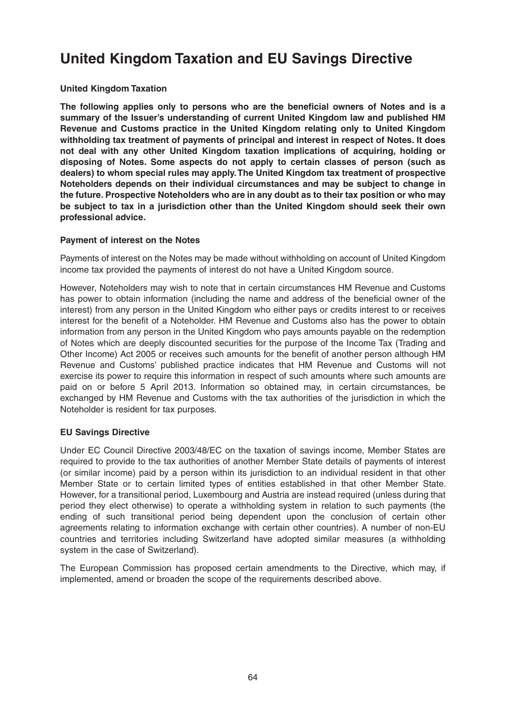# **United Kingdom Taxation and EU Savings Directive**

#### **United Kingdom Taxation**

**The following applies only to persons who are the beneficial owners of Notes and is a summary of the Issuer's understanding of current United Kingdom law and published HM Revenue and Customs practice in the United Kingdom relating only to United Kingdom withholding tax treatment of payments of principal and interest in respect of Notes. It does not deal with any other United Kingdom taxation implications of acquiring, holding or disposing of Notes. Some aspects do not apply to certain classes of person (such as dealers) to whom special rules may apply. The United Kingdom tax treatment of prospective Noteholders depends on their individual circumstances and may be subject to change in the future. Prospective Noteholders who are in any doubt as to their tax position or who may be subject to tax in a jurisdiction other than the United Kingdom should seek their own professional advice.**

#### **Payment of interest on the Notes**

Payments of interest on the Notes may be made without withholding on account of United Kingdom income tax provided the payments of interest do not have a United Kingdom source.

However, Noteholders may wish to note that in certain circumstances HM Revenue and Customs has power to obtain information (including the name and address of the beneficial owner of the interest) from any person in the United Kingdom who either pays or credits interest to or receives interest for the benefit of a Noteholder. HM Revenue and Customs also has the power to obtain information from any person in the United Kingdom who pays amounts payable on the redemption of Notes which are deeply discounted securities for the purpose of the Income Tax (Trading and Other Income) Act 2005 or receives such amounts for the benefit of another person although HM Revenue and Customs' published practice indicates that HM Revenue and Customs will not exercise its power to require this information in respect of such amounts where such amounts are paid on or before 5 April 2013. Information so obtained may, in certain circumstances, be exchanged by HM Revenue and Customs with the tax authorities of the jurisdiction in which the Noteholder is resident for tax purposes.

# **EU Savings Directive**

Under EC Council Directive 2003/48/EC on the taxation of savings income, Member States are required to provide to the tax authorities of another Member State details of payments of interest (or similar income) paid by a person within its jurisdiction to an individual resident in that other Member State or to certain limited types of entities established in that other Member State. However, for a transitional period, Luxembourg and Austria are instead required (unless during that period they elect otherwise) to operate a withholding system in relation to such payments (the ending of such transitional period being dependent upon the conclusion of certain other agreements relating to information exchange with certain other countries). A number of non-EU countries and territories including Switzerland have adopted similar measures (a withholding system in the case of Switzerland).

The European Commission has proposed certain amendments to the Directive, which may, if implemented, amend or broaden the scope of the requirements described above.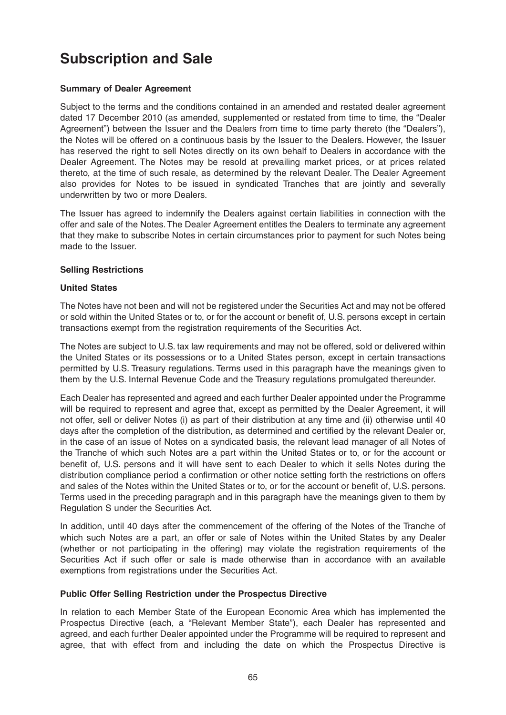# **Subscription and Sale**

# **Summary of Dealer Agreement**

Subject to the terms and the conditions contained in an amended and restated dealer agreement dated 17 December 2010 (as amended, supplemented or restated from time to time, the "Dealer Agreement") between the Issuer and the Dealers from time to time party thereto (the "Dealers"), the Notes will be offered on a continuous basis by the Issuer to the Dealers. However, the Issuer has reserved the right to sell Notes directly on its own behalf to Dealers in accordance with the Dealer Agreement. The Notes may be resold at prevailing market prices, or at prices related thereto, at the time of such resale, as determined by the relevant Dealer. The Dealer Agreement also provides for Notes to be issued in syndicated Tranches that are jointly and severally underwritten by two or more Dealers.

The Issuer has agreed to indemnify the Dealers against certain liabilities in connection with the offer and sale of the Notes. The Dealer Agreement entitles the Dealers to terminate any agreement that they make to subscribe Notes in certain circumstances prior to payment for such Notes being made to the Issuer.

# **Selling Restrictions**

# **United States**

The Notes have not been and will not be registered under the Securities Act and may not be offered or sold within the United States or to, or for the account or benefit of, U.S. persons except in certain transactions exempt from the registration requirements of the Securities Act.

The Notes are subject to U.S. tax law requirements and may not be offered, sold or delivered within the United States or its possessions or to a United States person, except in certain transactions permitted by U.S. Treasury regulations. Terms used in this paragraph have the meanings given to them by the U.S. Internal Revenue Code and the Treasury regulations promulgated thereunder.

Each Dealer has represented and agreed and each further Dealer appointed under the Programme will be required to represent and agree that, except as permitted by the Dealer Agreement, it will not offer, sell or deliver Notes (i) as part of their distribution at any time and (ii) otherwise until 40 days after the completion of the distribution, as determined and certified by the relevant Dealer or, in the case of an issue of Notes on a syndicated basis, the relevant lead manager of all Notes of the Tranche of which such Notes are a part within the United States or to, or for the account or benefit of, U.S. persons and it will have sent to each Dealer to which it sells Notes during the distribution compliance period a confirmation or other notice setting forth the restrictions on offers and sales of the Notes within the United States or to, or for the account or benefit of, U.S. persons. Terms used in the preceding paragraph and in this paragraph have the meanings given to them by Regulation S under the Securities Act.

In addition, until 40 days after the commencement of the offering of the Notes of the Tranche of which such Notes are a part, an offer or sale of Notes within the United States by any Dealer (whether or not participating in the offering) may violate the registration requirements of the Securities Act if such offer or sale is made otherwise than in accordance with an available exemptions from registrations under the Securities Act.

# **Public Offer Selling Restriction under the Prospectus Directive**

In relation to each Member State of the European Economic Area which has implemented the Prospectus Directive (each, a "Relevant Member State"), each Dealer has represented and agreed, and each further Dealer appointed under the Programme will be required to represent and agree, that with effect from and including the date on which the Prospectus Directive is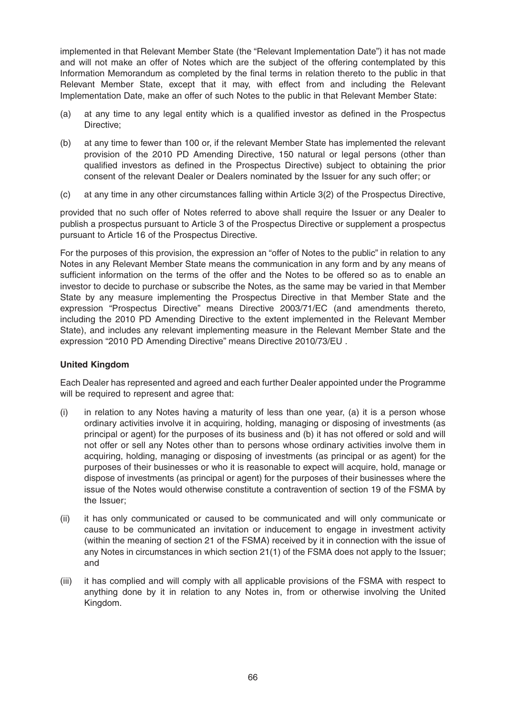implemented in that Relevant Member State (the "Relevant Implementation Date") it has not made and will not make an offer of Notes which are the subject of the offering contemplated by this Information Memorandum as completed by the final terms in relation thereto to the public in that Relevant Member State, except that it may, with effect from and including the Relevant Implementation Date, make an offer of such Notes to the public in that Relevant Member State:

- (a) at any time to any legal entity which is a qualified investor as defined in the Prospectus Directive;
- (b) at any time to fewer than 100 or, if the relevant Member State has implemented the relevant provision of the 2010 PD Amending Directive, 150 natural or legal persons (other than qualified investors as defined in the Prospectus Directive) subject to obtaining the prior consent of the relevant Dealer or Dealers nominated by the Issuer for any such offer; or
- (c) at any time in any other circumstances falling within Article 3(2) of the Prospectus Directive,

provided that no such offer of Notes referred to above shall require the Issuer or any Dealer to publish a prospectus pursuant to Article 3 of the Prospectus Directive or supplement a prospectus pursuant to Article 16 of the Prospectus Directive.

For the purposes of this provision, the expression an "offer of Notes to the public" in relation to any Notes in any Relevant Member State means the communication in any form and by any means of sufficient information on the terms of the offer and the Notes to be offered so as to enable an investor to decide to purchase or subscribe the Notes, as the same may be varied in that Member State by any measure implementing the Prospectus Directive in that Member State and the expression "Prospectus Directive" means Directive 2003/71/EC (and amendments thereto, including the 2010 PD Amending Directive to the extent implemented in the Relevant Member State), and includes any relevant implementing measure in the Relevant Member State and the expression "2010 PD Amending Directive" means Directive 2010/73/EU .

# **United Kingdom**

Each Dealer has represented and agreed and each further Dealer appointed under the Programme will be required to represent and agree that:

- $(i)$  in relation to any Notes having a maturity of less than one year, (a) it is a person whose ordinary activities involve it in acquiring, holding, managing or disposing of investments (as principal or agent) for the purposes of its business and (b) it has not offered or sold and will not offer or sell any Notes other than to persons whose ordinary activities involve them in acquiring, holding, managing or disposing of investments (as principal or as agent) for the purposes of their businesses or who it is reasonable to expect will acquire, hold, manage or dispose of investments (as principal or agent) for the purposes of their businesses where the issue of the Notes would otherwise constitute a contravention of section 19 of the FSMA by the Issuer;
- (ii) it has only communicated or caused to be communicated and will only communicate or cause to be communicated an invitation or inducement to engage in investment activity (within the meaning of section 21 of the FSMA) received by it in connection with the issue of any Notes in circumstances in which section 21(1) of the FSMA does not apply to the Issuer; and
- (iii) it has complied and will comply with all applicable provisions of the FSMA with respect to anything done by it in relation to any Notes in, from or otherwise involving the United Kingdom.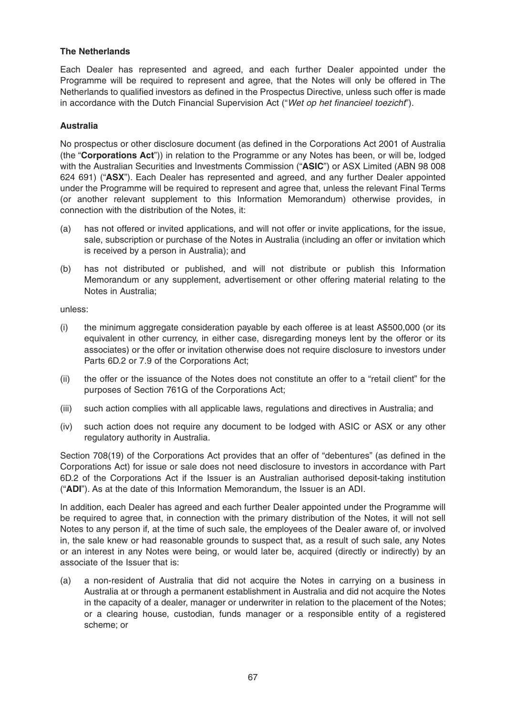#### **The Netherlands**

Each Dealer has represented and agreed, and each further Dealer appointed under the Programme will be required to represent and agree, that the Notes will only be offered in The Netherlands to qualified investors as defined in the Prospectus Directive, unless such offer is made in accordance with the Dutch Financial Supervision Act ("Wet op het financieel toezicht").

#### **Australia**

No prospectus or other disclosure document (as defined in the Corporations Act 2001 of Australia (the "**Corporations Act**")) in relation to the Programme or any Notes has been, or will be, lodged with the Australian Securities and Investments Commission ("**ASIC**") or ASX Limited (ABN 98 008 624 691) ("**ASX**"). Each Dealer has represented and agreed, and any further Dealer appointed under the Programme will be required to represent and agree that, unless the relevant Final Terms (or another relevant supplement to this Information Memorandum) otherwise provides, in connection with the distribution of the Notes, it:

- (a) has not offered or invited applications, and will not offer or invite applications, for the issue, sale, subscription or purchase of the Notes in Australia (including an offer or invitation which is received by a person in Australia); and
- (b) has not distributed or published, and will not distribute or publish this Information Memorandum or any supplement, advertisement or other offering material relating to the Notes in Australia;

unless:

- (i) the minimum aggregate consideration payable by each offeree is at least A\$500,000 (or its equivalent in other currency, in either case, disregarding moneys lent by the offeror or its associates) or the offer or invitation otherwise does not require disclosure to investors under Parts 6D.2 or 7.9 of the Corporations Act;
- (ii) the offer or the issuance of the Notes does not constitute an offer to a "retail client" for the purposes of Section 761G of the Corporations Act;
- (iii) such action complies with all applicable laws, regulations and directives in Australia; and
- (iv) such action does not require any document to be lodged with ASIC or ASX or any other regulatory authority in Australia.

Section 708(19) of the Corporations Act provides that an offer of "debentures" (as defined in the Corporations Act) for issue or sale does not need disclosure to investors in accordance with Part 6D.2 of the Corporations Act if the Issuer is an Australian authorised deposit-taking institution ("**ADI**"). As at the date of this Information Memorandum, the Issuer is an ADI.

In addition, each Dealer has agreed and each further Dealer appointed under the Programme will be required to agree that, in connection with the primary distribution of the Notes, it will not sell Notes to any person if, at the time of such sale, the employees of the Dealer aware of, or involved in, the sale knew or had reasonable grounds to suspect that, as a result of such sale, any Notes or an interest in any Notes were being, or would later be, acquired (directly or indirectly) by an associate of the Issuer that is:

(a) a non-resident of Australia that did not acquire the Notes in carrying on a business in Australia at or through a permanent establishment in Australia and did not acquire the Notes in the capacity of a dealer, manager or underwriter in relation to the placement of the Notes; or a clearing house, custodian, funds manager or a responsible entity of a registered scheme; or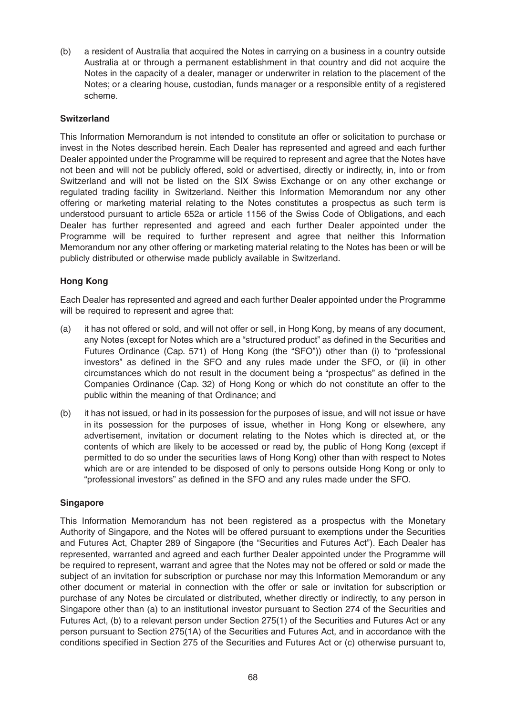(b) a resident of Australia that acquired the Notes in carrying on a business in a country outside Australia at or through a permanent establishment in that country and did not acquire the Notes in the capacity of a dealer, manager or underwriter in relation to the placement of the Notes; or a clearing house, custodian, funds manager or a responsible entity of a registered scheme.

#### **Switzerland**

This Information Memorandum is not intended to constitute an offer or solicitation to purchase or invest in the Notes described herein. Each Dealer has represented and agreed and each further Dealer appointed under the Programme will be required to represent and agree that the Notes have not been and will not be publicly offered, sold or advertised, directly or indirectly, in, into or from Switzerland and will not be listed on the SIX Swiss Exchange or on any other exchange or regulated trading facility in Switzerland. Neither this Information Memorandum nor any other offering or marketing material relating to the Notes constitutes a prospectus as such term is understood pursuant to article 652a or article 1156 of the Swiss Code of Obligations, and each Dealer has further represented and agreed and each further Dealer appointed under the Programme will be required to further represent and agree that neither this Information Memorandum nor any other offering or marketing material relating to the Notes has been or will be publicly distributed or otherwise made publicly available in Switzerland.

#### **Hong Kong**

Each Dealer has represented and agreed and each further Dealer appointed under the Programme will be required to represent and agree that:

- (a) it has not offered or sold, and will not offer or sell, in Hong Kong, by means of any document, any Notes (except for Notes which are a "structured product" as defined in the Securities and Futures Ordinance (Cap. 571) of Hong Kong (the "SFO")) other than (i) to "professional investors" as defined in the SFO and any rules made under the SFO, or (ii) in other circumstances which do not result in the document being a "prospectus" as defined in the Companies Ordinance (Cap. 32) of Hong Kong or which do not constitute an offer to the public within the meaning of that Ordinance; and
- (b) it has not issued, or had in its possession for the purposes of issue, and will not issue or have in its possession for the purposes of issue, whether in Hong Kong or elsewhere, any advertisement, invitation or document relating to the Notes which is directed at, or the contents of which are likely to be accessed or read by, the public of Hong Kong (except if permitted to do so under the securities laws of Hong Kong) other than with respect to Notes which are or are intended to be disposed of only to persons outside Hong Kong or only to "professional investors" as defined in the SFO and any rules made under the SFO.

#### **Singapore**

This Information Memorandum has not been registered as a prospectus with the Monetary Authority of Singapore, and the Notes will be offered pursuant to exemptions under the Securities and Futures Act, Chapter 289 of Singapore (the "Securities and Futures Act"). Each Dealer has represented, warranted and agreed and each further Dealer appointed under the Programme will be required to represent, warrant and agree that the Notes may not be offered or sold or made the subject of an invitation for subscription or purchase nor may this Information Memorandum or any other document or material in connection with the offer or sale or invitation for subscription or purchase of any Notes be circulated or distributed, whether directly or indirectly, to any person in Singapore other than (a) to an institutional investor pursuant to Section 274 of the Securities and Futures Act, (b) to a relevant person under Section 275(1) of the Securities and Futures Act or any person pursuant to Section 275(1A) of the Securities and Futures Act, and in accordance with the conditions specified in Section 275 of the Securities and Futures Act or (c) otherwise pursuant to,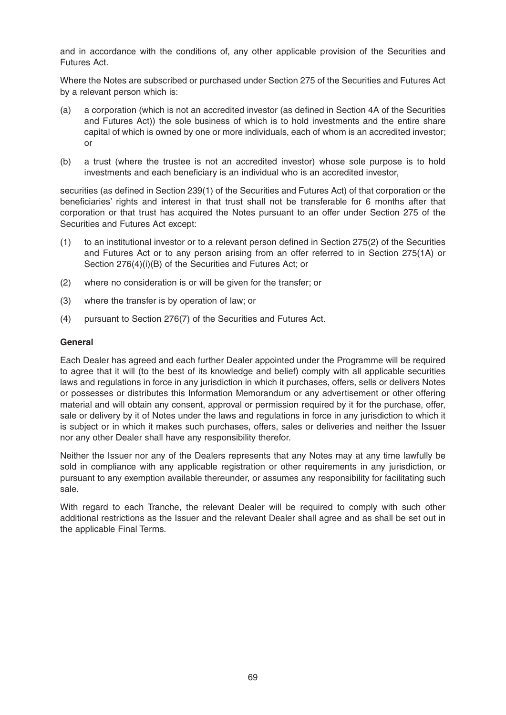and in accordance with the conditions of, any other applicable provision of the Securities and Futures Act.

Where the Notes are subscribed or purchased under Section 275 of the Securities and Futures Act by a relevant person which is:

- (a) a corporation (which is not an accredited investor (as defined in Section 4A of the Securities and Futures Act)) the sole business of which is to hold investments and the entire share capital of which is owned by one or more individuals, each of whom is an accredited investor; or
- (b) a trust (where the trustee is not an accredited investor) whose sole purpose is to hold investments and each beneficiary is an individual who is an accredited investor,

securities (as defined in Section 239(1) of the Securities and Futures Act) of that corporation or the beneficiaries' rights and interest in that trust shall not be transferable for 6 months after that corporation or that trust has acquired the Notes pursuant to an offer under Section 275 of the Securities and Futures Act except:

- (1) to an institutional investor or to a relevant person defined in Section 275(2) of the Securities and Futures Act or to any person arising from an offer referred to in Section 275(1A) or Section 276(4)(i)(B) of the Securities and Futures Act; or
- (2) where no consideration is or will be given for the transfer; or
- (3) where the transfer is by operation of law; or
- (4) pursuant to Section 276(7) of the Securities and Futures Act.

#### **General**

Each Dealer has agreed and each further Dealer appointed under the Programme will be required to agree that it will (to the best of its knowledge and belief) comply with all applicable securities laws and regulations in force in any jurisdiction in which it purchases, offers, sells or delivers Notes or possesses or distributes this Information Memorandum or any advertisement or other offering material and will obtain any consent, approval or permission required by it for the purchase, offer, sale or delivery by it of Notes under the laws and regulations in force in any jurisdiction to which it is subject or in which it makes such purchases, offers, sales or deliveries and neither the Issuer nor any other Dealer shall have any responsibility therefor.

Neither the Issuer nor any of the Dealers represents that any Notes may at any time lawfully be sold in compliance with any applicable registration or other requirements in any jurisdiction, or pursuant to any exemption available thereunder, or assumes any responsibility for facilitating such sale.

With regard to each Tranche, the relevant Dealer will be required to comply with such other additional restrictions as the Issuer and the relevant Dealer shall agree and as shall be set out in the applicable Final Terms.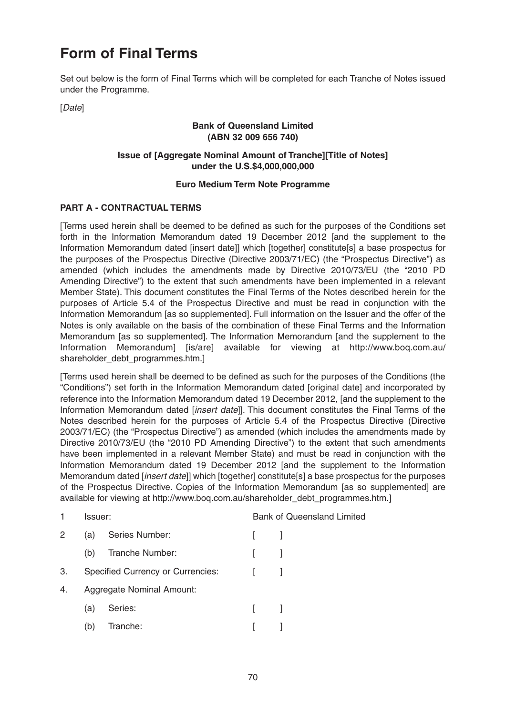# **Form of Final Terms**

Set out below is the form of Final Terms which will be completed for each Tranche of Notes issued under the Programme.

[Date]

#### **Bank of Queensland Limited (ABN 32 009 656 740)**

# **Issue of [Aggregate Nominal Amount of Tranche][Title of Notes] under the U.S.\$4,000,000,000**

# **Euro Medium Term Note Programme**

# **PART A - CONTRACTUAL TERMS**

[Terms used herein shall be deemed to be defined as such for the purposes of the Conditions set forth in the Information Memorandum dated 19 December 2012 [and the supplement to the Information Memorandum dated [insert date]] which [together] constitute[s] a base prospectus for the purposes of the Prospectus Directive (Directive 2003/71/EC) (the "Prospectus Directive") as amended (which includes the amendments made by Directive 2010/73/EU (the "2010 PD Amending Directive") to the extent that such amendments have been implemented in a relevant Member State). This document constitutes the Final Terms of the Notes described herein for the purposes of Article 5.4 of the Prospectus Directive and must be read in conjunction with the Information Memorandum [as so supplemented]. Full information on the Issuer and the offer of the Notes is only available on the basis of the combination of these Final Terms and the Information Memorandum [as so supplemented]. The Information Memorandum [and the supplement to the Information Memorandum] [is/are] available for viewing at http://www.boq.com.au/ shareholder\_debt\_programmes.htm.]

[Terms used herein shall be deemed to be defined as such for the purposes of the Conditions (the "Conditions") set forth in the Information Memorandum dated [original date] and incorporated by reference into the Information Memorandum dated 19 December 2012, [and the supplement to the Information Memorandum dated [insert date]]. This document constitutes the Final Terms of the Notes described herein for the purposes of Article 5.4 of the Prospectus Directive (Directive 2003/71/EC) (the "Prospectus Directive") as amended (which includes the amendments made by Directive 2010/73/EU (the "2010 PD Amending Directive") to the extent that such amendments have been implemented in a relevant Member State) and must be read in conjunction with the Information Memorandum dated 19 December 2012 [and the supplement to the Information Memorandum dated [*insert date*]] which [together] constitute[s] a base prospectus for the purposes of the Prospectus Directive. Copies of the Information Memorandum [as so supplemented] are available for viewing at http://www.boq.com.au/shareholder\_debt\_programmes.htm.]

| 1  | Issuer: |                                          |              | <b>Bank of Queensland Limited</b> |  |
|----|---------|------------------------------------------|--------------|-----------------------------------|--|
| 2  | (a)     | Series Number:                           | $\mathbf{L}$ |                                   |  |
|    | (b)     | Tranche Number:                          |              |                                   |  |
| 3. |         | <b>Specified Currency or Currencies:</b> |              |                                   |  |
| 4. |         | Aggregate Nominal Amount:                |              |                                   |  |
|    | (a)     | Series:                                  | $\mathbf{L}$ |                                   |  |
|    | (b)     | Tranche:                                 |              |                                   |  |
|    |         |                                          |              |                                   |  |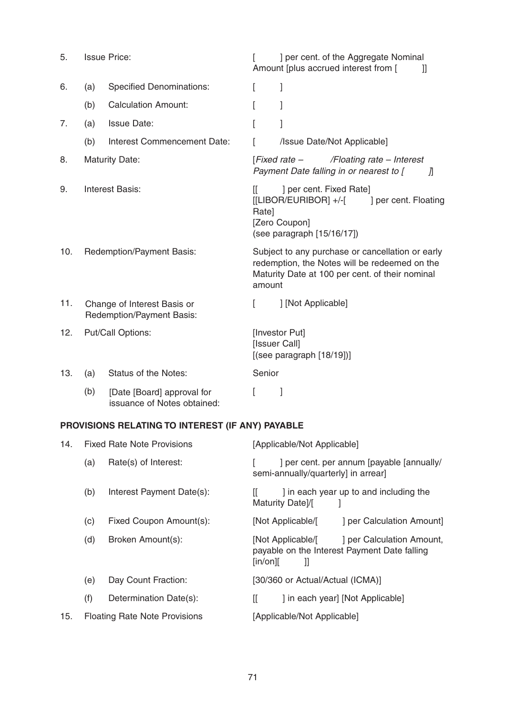| 5.  |                                                                                     | <b>Issue Price:</b>                                       |                                                                                                     | ] per cent. of the Aggregate Nominal<br>Amount [plus accrued interest from [<br>11                                                                   |
|-----|-------------------------------------------------------------------------------------|-----------------------------------------------------------|-----------------------------------------------------------------------------------------------------|------------------------------------------------------------------------------------------------------------------------------------------------------|
| 6.  | (a)                                                                                 | <b>Specified Denominations:</b>                           | L                                                                                                   | 1                                                                                                                                                    |
|     | (b)                                                                                 | <b>Calculation Amount:</b>                                |                                                                                                     | 1                                                                                                                                                    |
| 7.  | (a)                                                                                 | <b>Issue Date:</b>                                        |                                                                                                     | 1                                                                                                                                                    |
|     | (b)                                                                                 | Interest Commencement Date:                               | L                                                                                                   | /Issue Date/Not Applicable]                                                                                                                          |
| 8.  |                                                                                     | <b>Maturity Date:</b>                                     | [Fixed rate -<br>/Floating rate - Interest<br>Payment Date falling in or nearest to [<br>$\sqrt{n}$ |                                                                                                                                                      |
| 9.  | <b>Interest Basis:</b>                                                              |                                                           | II.<br>Rate]                                                                                        | ] per cent. Fixed Rate]<br>[[LIBOR/EURIBOR] +/-[<br>] per cent. Floating<br>[Zero Coupon]<br>(see paragraph [15/16/17])                              |
| 10. | Redemption/Payment Basis:                                                           |                                                           | amount                                                                                              | Subject to any purchase or cancellation or early<br>redemption, the Notes will be redeemed on the<br>Maturity Date at 100 per cent. of their nominal |
| 11. | ] [Not Applicable]<br>Change of Interest Basis or<br>L<br>Redemption/Payment Basis: |                                                           |                                                                                                     |                                                                                                                                                      |
| 12. |                                                                                     | Put/Call Options:                                         | [Investor Put]<br>[Issuer Call]<br>[(see paragraph [18/19]])                                        |                                                                                                                                                      |
| 13. | (a)                                                                                 | <b>Status of the Notes:</b>                               | Senior                                                                                              |                                                                                                                                                      |
|     | (b)                                                                                 | [Date [Board] approval for<br>issuance of Notes obtained: | L                                                                                                   | 1                                                                                                                                                    |

# **PROVISIONS RELATING TO INTEREST (IF ANY) PAYABLE**

| 14. |     | <b>Fixed Rate Note Provisions</b>    | [Applicable/Not Applicable]                                                                                                                    |
|-----|-----|--------------------------------------|------------------------------------------------------------------------------------------------------------------------------------------------|
|     | (a) | Rate(s) of Interest:                 | ] per cent. per annum [payable [annually/<br>semi-annually/quarterly] in arrear]                                                               |
|     | (b) | Interest Payment Date(s):            | ] in each year up to and including the<br>Maturity Date)/[                                                                                     |
|     | (c) | Fixed Coupon Amount(s):              | ] per Calculation Amount]<br>[Not Applicable/[                                                                                                 |
|     | (d) | Broken Amount(s):                    | ] per Calculation Amount,<br>[Not Applicable/[<br>payable on the Interest Payment Date falling<br>$\lceil \mathsf{in}/\mathsf{on} \rceil$<br>Ш |
|     | (e) | Day Count Fraction:                  | [30/360 or Actual/Actual (ICMA)]                                                                                                               |
|     | (f) | Determination Date(s):               | ] in each year] [Not Applicable]<br>IL                                                                                                         |
| 15. |     | <b>Floating Rate Note Provisions</b> | [Applicable/Not Applicable]                                                                                                                    |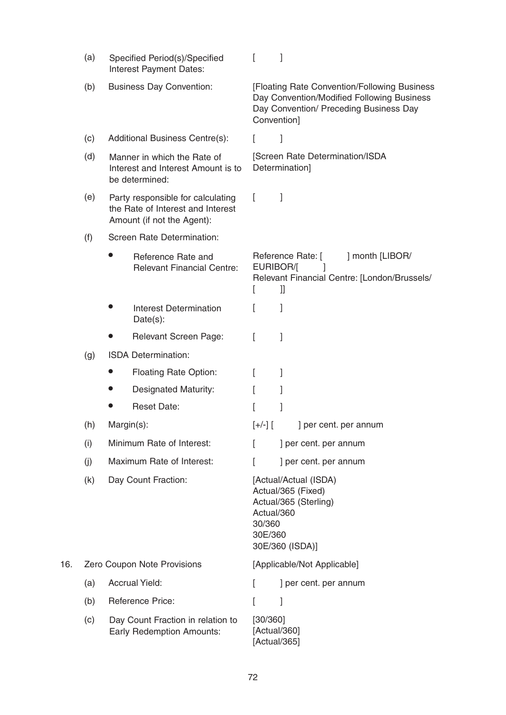|     | (a) | Specified Period(s)/Specified<br>Interest Payment Dates:                                             | I                                                                                                                                                   |
|-----|-----|------------------------------------------------------------------------------------------------------|-----------------------------------------------------------------------------------------------------------------------------------------------------|
|     | (b) | <b>Business Day Convention:</b>                                                                      | [Floating Rate Convention/Following Business<br>Day Convention/Modified Following Business<br>Day Convention/ Preceding Business Day<br>Convention] |
|     | (c) | Additional Business Centre(s):                                                                       | 1<br>L                                                                                                                                              |
|     | (d) | Manner in which the Rate of<br>Interest and Interest Amount is to<br>be determined:                  | [Screen Rate Determination/ISDA<br>Determination]                                                                                                   |
|     | (e) | Party responsible for calculating<br>the Rate of Interest and Interest<br>Amount (if not the Agent): | L<br>$\perp$                                                                                                                                        |
|     | (f) | Screen Rate Determination:                                                                           |                                                                                                                                                     |
|     |     | Reference Rate and<br><b>Relevant Financial Centre:</b>                                              | Reference Rate: [<br>] month [LIBOR/<br>EURIBOR/[<br>Relevant Financial Centre: [London/Brussels/<br>t<br>Ш                                         |
|     |     | <b>Interest Determination</b><br>$Date(s)$ :                                                         | t<br>$\overline{1}$                                                                                                                                 |
|     |     | <b>Relevant Screen Page:</b>                                                                         | I<br>1                                                                                                                                              |
|     | (g) | <b>ISDA Determination:</b>                                                                           |                                                                                                                                                     |
|     |     | <b>Floating Rate Option:</b>                                                                         | L<br>1                                                                                                                                              |
|     |     | <b>Designated Maturity:</b>                                                                          | L<br>1                                                                                                                                              |
|     |     | <b>Reset Date:</b>                                                                                   | I                                                                                                                                                   |
|     | (h) | Margin(s):                                                                                           | $[+/$ ] $[$<br>per cent. per annum                                                                                                                  |
|     | (i) | Minimum Rate of Interest:                                                                            | ] per cent. per annum<br>L                                                                                                                          |
|     | (j) | Maximum Rate of Interest:                                                                            | ] per cent. per annum<br>t                                                                                                                          |
|     | (k) | Day Count Fraction:                                                                                  | [Actual/Actual (ISDA)<br>Actual/365 (Fixed)<br>Actual/365 (Sterling)<br>Actual/360<br>30/360<br>30E/360<br>30E/360 (ISDA)]                          |
| 16. |     | Zero Coupon Note Provisions                                                                          | [Applicable/Not Applicable]                                                                                                                         |
|     | (a) | <b>Accrual Yield:</b>                                                                                | ] per cent. per annum<br>L                                                                                                                          |
|     | (b) | <b>Reference Price:</b>                                                                              | L<br>1                                                                                                                                              |
|     | (c) | Day Count Fraction in relation to<br><b>Early Redemption Amounts:</b>                                | [30/360]<br>[Actual/360]<br>[Actual/365]                                                                                                            |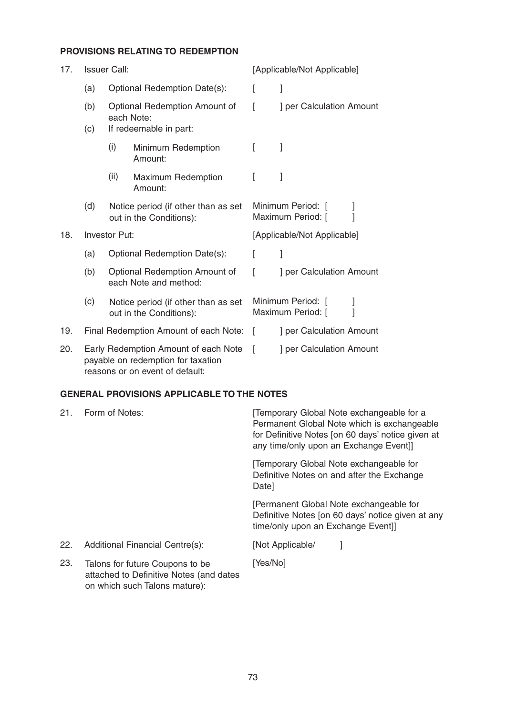# **PROVISIONS RELATING TO REDEMPTION**

| 17. | <b>Issuer Call:</b>                                                                                           |                                                                |                                                                | [Applicable/Not Applicable]                 |                          |
|-----|---------------------------------------------------------------------------------------------------------------|----------------------------------------------------------------|----------------------------------------------------------------|---------------------------------------------|--------------------------|
|     | (a)                                                                                                           | Optional Redemption Date(s):                                   |                                                                |                                             | 1                        |
|     | (b)                                                                                                           | Optional Redemption Amount of<br>each Note:                    |                                                                |                                             | ] per Calculation Amount |
|     | (c)                                                                                                           | If redeemable in part:                                         |                                                                |                                             |                          |
|     |                                                                                                               | (i)                                                            | Minimum Redemption<br>Amount:                                  |                                             |                          |
|     |                                                                                                               | (ii)                                                           | Maximum Redemption<br>Amount:                                  | I                                           |                          |
|     | (d)                                                                                                           |                                                                | Notice period (if other than as set<br>out in the Conditions): | Minimum Period: [<br>Maximum Period: [      |                          |
| 18. | Investor Put:                                                                                                 |                                                                |                                                                | [Applicable/Not Applicable]                 |                          |
|     | (a)                                                                                                           | Optional Redemption Date(s):                                   |                                                                | f                                           | 1                        |
|     | (b)                                                                                                           | Optional Redemption Amount of<br>each Note and method:         |                                                                |                                             | ] per Calculation Amount |
|     | (c)                                                                                                           | Notice period (if other than as set<br>out in the Conditions): |                                                                | Minimum Period: [<br>]<br>Maximum Period: [ |                          |
| 19. |                                                                                                               | Final Redemption Amount of each Note:                          |                                                                | $\lceil$                                    | ] per Calculation Amount |
| 20. | Early Redemption Amount of each Note<br>payable on redemption for taxation<br>reasons or on event of default: |                                                                |                                                                |                                             | ] per Calculation Amount |

# **GENERAL PROVISIONS APPLICABLE TO THE NOTES**

| 21. | Form of Notes:                                                                                              | Temporary Global Note exchangeable for a<br>Permanent Global Note which is exchangeable<br>for Definitive Notes [on 60 days' notice given at<br>any time/only upon an Exchange Event]]                                              |  |  |
|-----|-------------------------------------------------------------------------------------------------------------|-------------------------------------------------------------------------------------------------------------------------------------------------------------------------------------------------------------------------------------|--|--|
|     |                                                                                                             | Temporary Global Note exchangeable for<br>Definitive Notes on and after the Exchange<br>Date]<br>[Permanent Global Note exchangeable for<br>Definitive Notes [on 60 days' notice given at any<br>time/only upon an Exchange Event]] |  |  |
|     |                                                                                                             |                                                                                                                                                                                                                                     |  |  |
| 22. | Additional Financial Centre(s):                                                                             | [Not Applicable/                                                                                                                                                                                                                    |  |  |
| 23. | Talons for future Coupons to be<br>attached to Definitive Notes (and dates<br>on which such Talons mature): | [Yes/No]                                                                                                                                                                                                                            |  |  |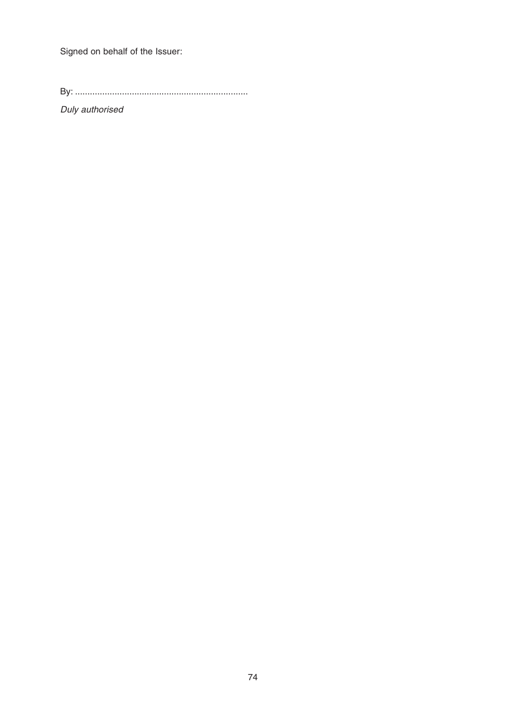Signed on behalf of the Issuer:

By: ......................................................................

Duly authorised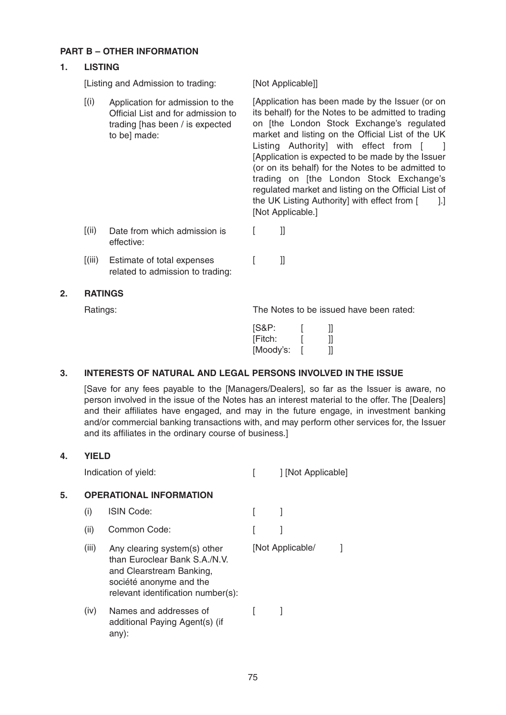## **PART B – OTHER INFORMATION**

## **1. LISTING**

[Listing and Admission to trading: [Not Applicable]]

[(i) Application for admission to the [Application has been made by the Issuer (or on its behalf) for the Notes to be admitted to trading on [the London Stock Exchange's regulated market and listing on the Official List of the UK Listing Authority] with effect from [ ] [Application is expected to be made by the Issuer (or on its behalf) for the Notes to be admitted to Application for admission to the Official List and for admission to trading [has been / is expected to be] made:

[Not Applicable.] [(ii) Date from which admission is [ ]] effective:

[(iii) Estimate of total expenses [ ]] related to admission to trading:

## **2. RATINGS**

Ratings: The Notes to be issued have been rated:

trading on [the London Stock Exchange's regulated market and listing on the Official List of the UK Listing Authority] with effect from [1.1]

| [S&P:     |  |
|-----------|--|
| [Fitch:   |  |
| [Moody's: |  |

# **3. INTERESTS OF NATURAL AND LEGAL PERSONS INVOLVED IN THE ISSUE**

[Save for any fees payable to the [Managers/Dealers], so far as the Issuer is aware, no person involved in the issue of the Notes has an interest material to the offer. The [Dealers] and their affiliates have engaged, and may in the future engage, in investment banking and/or commercial banking transactions with, and may perform other services for, the Issuer and its affiliates in the ordinary course of business.]

# **4. YIELD** Indication of yield:  $[$  ] [Not Applicable] **5. OPERATIONAL INFORMATION** (i) ISIN Code: [ ] (ii) Common Code: [ ] (iii) Any clearing system(s) other [Not Applicable/ ]

- than Euroclear Bank S.A./N.V. and Clearstream Banking, société anonyme and the relevant identification number(s):
- $(iv)$  Names and addresses of  $[$   $]$ additional Paying Agent(s) (if any):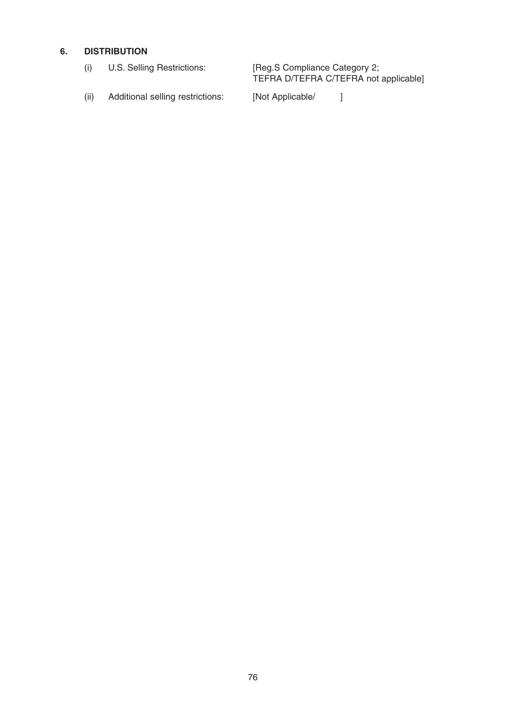# **6. DISTRIBUTION**

|  | U.S. Selling Restrictions:       | [Reg.S Compliance Category 2;<br>TEFRA D/TEFRA C/TEFRA not applicable] |  |  |
|--|----------------------------------|------------------------------------------------------------------------|--|--|
|  | Additional selling restrictions: | [Not Applicable/                                                       |  |  |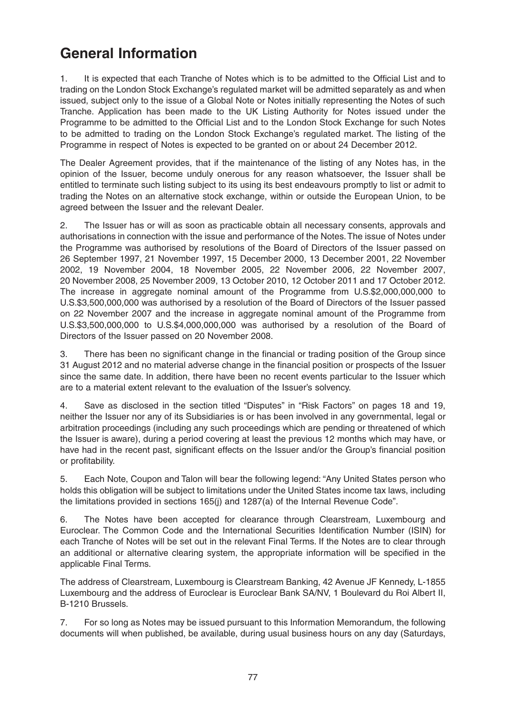# **General Information**

1. It is expected that each Tranche of Notes which is to be admitted to the Official List and to trading on the London Stock Exchange's regulated market will be admitted separately as and when issued, subject only to the issue of a Global Note or Notes initially representing the Notes of such Tranche. Application has been made to the UK Listing Authority for Notes issued under the Programme to be admitted to the Official List and to the London Stock Exchange for such Notes to be admitted to trading on the London Stock Exchange's regulated market. The listing of the Programme in respect of Notes is expected to be granted on or about 24 December 2012.

The Dealer Agreement provides, that if the maintenance of the listing of any Notes has, in the opinion of the Issuer, become unduly onerous for any reason whatsoever, the Issuer shall be entitled to terminate such listing subject to its using its best endeavours promptly to list or admit to trading the Notes on an alternative stock exchange, within or outside the European Union, to be agreed between the Issuer and the relevant Dealer.

2. The Issuer has or will as soon as practicable obtain all necessary consents, approvals and authorisations in connection with the issue and performance of the Notes. The issue of Notes under the Programme was authorised by resolutions of the Board of Directors of the Issuer passed on 26 September 1997, 21 November 1997, 15 December 2000, 13 December 2001, 22 November 2002, 19 November 2004, 18 November 2005, 22 November 2006, 22 November 2007, 20 November 2008, 25 November 2009, 13 October 2010, 12 October 2011 and 17 October 2012. The increase in aggregate nominal amount of the Programme from U.S.\$2,000,000,000 to U.S.\$3,500,000,000 was authorised by a resolution of the Board of Directors of the Issuer passed on 22 November 2007 and the increase in aggregate nominal amount of the Programme from U.S.\$3,500,000,000 to U.S.\$4,000,000,000 was authorised by a resolution of the Board of Directors of the Issuer passed on 20 November 2008.

3. There has been no significant change in the financial or trading position of the Group since 31 August 2012 and no material adverse change in the financial position or prospects of the Issuer since the same date. In addition, there have been no recent events particular to the Issuer which are to a material extent relevant to the evaluation of the Issuer's solvency.

4. Save as disclosed in the section titled "Disputes" in "Risk Factors" on pages 18 and 19, neither the Issuer nor any of its Subsidiaries is or has been involved in any governmental, legal or arbitration proceedings (including any such proceedings which are pending or threatened of which the Issuer is aware), during a period covering at least the previous 12 months which may have, or have had in the recent past, significant effects on the Issuer and/or the Group's financial position or profitability.

5. Each Note, Coupon and Talon will bear the following legend: "Any United States person who holds this obligation will be subject to limitations under the United States income tax laws, including the limitations provided in sections 165(j) and 1287(a) of the Internal Revenue Code".

6. The Notes have been accepted for clearance through Clearstream, Luxembourg and Euroclear. The Common Code and the International Securities Identification Number (ISIN) for each Tranche of Notes will be set out in the relevant Final Terms. If the Notes are to clear through an additional or alternative clearing system, the appropriate information will be specified in the applicable Final Terms.

The address of Clearstream, Luxembourg is Clearstream Banking, 42 Avenue JF Kennedy, L-1855 Luxembourg and the address of Euroclear is Euroclear Bank SA/NV, 1 Boulevard du Roi Albert II, B-1210 Brussels.

7. For so long as Notes may be issued pursuant to this Information Memorandum, the following documents will when published, be available, during usual business hours on any day (Saturdays,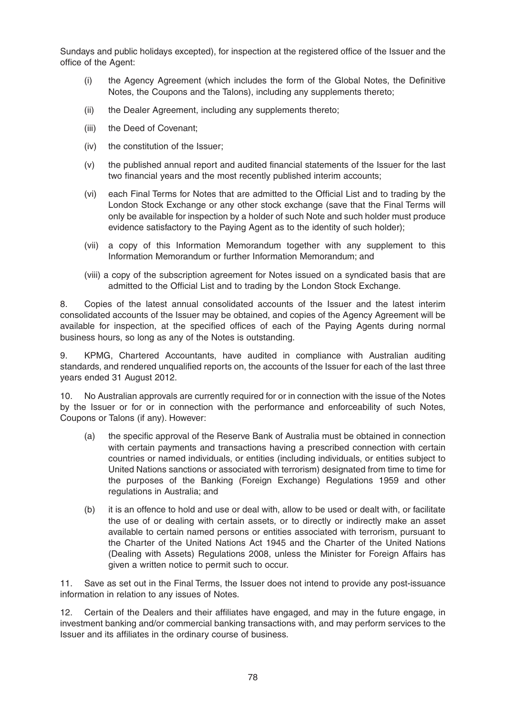Sundays and public holidays excepted), for inspection at the registered office of the Issuer and the office of the Agent:

- (i) the Agency Agreement (which includes the form of the Global Notes, the Definitive Notes, the Coupons and the Talons), including any supplements thereto;
- (ii) the Dealer Agreement, including any supplements thereto;
- (iii) the Deed of Covenant;
- (iv) the constitution of the Issuer;
- (v) the published annual report and audited financial statements of the Issuer for the last two financial years and the most recently published interim accounts;
- (vi) each Final Terms for Notes that are admitted to the Official List and to trading by the London Stock Exchange or any other stock exchange (save that the Final Terms will only be available for inspection by a holder of such Note and such holder must produce evidence satisfactory to the Paying Agent as to the identity of such holder);
- (vii) a copy of this Information Memorandum together with any supplement to this Information Memorandum or further Information Memorandum; and
- (viii) a copy of the subscription agreement for Notes issued on a syndicated basis that are admitted to the Official List and to trading by the London Stock Exchange.

8. Copies of the latest annual consolidated accounts of the Issuer and the latest interim consolidated accounts of the Issuer may be obtained, and copies of the Agency Agreement will be available for inspection, at the specified offices of each of the Paying Agents during normal business hours, so long as any of the Notes is outstanding.

9. KPMG, Chartered Accountants, have audited in compliance with Australian auditing standards, and rendered unqualified reports on, the accounts of the Issuer for each of the last three years ended 31 August 2012.

10. No Australian approvals are currently required for or in connection with the issue of the Notes by the Issuer or for or in connection with the performance and enforceability of such Notes, Coupons or Talons (if any). However:

- (a) the specific approval of the Reserve Bank of Australia must be obtained in connection with certain payments and transactions having a prescribed connection with certain countries or named individuals, or entities (including individuals, or entities subject to United Nations sanctions or associated with terrorism) designated from time to time for the purposes of the Banking (Foreign Exchange) Regulations 1959 and other regulations in Australia; and
- (b) it is an offence to hold and use or deal with, allow to be used or dealt with, or facilitate the use of or dealing with certain assets, or to directly or indirectly make an asset available to certain named persons or entities associated with terrorism, pursuant to the Charter of the United Nations Act 1945 and the Charter of the United Nations (Dealing with Assets) Regulations 2008, unless the Minister for Foreign Affairs has given a written notice to permit such to occur.

11. Save as set out in the Final Terms, the Issuer does not intend to provide any post-issuance information in relation to any issues of Notes.

12. Certain of the Dealers and their affiliates have engaged, and may in the future engage, in investment banking and/or commercial banking transactions with, and may perform services to the Issuer and its affiliates in the ordinary course of business.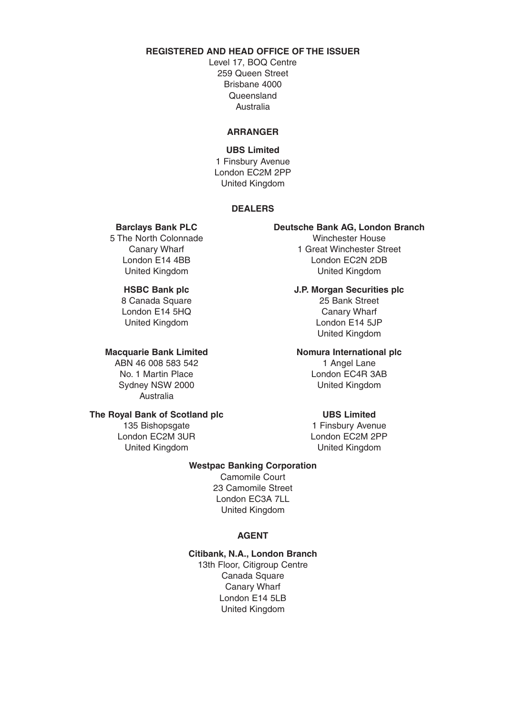# **REGISTERED AND HEAD OFFICE OF THE ISSUER**

Level 17, BOQ Centre 259 Queen Street Brisbane 4000 Queensland Australia

### **ARRANGER**

# **UBS Limited**  1 Finsbury Avenue London EC2M 2PP United Kingdom

### **DEALERS**

5 The North Colonnade

ABN 46 008 583 542 1 Angel Lane No. 1 Martin Place London EC4R 3AB Sydney NSW 2000 United Kingdom Australia

# **The Royal Bank of Scotland plc UBS Limited**

London EC2M 3UR London EC2M 2PP United Kingdom United Kingdom

# **Barclays Bank PLC Deutsche Bank AG, London Branch**<br>The North Colonnade **Deutsche Bank AG, London Branch**

Canary Wharf **1 Great Winchester Street** London E14 4BB London EC2N 2DB United Kingdom United Kingdom

**HSBC Bank plc J.P. Morgan Securities plc** 8 Canada Square 25 Bank Street London E14 5HQ Canary Wharf United Kingdom **London E14 5JP** United Kingdom

### **Macquarie Bank Limited Momura International plc**

135 Bishopsgate 135 and 1 Finsbury Avenue

### **Westpac Banking Corporation**

Camomile Court 23 Camomile Street London EC3A 7LL United Kingdom

### **AGENT**

# **Citibank, N.A., London Branch**

13th Floor, Citigroup Centre Canada Square Canary Wharf London E14 5LB United Kingdom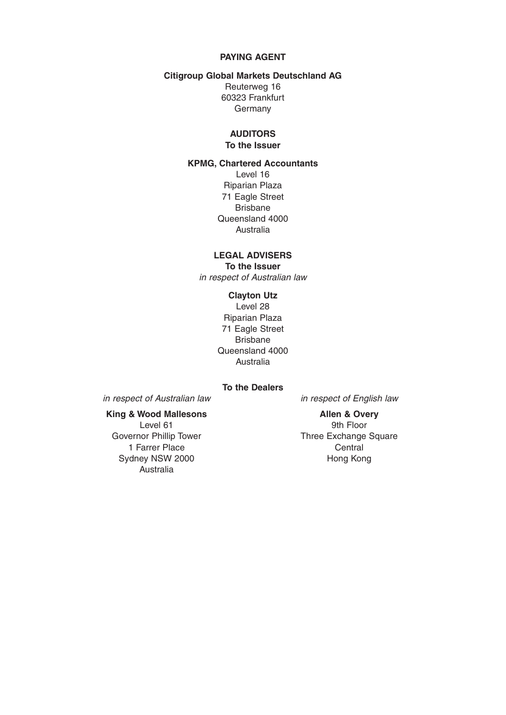### **PAYING AGENT**

### **Citigroup Global Markets Deutschland AG**

Reuterweg 16 60323 Frankfurt Germany

### **AUDITORS To the Issuer**

### **KPMG, Chartered Accountants**

Level 16 Riparian Plaza 71 Eagle Street Brisbane Queensland 4000 Australia

### **LEGAL ADVISERS To the Issuer**

in respect of Australian law

### **Clayton Utz**

Level 28 Riparian Plaza 71 Eagle Street Brisbane Queensland 4000 Australia

# **To the Dealers**

in respect of Australian law in respect of English law

# King & Wood Mallesons **Allen & Overy**

1 Farrer Place Central Sydney NSW 2000 **Hong Kong** Australia

Level 61 9th Floor Governor Phillip Tower Three Exchange Square